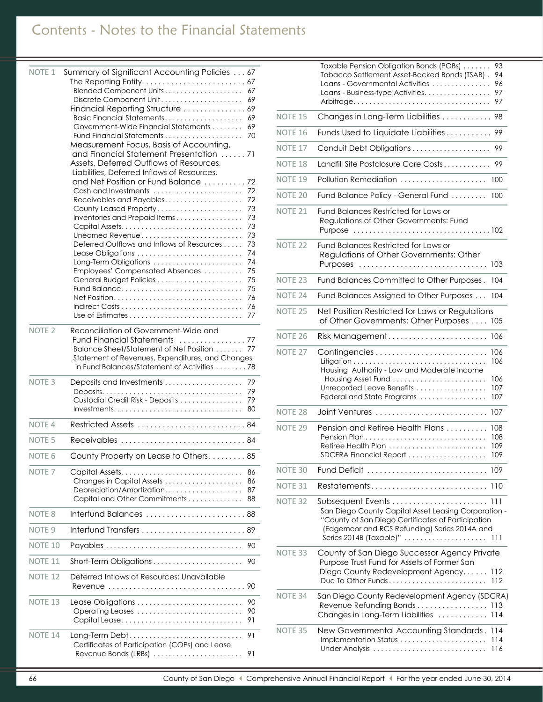# Contents - Notes to the Financial Statements

| <b>NOTE 1</b>      | Summary of Significant Accounting Policies  67                                            |
|--------------------|-------------------------------------------------------------------------------------------|
|                    | 67                                                                                        |
|                    | Blended Component Units<br>69<br>Discrete Component Unit                                  |
|                    | Financial Reporting Structure  69                                                         |
|                    | Basic Financial Statements<br>69                                                          |
|                    | Government-Wide Financial Statements<br>69                                                |
|                    | 70                                                                                        |
|                    | Measurement Focus, Basis of Accounting,<br>and Financial Statement Presentation 71        |
|                    | Assets, Deferred Outflows of Resources,                                                   |
|                    | Liabilities, Deferred Inflows of Resources,                                               |
|                    | and Net Position or Fund Balance<br>72                                                    |
|                    | Cash and Investments<br>72                                                                |
|                    | Receivables and Payables<br>72<br>73                                                      |
|                    | County Leased Property<br>Inventories and Prepaid Items<br>73                             |
|                    | 73<br>Capital Assets                                                                      |
|                    | Unearned Revenue<br>73                                                                    |
|                    | Deferred Outflows and Inflows of Resources<br>73                                          |
|                    | 74<br>Lease Obligations<br>74<br>Long-Term Obligations                                    |
|                    | Employees' Compensated Absences<br>75                                                     |
|                    | 75<br>General Budget Policies                                                             |
|                    | Fund Balance<br>75                                                                        |
|                    | Net Position<br>76                                                                        |
|                    | 76<br>77                                                                                  |
|                    |                                                                                           |
| NOTE <sub>2</sub>  | Reconciliation of Government-Wide and                                                     |
|                    | <b>Fund Financial Statements</b><br>. 77<br>Balance Sheet/Statement of Net Position<br>77 |
|                    | Statement of Revenues, Expenditures, and Changes                                          |
|                    | in Fund Balances/Statement of Activities 78                                               |
| NOTE <sub>3</sub>  | Deposits and Investments<br>79                                                            |
|                    | 79                                                                                        |
|                    | Custodial Credit Risk - Deposits<br>79                                                    |
|                    | $Investments.$<br>80                                                                      |
| NOTE <sub>4</sub>  | Restricted Assets  84                                                                     |
| NOTE <sub>5</sub>  | Receivables  84                                                                           |
| NOTE <sub>6</sub>  | County Property on Lease to Others 85                                                     |
| NOTE <sub>7</sub>  | Capital Assets<br>86                                                                      |
|                    | Changes in Capital Assets<br>86                                                           |
|                    | 87<br>Depreciation/Amortization<br>Capital and Other Commitments<br>88                    |
| NOTE <sub>8</sub>  | Interfund Balances<br>88                                                                  |
| NOTE <sub>9</sub>  | Interfund Transfers  89                                                                   |
|                    |                                                                                           |
| NOTE <sub>10</sub> | 90                                                                                        |
| NOTE <sub>11</sub> | Short-Term Obligations<br>90                                                              |
| <b>NOTE 12</b>     | Deferred Inflows of Resources: Unavailable<br>-90<br>Revenue<br>.                         |
| NOTE <sub>13</sub> | Lease Obligations<br>90<br>90<br>Operating Leases                                         |
|                    | 91                                                                                        |
| NOTE <sub>14</sub> | 91<br>Long-Term Debt                                                                      |
|                    | Certificates of Participation (COPs) and Lease<br>Revenue Bonds (LRBs)<br>91              |

|                    | Taxable Pension Obligation Bonds (POBs)<br>93<br>Tobacco Settlement Asset-Backed Bonds (TSAB).<br>94<br>Loans - Governmental Activities<br>96<br>97<br>Loans - Business-type Activities<br>97<br>Arbitrage                          |
|--------------------|-------------------------------------------------------------------------------------------------------------------------------------------------------------------------------------------------------------------------------------|
| NOTE <sub>15</sub> | Changes in Long-Term Liabilities<br>-98                                                                                                                                                                                             |
| NOTE <sub>16</sub> | Funds Used to Liquidate Liabilities<br>99                                                                                                                                                                                           |
| NOTE <sub>17</sub> | Conduit Debt Obligations<br>99                                                                                                                                                                                                      |
| NOTE <sub>18</sub> | Landfill Site Postclosure Care Costs<br>99                                                                                                                                                                                          |
| NOTE <sub>19</sub> | Pollution Remediation<br>100                                                                                                                                                                                                        |
| NOTE <sub>20</sub> | Fund Balance Policy - General Fund<br>100                                                                                                                                                                                           |
| NOTE <sub>21</sub> | Fund Balances Restricted for Laws or<br>Regulations of Other Governments: Fund<br>Purpose                                                                                                                                           |
| NOTE <sub>22</sub> | Fund Balances Restricted for Laws or<br>Regulations of Other Governments: Other<br>103<br>Purposes                                                                                                                                  |
| NOTE <sub>23</sub> | Fund Balances Committed to Other Purposes.<br>104                                                                                                                                                                                   |
| NOTF <sub>24</sub> | Fund Balances Assigned to Other Purposes<br>104                                                                                                                                                                                     |
| NOTE <sub>25</sub> | Net Position Restricted for Laws or Regulations<br>of Other Governments: Other Purposes<br>105                                                                                                                                      |
| NOTE <sub>26</sub> | Risk Management<br>106<br>the control of the control of the control of                                                                                                                                                              |
| NOTE <sub>27</sub> | 106<br>106<br>Housing Authority - Low and Moderate Income<br>106<br>Unrecorded Leave Benefits<br>107<br>Federal and State Programs<br>107                                                                                           |
| NOTE <sub>28</sub> | Joint Ventures<br>107                                                                                                                                                                                                               |
| NOTE <sub>29</sub> | Pension and Retiree Health Plans<br>108<br>108<br>Retiree Health Plan<br>109<br>109<br>SDCERA Financial Report                                                                                                                      |
| NOTE <sub>30</sub> | Fund Deficit  109                                                                                                                                                                                                                   |
| NOTE 31            | Restatements<br>110                                                                                                                                                                                                                 |
| NOTE <sub>32</sub> | Subsequent Events  111<br>San Diego County Capital Asset Leasing Corporation -<br>"County of San Diego Certificates of Participation<br>(Edgemoor and RCS Refunding) Series 2014A and<br>Series 2014B (Taxable)" $\ldots$<br>$\Box$ |
| NOTE <sub>33</sub> | County of San Diego Successor Agency Private<br>Purpose Trust Fund for Assets of Former San<br>Diego County Redevelopment Agency<br>112<br>112                                                                                      |
| NOTE <sub>34</sub> | San Diego County Redevelopment Agency (SDCRA)<br>Revenue Refunding Bonds  113<br>Changes in Long-Term Liabilities<br>114                                                                                                            |
| NOTE <sub>35</sub> | New Governmental Accounting Standards.<br>114<br>Implementation Status<br>114<br>Under Analysis<br>116                                                                                                                              |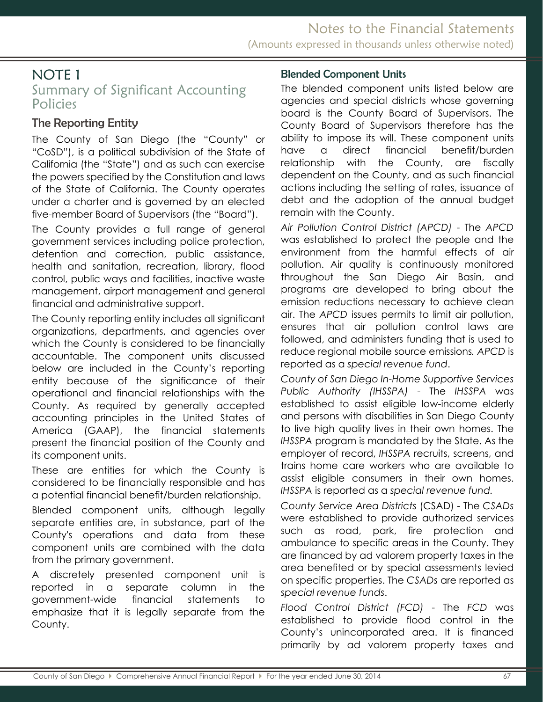# Summary of Significant Accounting Policies

## <span id="page-1-0"></span>The Reporting Entity

The County of San Diego (the "County" or "CoSD"), is a political subdivision of the State of California (the "State") and as such can exercise the powers specified by the Constitution and laws of the State of California. The County operates under a charter and is governed by an elected five-member Board of Supervisors (the "Board").

The County provides a full range of general government services including police protection, detention and correction, public assistance, health and sanitation, recreation, library, flood control, public ways and facilities, inactive waste management, airport management and general financial and administrative support.

The County reporting entity includes all significant organizations, departments, and agencies over which the County is considered to be financially accountable. The component units discussed below are included in the County's reporting entity because of the significance of their operational and financial relationships with the County. As required by generally accepted accounting principles in the United States of America (GAAP), the financial statements present the financial position of the County and its component units.

These are entities for which the County is considered to be financially responsible and has a potential financial benefit/burden relationship.

Blended component units, although legally separate entities are, in substance, part of the County's operations and data from these component units are combined with the data from the primary government.

A discretely presented component unit is reported in a separate column in the government-wide financial statements to emphasize that it is legally separate from the County.

### <span id="page-1-1"></span>Blended Component Units

The blended component units listed below are agencies and special districts whose governing board is the County Board of Supervisors. The County Board of Supervisors therefore has the ability to impose its will. These component units have a direct financial benefit/burden relationship with the County, are fiscally dependent on the County, and as such financial actions including the setting of rates, issuance of debt and the adoption of the annual budget remain with the County.

*Air Pollution Control District (APCD)* - The *APCD* was established to protect the people and the environment from the harmful effects of air pollution. Air quality is continuously monitored throughout the San Diego Air Basin, and programs are developed to bring about the emission reductions necessary to achieve clean air. The *APCD* issues permits to limit air pollution, ensures that air pollution control laws are followed, and administers funding that is used to reduce regional mobile source emissions*. APCD* is reported as a *special revenue fund*.

*County of San Diego In-Home Supportive Services Public Authority (IHSSPA)* - The *IHSSPA* was established to assist eligible low-income elderly and persons with disabilities in San Diego County to live high quality lives in their own homes. The *IHSSPA* program is mandated by the State. As the employer of record, *IHSSPA* recruits, screens, and trains home care workers who are available to assist eligible consumers in their own homes. *IHSSPA* is reported as a *special revenue fund.* 

*County Service Area Districts* (CSAD) - The *CSADs* were established to provide authorized services such as road, park, fire protection and ambulance to specific areas in the County. They are financed by ad valorem property taxes in the area benefited or by special assessments levied on specific properties. The *CSADs* are reported as *special revenue funds*.

*Flood Control District (FCD)* - The *FCD* was established to provide flood control in the County's unincorporated area. It is financed primarily by ad valorem property taxes and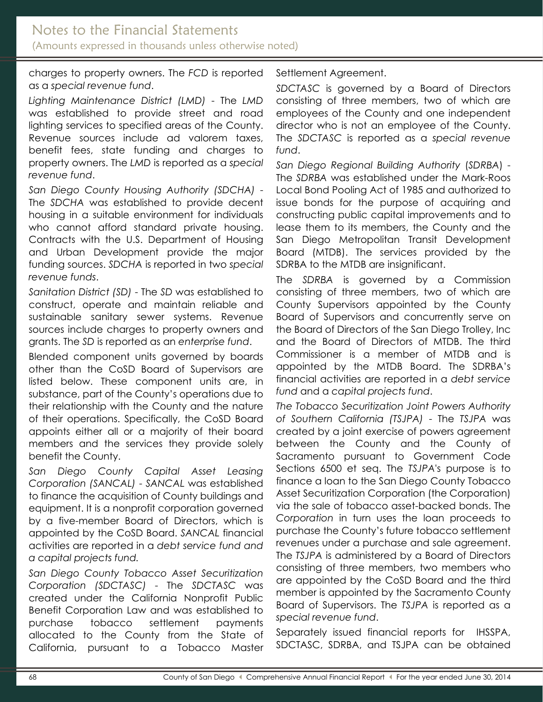charges to property owners. The *FCD* is reported as a *special revenue fund*.

*Lighting Maintenance District (LMD)* - The *LMD* was established to provide street and road lighting services to specified areas of the County. Revenue sources include ad valorem taxes, benefit fees, state funding and charges to property owners. The *LMD* is reported as a *special revenue fund*.

*San Diego County Housing Authority (SDCHA)* - The *SDCHA* was established to provide decent housing in a suitable environment for individuals who cannot afford standard private housing. Contracts with the U.S. Department of Housing and Urban Development provide the major funding sources. *SDCHA* is reported in two *special revenue funds*.

*Sanitation District (SD)* - The *SD* was established to construct, operate and maintain reliable and sustainable sanitary sewer systems. Revenue sources include charges to property owners and grants. The *SD* is reported as an *enterprise fund*.

Blended component units governed by boards other than the CoSD Board of Supervisors are listed below. These component units are, in substance, part of the County's operations due to their relationship with the County and the nature of their operations. Specifically, the CoSD Board appoints either all or a majority of their board members and the services they provide solely benefit the County.

*San Diego County Capital Asset Leasing Corporation (SANCAL)* - *SANCAL* was established to finance the acquisition of County buildings and equipment. It is a nonprofit corporation governed by a five-member Board of Directors, which is appointed by the CoSD Board. *SANCAL* financial activities are reported in a *debt service fund and a capital projects fund.*

*San Diego County Tobacco Asset Securitization Corporation (SDCTASC)* - The *SDCTASC* was created under the California Nonprofit Public Benefit Corporation Law and was established to purchase tobacco settlement payments allocated to the County from the State of California, pursuant to a Tobacco Master

Settlement Agreement.

*SDCTASC* is governed by a Board of Directors consisting of three members, two of which are employees of the County and one independent director who is not an employee of the County. The *SDCTASC* is reported as a *special revenue fund*.

*San Diego Regional Building Authority* (*SDRBA*) - The *SDRBA* was established under the Mark-Roos Local Bond Pooling Act of 1985 and authorized to issue bonds for the purpose of acquiring and constructing public capital improvements and to lease them to its members, the County and the San Diego Metropolitan Transit Development Board (MTDB). The services provided by the SDRBA to the MTDB are insignificant.

The *SDRBA* is governed by a Commission consisting of three members, two of which are County Supervisors appointed by the County Board of Supervisors and concurrently serve on the Board of Directors of the San Diego Trolley, Inc and the Board of Directors of MTDB. The third Commissioner is a member of MTDB and is appointed by the MTDB Board. The SDRBA's financial activities are reported in a *debt service fund* and a *capital projects fund*.

*The Tobacco Securitization Joint Powers Authority of Southern California (TSJPA)* - The *TSJPA* was created by a joint exercise of powers agreement between the County and the County of Sacramento pursuant to Government Code Sections 6500 et seq. The *TSJPA*'s purpose is to finance a loan to the San Diego County Tobacco Asset Securitization Corporation (the Corporation) via the sale of tobacco asset-backed bonds. The *Corporation* in turn uses the loan proceeds to purchase the County's future tobacco settlement revenues under a purchase and sale agreement. The *TSJPA* is administered by a Board of Directors consisting of three members, two members who are appointed by the CoSD Board and the third member is appointed by the Sacramento County Board of Supervisors. The *TSJPA* is reported as a *special revenue fund*.

Separately issued financial reports for IHSSPA, SDCTASC, SDRBA, and TSJPA can be obtained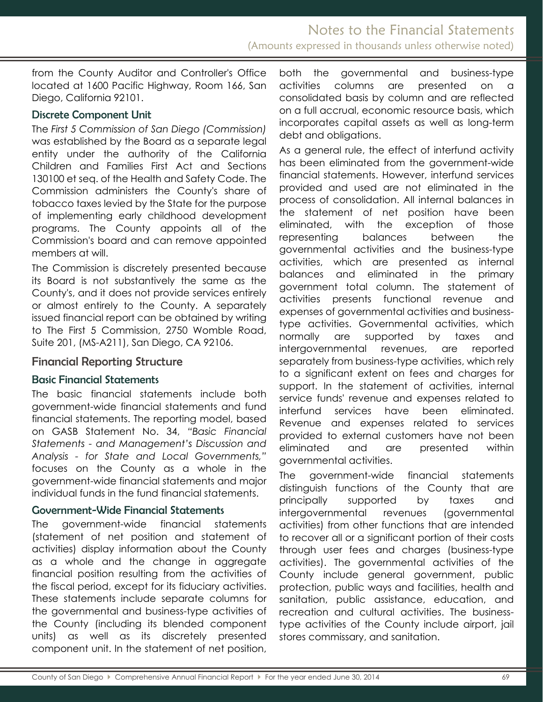from the County Auditor and Controller's Office located at 1600 Pacific Highway, Room 166, San Diego, California 92101.

#### <span id="page-3-0"></span>Discrete Component Unit

The *First 5 Commission of San Diego (Commission)* was established by the Board as a separate legal entity under the authority of the California Children and Families First Act and Sections 130100 et seq. of the Health and Safety Code. The Commission administers the County's share of tobacco taxes levied by the State for the purpose of implementing early childhood development programs. The County appoints all of the Commission's board and can remove appointed members at will.

The Commission is discretely presented because its Board is not substantively the same as the County's, and it does not provide services entirely or almost entirely to the County. A separately issued financial report can be obtained by writing to The First 5 Commission, 2750 Womble Road, Suite 201, (MS-A211), San Diego, CA 92106.

#### Financial Reporting Structure

#### Basic Financial Statements

The basic financial statements include both government-wide financial statements and fund financial statements. The reporting model, based on GASB Statement No. 34, *"Basic Financial Statements - and Management's Discussion and Analysis - for State and Local Governments,"* focuses on the County as a whole in the government-wide financial statements and major individual funds in the fund financial statements.

#### <span id="page-3-1"></span>Government-Wide Financial Statements

The government-wide financial statements (statement of net position and statement of activities) display information about the County as a whole and the change in aggregate financial position resulting from the activities of the fiscal period, except for its fiduciary activities. These statements include separate columns for the governmental and business-type activities of the County (including its blended component units) as well as its discretely presented component unit. In the statement of net position, both the governmental and business-type activities columns are presented on a consolidated basis by column and are reflected on a full accrual, economic resource basis, which incorporates capital assets as well as long-term debt and obligations.

As a general rule, the effect of interfund activity has been eliminated from the government-wide financial statements. However, interfund services provided and used are not eliminated in the process of consolidation. All internal balances in the statement of net position have been eliminated, with the exception of those representing balances between the governmental activities and the business-type activities, which are presented as internal balances and eliminated in the primary government total column. The statement of activities presents functional revenue and expenses of governmental activities and businesstype activities. Governmental activities, which normally are supported by taxes and intergovernmental revenues, are reported separately from business-type activities, which rely to a significant extent on fees and charges for support. In the statement of activities, internal service funds' revenue and expenses related to interfund services have been eliminated. Revenue and expenses related to services provided to external customers have not been eliminated and are presented within governmental activities.

The government-wide financial statements distinguish functions of the County that are principally supported by taxes and intergovernmental revenues (governmental activities) from other functions that are intended to recover all or a significant portion of their costs through user fees and charges (business-type activities). The governmental activities of the County include general government, public protection, public ways and facilities, health and sanitation, public assistance, education, and recreation and cultural activities. The businesstype activities of the County include airport, jail stores commissary, and sanitation.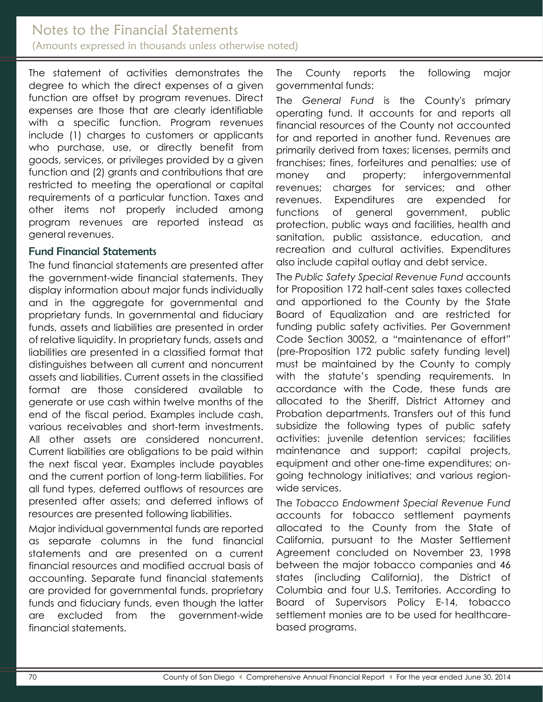### Notes to the Financial Statements (Amounts expressed in thousands unless otherwise noted)

The statement of activities demonstrates the degree to which the direct expenses of a given function are offset by program revenues. Direct expenses are those that are clearly identifiable with a specific function. Program revenues include (1) charges to customers or applicants who purchase, use, or directly benefit from goods, services, or privileges provided by a given function and (2) grants and contributions that are restricted to meeting the operational or capital requirements of a particular function. Taxes and other items not properly included among program revenues are reported instead as general revenues.

#### <span id="page-4-0"></span>Fund Financial Statements

The fund financial statements are presented after the government-wide financial statements. They display information about major funds individually and in the aggregate for governmental and proprietary funds. In governmental and fiduciary funds, assets and liabilities are presented in order of relative liquidity. In proprietary funds, assets and liabilities are presented in a classified format that distinguishes between all current and noncurrent assets and liabilities. Current assets in the classified format are those considered available to generate or use cash within twelve months of the end of the fiscal period. Examples include cash, various receivables and short-term investments. All other assets are considered noncurrent. Current liabilities are obligations to be paid within the next fiscal year. Examples include payables and the current portion of long-term liabilities. For all fund types, deferred outflows of resources are presented after assets; and deferred inflows of resources are presented following liabilities.

Major individual governmental funds are reported as separate columns in the fund financial statements and are presented on a current financial resources and modified accrual basis of accounting. Separate fund financial statements are provided for governmental funds, proprietary funds and fiduciary funds, even though the latter are excluded from the government-wide financial statements.

The County reports the following major governmental funds:

The *General Fund* is the County's primary operating fund. It accounts for and reports all financial resources of the County not accounted for and reported in another fund. Revenues are primarily derived from taxes; licenses, permits and franchises; fines, forfeitures and penalties; use of money and property; intergovernmental revenues; charges for services; and other revenues. Expenditures are expended for functions of general government, public protection, public ways and facilities, health and sanitation, public assistance, education, and recreation and cultural activities. Expenditures also include capital outlay and debt service.

The *Public Safety Special Revenue Fund* accounts for Proposition 172 half-cent sales taxes collected and apportioned to the County by the State Board of Equalization and are restricted for funding public safety activities. Per Government Code Section 30052, a "maintenance of effort" (pre-Proposition 172 public safety funding level) must be maintained by the County to comply with the statute's spending requirements. In accordance with the Code, these funds are allocated to the Sheriff, District Attorney and Probation departments. Transfers out of this fund subsidize the following types of public safety activities: juvenile detention services; facilities maintenance and support; capital projects, equipment and other one-time expenditures; ongoing technology initiatives; and various regionwide services.

The *Tobacco Endowment Special Revenue Fund* accounts for tobacco settlement payments allocated to the County from the State of California, pursuant to the Master Settlement Agreement concluded on November 23, 1998 between the major tobacco companies and 46 states (including California), the District of Columbia and four U.S. Territories. According to Board of Supervisors Policy E-14, tobacco settlement monies are to be used for healthcarebased programs.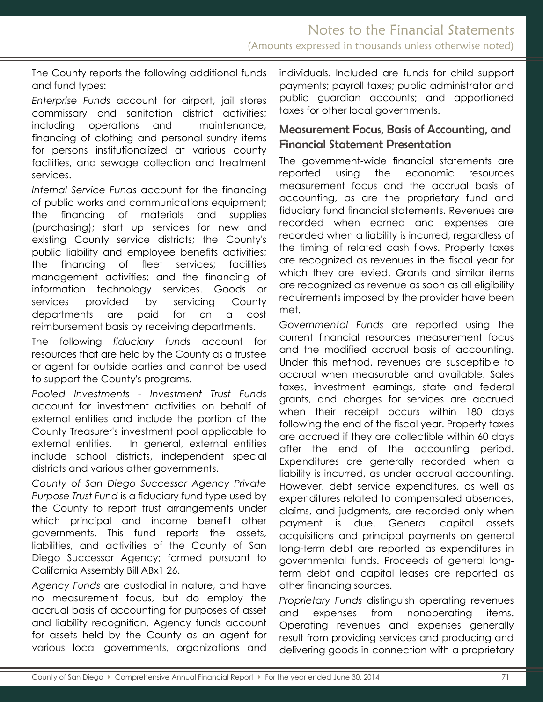The County reports the following additional funds and fund types:

*Enterprise Funds* account for airport, jail stores commissary and sanitation district activities; including operations and maintenance, financing of clothing and personal sundry items for persons institutionalized at various county facilities, and sewage collection and treatment services.

*Internal Service Funds* account for the financing of public works and communications equipment; the financing of materials and supplies (purchasing); start up services for new and existing County service districts; the County's public liability and employee benefits activities; the financing of fleet services; facilities management activities; and the financing of information technology services. Goods or services provided by servicing County departments are paid for on a cost reimbursement basis by receiving departments.

The following *fiduciary funds* account for resources that are held by the County as a trustee or agent for outside parties and cannot be used to support the County's programs.

*Pooled Investments - Investment Trust Funds* account for investment activities on behalf of external entities and include the portion of the County Treasurer's investment pool applicable to external entities. In general, external entities include school districts, independent special districts and various other governments.

*County of San Diego Successor Agency Private Purpose Trust Fund* is a fiduciary fund type used by the County to report trust arrangements under which principal and income benefit other governments. This fund reports the assets, liabilities, and activities of the County of San Diego Successor Agency; formed pursuant to California Assembly Bill ABx1 26.

*Agency Funds* are custodial in nature, and have no measurement focus, but do employ the accrual basis of accounting for purposes of asset and liability recognition. Agency funds account for assets held by the County as an agent for various local governments, organizations and individuals. Included are funds for child support payments; payroll taxes; public administrator and public guardian accounts; and apportioned taxes for other local governments.

### <span id="page-5-0"></span>Measurement Focus, Basis of Accounting, and Financial Statement Presentation

The government-wide financial statements are reported using the economic resources measurement focus and the accrual basis of accounting, as are the proprietary fund and fiduciary fund financial statements. Revenues are recorded when earned and expenses are recorded when a liability is incurred, regardless of the timing of related cash flows. Property taxes are recognized as revenues in the fiscal year for which they are levied. Grants and similar items are recognized as revenue as soon as all eligibility requirements imposed by the provider have been met.

*Governmental Funds* are reported using the current financial resources measurement focus and the modified accrual basis of accounting. Under this method, revenues are susceptible to accrual when measurable and available. Sales taxes, investment earnings, state and federal grants, and charges for services are accrued when their receipt occurs within 180 days following the end of the fiscal year. Property taxes are accrued if they are collectible within 60 days after the end of the accounting period. Expenditures are generally recorded when a liability is incurred, as under accrual accounting. However, debt service expenditures, as well as expenditures related to compensated absences, claims, and judgments, are recorded only when payment is due. General capital assets acquisitions and principal payments on general long-term debt are reported as expenditures in governmental funds. Proceeds of general longterm debt and capital leases are reported as other financing sources.

*Proprietary Funds* distinguish operating revenues and expenses from nonoperating items. Operating revenues and expenses generally result from providing services and producing and delivering goods in connection with a proprietary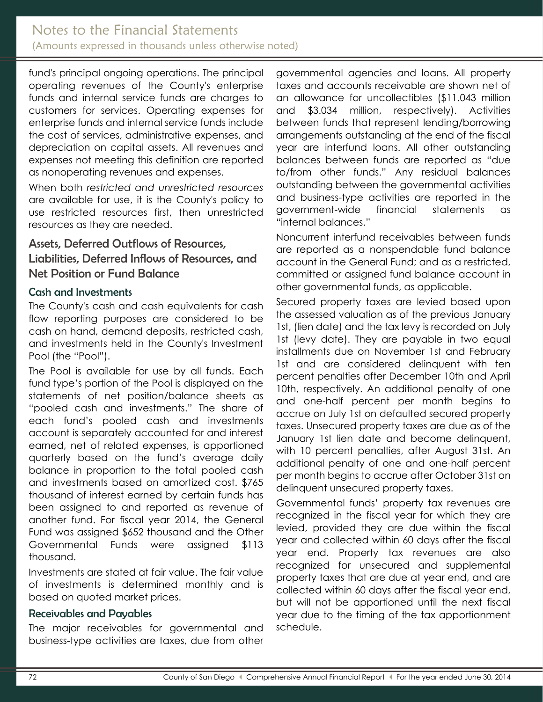fund's principal ongoing operations. The principal operating revenues of the County's enterprise funds and internal service funds are charges to customers for services. Operating expenses for enterprise funds and internal service funds include the cost of services, administrative expenses, and depreciation on capital assets. All revenues and expenses not meeting this definition are reported as nonoperating revenues and expenses.

When both *restricted and unrestricted resources* are available for use, it is the County's policy to use restricted resources first, then unrestricted resources as they are needed.

### <span id="page-6-0"></span>Assets, Deferred Outflows of Resources, Liabilities, Deferred Inflows of Resources, and Net Position or Fund Balance

### <span id="page-6-1"></span>Cash and Investments

The County's cash and cash equivalents for cash flow reporting purposes are considered to be cash on hand, demand deposits, restricted cash, and investments held in the County's Investment Pool (the "Pool").

The Pool is available for use by all funds. Each fund type's portion of the Pool is displayed on the statements of net position/balance sheets as "pooled cash and investments." The share of each fund's pooled cash and investments account is separately accounted for and interest earned, net of related expenses, is apportioned quarterly based on the fund's average daily balance in proportion to the total pooled cash and investments based on amortized cost. \$765 thousand of interest earned by certain funds has been assigned to and reported as revenue of another fund. For fiscal year 2014, the General Fund was assigned \$652 thousand and the Other Governmental Funds were assigned \$113 thousand.

Investments are stated at fair value. The fair value of investments is determined monthly and is based on quoted market prices.

#### <span id="page-6-2"></span>Receivables and Payables

The major receivables for governmental and business-type activities are taxes, due from other governmental agencies and loans. All property taxes and accounts receivable are shown net of an allowance for uncollectibles (\$11.043 million and \$3.034 million, respectively). Activities between funds that represent lending/borrowing arrangements outstanding at the end of the fiscal year are interfund loans. All other outstanding balances between funds are reported as "due to/from other funds." Any residual balances outstanding between the governmental activities and business-type activities are reported in the government-wide financial statements as "internal balances."

Noncurrent interfund receivables between funds are reported as a nonspendable fund balance account in the General Fund; and as a restricted, committed or assigned fund balance account in other governmental funds, as applicable.

Secured property taxes are levied based upon the assessed valuation as of the previous January 1st, (lien date) and the tax levy is recorded on July 1st (levy date). They are payable in two equal installments due on November 1st and February 1st and are considered delinquent with ten percent penalties after December 10th and April 10th, respectively. An additional penalty of one and one-half percent per month begins to accrue on July 1st on defaulted secured property taxes. Unsecured property taxes are due as of the January 1st lien date and become delinquent, with 10 percent penalties, after August 31st. An additional penalty of one and one-half percent per month begins to accrue after October 31st on delinquent unsecured property taxes.

Governmental funds' property tax revenues are recognized in the fiscal year for which they are levied, provided they are due within the fiscal year and collected within 60 days after the fiscal year end. Property tax revenues are also recognized for unsecured and supplemental property taxes that are due at year end, and are collected within 60 days after the fiscal year end, but will not be apportioned until the next fiscal year due to the timing of the tax apportionment schedule.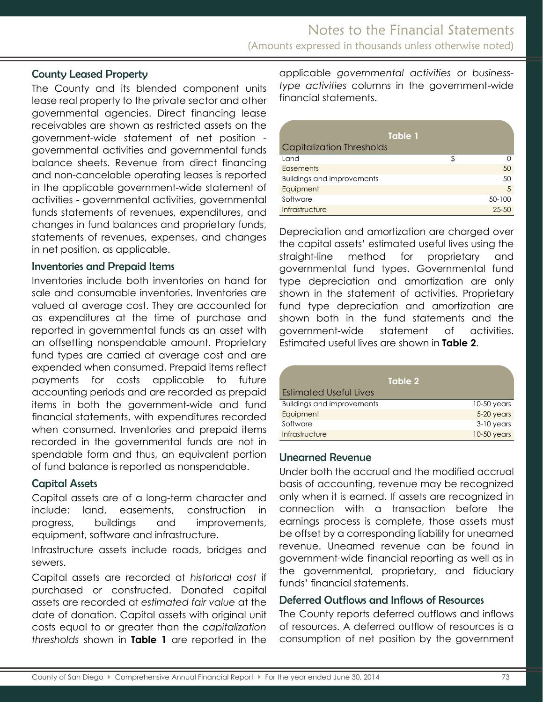#### <span id="page-7-0"></span>County Leased Property

The County and its blended component units lease real property to the private sector and other governmental agencies. Direct financing lease receivables are shown as restricted assets on the government-wide statement of net position governmental activities and governmental funds balance sheets. Revenue from direct financing and non-cancelable operating leases is reported in the applicable government-wide statement of activities - governmental activities, governmental funds statements of revenues, expenditures, and changes in fund balances and proprietary funds, statements of revenues, expenses, and changes in net position, as applicable.

#### <span id="page-7-1"></span>Inventories and Prepaid Items

Inventories include both inventories on hand for sale and consumable inventories. Inventories are valued at average cost. They are accounted for as expenditures at the time of purchase and reported in governmental funds as an asset with an offsetting nonspendable amount. Proprietary fund types are carried at average cost and are expended when consumed. Prepaid items reflect payments for costs applicable to future accounting periods and are recorded as prepaid items in both the government-wide and fund financial statements, with expenditures recorded when consumed. Inventories and prepaid items recorded in the governmental funds are not in spendable form and thus, an equivalent portion of fund balance is reported as nonspendable.

#### <span id="page-7-2"></span>Capital Assets

Capital assets are of a long-term character and include: land, easements, construction in progress, buildings and improvements, equipment, software and infrastructure.

Infrastructure assets include roads, bridges and sewers.

Capital assets are recorded at *historical cost* if purchased or constructed. Donated capital assets are recorded at *estimated fair value* at the date of donation. Capital assets with original unit costs equal to or greater than the *capitalization thresholds* shown in **Table 1** are reported in the applicable *governmental activities* or *businesstype activities* columns in the government-wide financial statements.

| Table 1                           |   |           |
|-----------------------------------|---|-----------|
| <b>Capitalization Thresholds</b>  |   |           |
| Land                              | ፍ |           |
| Easements                         |   | 50        |
| <b>Buildings and improvements</b> |   | 50        |
| Equipment                         |   | 5         |
| Software                          |   | 50-100    |
| Infrastructure                    |   | $25 - 50$ |

Depreciation and amortization are charged over the capital assets' estimated useful lives using the straight-line method for proprietary and governmental fund types. Governmental fund type depreciation and amortization are only shown in the statement of activities. Proprietary fund type depreciation and amortization are shown both in the fund statements and the government-wide statement of activities. Estimated useful lives are shown in **Table 2**.

| Table 2                           |               |
|-----------------------------------|---------------|
| <b>Estimated Useful Lives</b>     |               |
| <b>Buildings and improvements</b> | $10-50$ years |
| Equipment                         | 5-20 years    |
| Software                          | $3-10$ years  |
| Infrastructure                    | 10-50 years   |

#### <span id="page-7-3"></span>Unearned Revenue

Under both the accrual and the modified accrual basis of accounting, revenue may be recognized only when it is earned. If assets are recognized in connection with a transaction before the earnings process is complete, those assets must be offset by a corresponding liability for unearned revenue. Unearned revenue can be found in government-wide financial reporting as well as in the governmental, proprietary, and fiduciary funds' financial statements.

#### Deferred Outflows and Inflows of Resources

The County reports deferred outflows and inflows of resources. A deferred outflow of resources is a consumption of net position by the government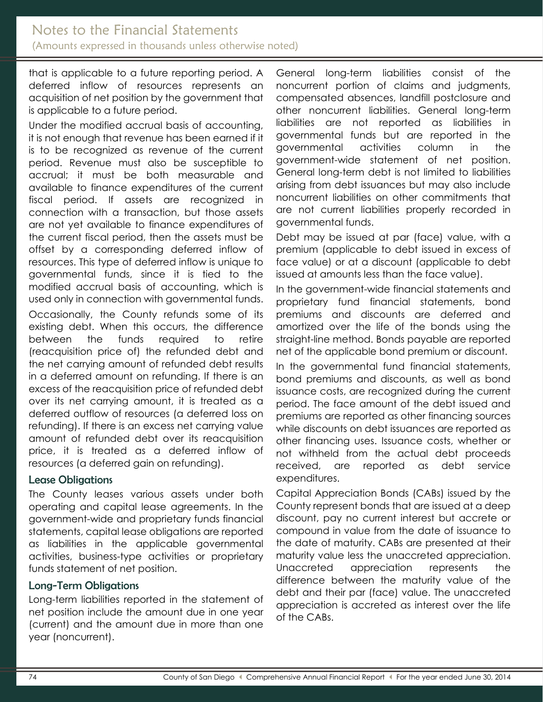## Notes to the Financial Statements (Amounts expressed in thousands unless otherwise noted)

that is applicable to a future reporting period. A deferred inflow of resources represents an acquisition of net position by the government that is applicable to a future period.

Under the modified accrual basis of accounting, it is not enough that revenue has been earned if it is to be recognized as revenue of the current period. Revenue must also be susceptible to accrual; it must be both measurable and available to finance expenditures of the current fiscal period. If assets are recognized in connection with a transaction, but those assets are not yet available to finance expenditures of the current fiscal period, then the assets must be offset by a corresponding deferred inflow of resources. This type of deferred inflow is unique to governmental funds, since it is tied to the modified accrual basis of accounting, which is used only in connection with governmental funds.

Occasionally, the County refunds some of its existing debt. When this occurs, the difference between the funds required to retire (reacquisition price of) the refunded debt and the net carrying amount of refunded debt results in a deferred amount on refunding. If there is an excess of the reacquisition price of refunded debt over its net carrying amount, it is treated as a deferred outflow of resources (a deferred loss on refunding). If there is an excess net carrying value amount of refunded debt over its reacquisition price, it is treated as a deferred inflow of resources (a deferred gain on refunding).

#### <span id="page-8-0"></span>Lease Obligations

The County leases various assets under both operating and capital lease agreements. In the government-wide and proprietary funds financial statements, capital lease obligations are reported as liabilities in the applicable governmental activities, business-type activities or proprietary funds statement of net position.

#### <span id="page-8-1"></span>Long-Term Obligations

Long-term liabilities reported in the statement of net position include the amount due in one year (current) and the amount due in more than one year (noncurrent).

General long-term liabilities consist of the noncurrent portion of claims and judgments, compensated absences, landfill postclosure and other noncurrent liabilities. General long-term liabilities are not reported as liabilities in governmental funds but are reported in the governmental activities column in the government-wide statement of net position. General long-term debt is not limited to liabilities arising from debt issuances but may also include noncurrent liabilities on other commitments that are not current liabilities properly recorded in governmental funds.

Debt may be issued at par (face) value, with a premium (applicable to debt issued in excess of face value) or at a discount (applicable to debt issued at amounts less than the face value).

In the government-wide financial statements and proprietary fund financial statements, bond premiums and discounts are deferred and amortized over the life of the bonds using the straight-line method. Bonds payable are reported net of the applicable bond premium or discount.

In the governmental fund financial statements, bond premiums and discounts, as well as bond issuance costs, are recognized during the current period. The face amount of the debt issued and premiums are reported as other financing sources while discounts on debt issuances are reported as other financing uses. Issuance costs, whether or not withheld from the actual debt proceeds received, are reported as debt service expenditures.

Capital Appreciation Bonds (CABs) issued by the County represent bonds that are issued at a deep discount, pay no current interest but accrete or compound in value from the date of issuance to the date of maturity. CABs are presented at their maturity value less the unaccreted appreciation. Unaccreted appreciation represents the difference between the maturity value of the debt and their par (face) value. The unaccreted appreciation is accreted as interest over the life of the CABs.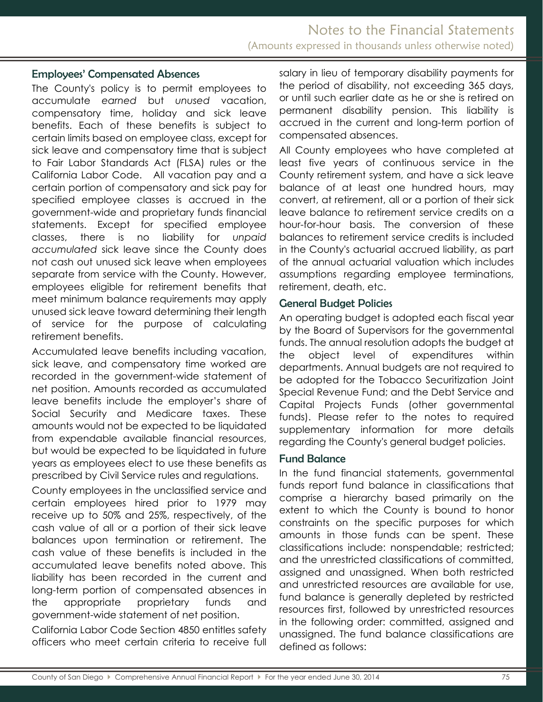#### <span id="page-9-0"></span>Employees' Compensated Absences

The County's policy is to permit employees to accumulate *earned* but *unused* vacation, compensatory time, holiday and sick leave benefits. Each of these benefits is subject to certain limits based on employee class, except for sick leave and compensatory time that is subject to Fair Labor Standards Act (FLSA) rules or the California Labor Code. All vacation pay and a certain portion of compensatory and sick pay for specified employee classes is accrued in the government-wide and proprietary funds financial statements. Except for specified employee classes, there is no liability for *unpaid accumulated* sick leave since the County does not cash out unused sick leave when employees separate from service with the County. However, employees eligible for retirement benefits that meet minimum balance requirements may apply unused sick leave toward determining their length of service for the purpose of calculating retirement benefits.

Accumulated leave benefits including vacation, sick leave, and compensatory time worked are recorded in the government-wide statement of net position. Amounts recorded as accumulated leave benefits include the employer's share of Social Security and Medicare taxes. These amounts would not be expected to be liquidated from expendable available financial resources, but would be expected to be liquidated in future years as employees elect to use these benefits as prescribed by Civil Service rules and regulations.

County employees in the unclassified service and certain employees hired prior to 1979 may receive up to 50% and 25%, respectively, of the cash value of all or a portion of their sick leave balances upon termination or retirement. The cash value of these benefits is included in the accumulated leave benefits noted above. This liability has been recorded in the current and long-term portion of compensated absences in the appropriate proprietary funds and government-wide statement of net position.

California Labor Code Section 4850 entitles safety officers who meet certain criteria to receive full salary in lieu of temporary disability payments for the period of disability, not exceeding 365 days, or until such earlier date as he or she is retired on permanent disability pension. This liability is accrued in the current and long-term portion of compensated absences.

All County employees who have completed at least five years of continuous service in the County retirement system, and have a sick leave balance of at least one hundred hours, may convert, at retirement, all or a portion of their sick leave balance to retirement service credits on a hour-for-hour basis. The conversion of these balances to retirement service credits is included in the County's actuarial accrued liability, as part of the annual actuarial valuation which includes assumptions regarding employee terminations, retirement, death, etc.

#### <span id="page-9-1"></span>General Budget Policies

An operating budget is adopted each fiscal year by the Board of Supervisors for the governmental funds. The annual resolution adopts the budget at the object level of expenditures within departments. Annual budgets are not required to be adopted for the Tobacco Securitization Joint Special Revenue Fund; and the Debt Service and Capital Projects Funds (other governmental funds). Please refer to the notes to required supplementary information for more details regarding the County's general budget policies.

#### <span id="page-9-2"></span>Fund Balance

In the fund financial statements, governmental funds report fund balance in classifications that comprise a hierarchy based primarily on the extent to which the County is bound to honor constraints on the specific purposes for which amounts in those funds can be spent. These classifications include: nonspendable; restricted; and the unrestricted classifications of committed, assigned and unassigned. When both restricted and unrestricted resources are available for use, fund balance is generally depleted by restricted resources first, followed by unrestricted resources in the following order: committed, assigned and unassigned. The fund balance classifications are defined as follows: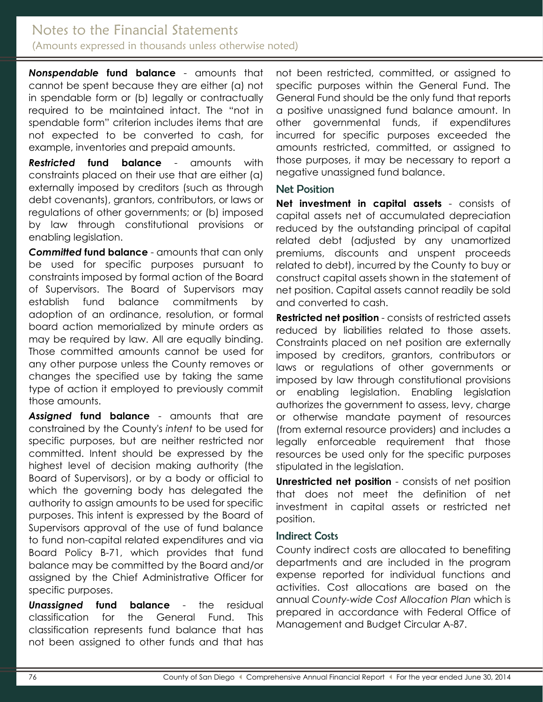### Notes to the Financial Statements (Amounts expressed in thousands unless otherwise noted)

*Nonspendable* **fund balance** - amounts that cannot be spent because they are either (a) not in spendable form or (b) legally or contractually required to be maintained intact. The "not in spendable form" criterion includes items that are not expected to be converted to cash, for example, inventories and prepaid amounts.

*Restricted* **fund balance** - amounts with constraints placed on their use that are either (a) externally imposed by creditors (such as through debt covenants), grantors, contributors, or laws or regulations of other governments; or (b) imposed by law through constitutional provisions or enabling legislation.

*Committed* **fund balance** - amounts that can only be used for specific purposes pursuant to constraints imposed by formal action of the Board of Supervisors. The Board of Supervisors may establish fund balance commitments by adoption of an ordinance, resolution, or formal board action memorialized by minute orders as may be required by law. All are equally binding. Those committed amounts cannot be used for any other purpose unless the County removes or changes the specified use by taking the same type of action it employed to previously commit those amounts.

*Assigned* **fund balance** - amounts that are constrained by the County's *intent* to be used for specific purposes, but are neither restricted nor committed. Intent should be expressed by the highest level of decision making authority (the Board of Supervisors), or by a body or official to which the governing body has delegated the authority to assign amounts to be used for specific purposes. This intent is expressed by the Board of Supervisors approval of the use of fund balance to fund non-capital related expenditures and via Board Policy B-71, which provides that fund balance may be committed by the Board and/or assigned by the Chief Administrative Officer for specific purposes.

*Unassigned* **fund balance** - the residual classification for the General Fund. This classification represents fund balance that has not been assigned to other funds and that has

not been restricted, committed, or assigned to specific purposes within the General Fund. The General Fund should be the only fund that reports a positive unassigned fund balance amount. In other governmental funds, if expenditures incurred for specific purposes exceeded the amounts restricted, committed, or assigned to those purposes, it may be necessary to report a negative unassigned fund balance.

#### <span id="page-10-0"></span>Net Position

**Net investment in capital assets** - consists of capital assets net of accumulated depreciation reduced by the outstanding principal of capital related debt (adjusted by any unamortized premiums, discounts and unspent proceeds related to debt), incurred by the County to buy or construct capital assets shown in the statement of net position. Capital assets cannot readily be sold and converted to cash.

**Restricted net position** - consists of restricted assets reduced by liabilities related to those assets. Constraints placed on net position are externally imposed by creditors, grantors, contributors or laws or regulations of other governments or imposed by law through constitutional provisions or enabling legislation. Enabling legislation authorizes the government to assess, levy, charge or otherwise mandate payment of resources (from external resource providers) and includes a legally enforceable requirement that those resources be used only for the specific purposes stipulated in the legislation.

**Unrestricted net position** - consists of net position that does not meet the definition of net investment in capital assets or restricted net position.

#### <span id="page-10-1"></span>Indirect Costs

County indirect costs are allocated to benefiting departments and are included in the program expense reported for individual functions and activities. Cost allocations are based on the annual *County-wide Cost Allocation Plan* which is prepared in accordance with Federal Office of Management and Budget Circular A-87.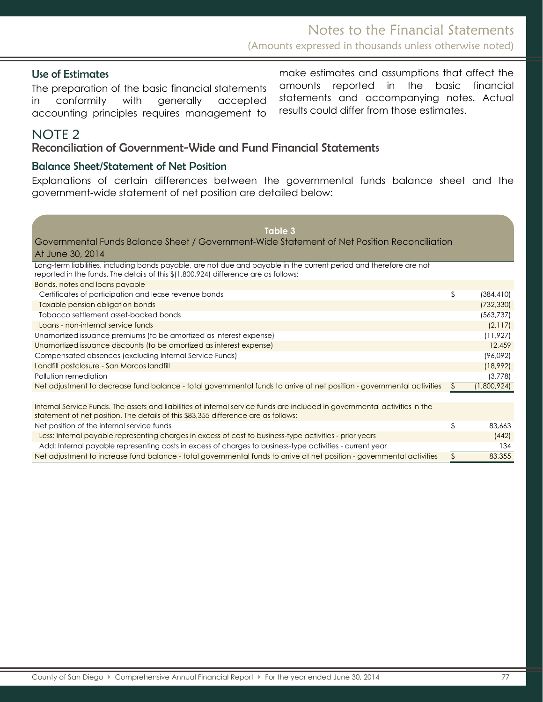#### Use of Estimates

The preparation of the basic financial statements in conformity with generally accepted accounting principles requires management to

make estimates and assumptions that affect the amounts reported in the basic financial statements and accompanying notes. Actual results could differ from those estimates.

# <span id="page-11-0"></span>NOTE 2

#### <span id="page-11-1"></span>Reconciliation of Government-Wide and Fund Financial Statements

#### <span id="page-11-2"></span>Balance Sheet/Statement of Net Position

Explanations of certain differences between the governmental funds balance sheet and the government-wide statement of net position are detailed below:

| Table 3                                                                                                                                                                                                           |                   |
|-------------------------------------------------------------------------------------------------------------------------------------------------------------------------------------------------------------------|-------------------|
| Governmental Funds Balance Sheet / Government-Wide Statement of Net Position Reconciliation                                                                                                                       |                   |
| At June 30, 2014                                                                                                                                                                                                  |                   |
| Long-term liabilities, including bonds payable, are not due and payable in the current period and therefore are not<br>reported in the funds. The details of this \$(1,800,924) difference are as follows:        |                   |
| Bonds, notes and loans payable                                                                                                                                                                                    |                   |
| Certificates of participation and lease revenue bonds                                                                                                                                                             | \$<br>(384, 410)  |
| Taxable pension obligation bonds                                                                                                                                                                                  | (732, 330)        |
| Tobacco settlement asset-backed bonds                                                                                                                                                                             | (563, 737)        |
| Loans - non-internal service funds                                                                                                                                                                                | (2,117)           |
| Unamortized issuance premiums (to be amortized as interest expense)                                                                                                                                               | (11, 927)         |
| Unamortized issuance discounts (to be amortized as interest expense)                                                                                                                                              | 12,459            |
| Compensated absences (excluding Internal Service Funds)                                                                                                                                                           | (96,092)          |
| Landfill postclosure - San Marcos landfill                                                                                                                                                                        | (18,992)          |
| Pollution remediation                                                                                                                                                                                             | (3,778)           |
| Net adjustment to decrease fund balance - total governmental funds to arrive at net position - governmental activities                                                                                            | \$<br>(1,800,924) |
|                                                                                                                                                                                                                   |                   |
| Internal Service Funds. The assets and liabilities of internal service funds are included in governmental activities in the<br>statement of net position. The details of this \$83,355 difference are as follows: |                   |
| Net position of the internal service funds                                                                                                                                                                        | \$<br>83,663      |
| Less: Internal payable representing charges in excess of cost to business-type activities - prior years                                                                                                           | (442)             |
| Add: Internal payable representing costs in excess of charges to business-type activities - current year                                                                                                          | 134               |
| Net adjustment to increase fund balance - total governmental funds to arrive at net position - governmental activities                                                                                            | \$<br>83,355      |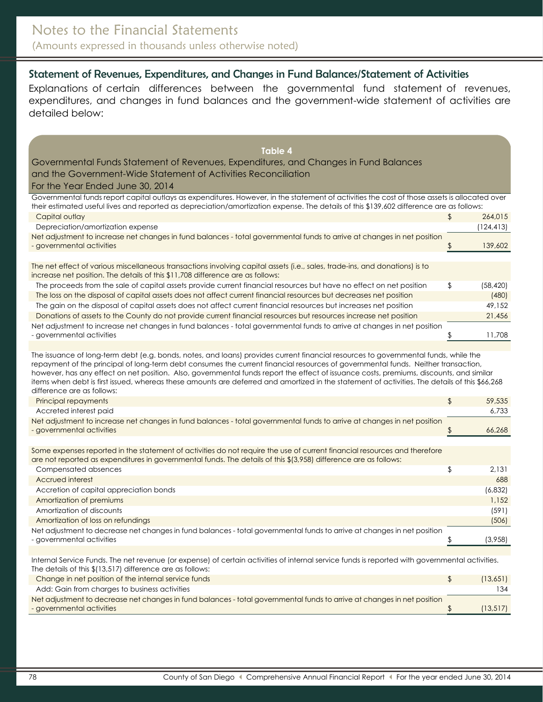### Statement of Revenues, Expenditures, and Changes in Fund Balances/Statement of Activities

Explanations of certain differences between the governmental fund statement of revenues, expenditures, and changes in fund balances and the government-wide statement of activities are detailed below:

| <b>Table 4</b>                                                                                                                                                                                                                                                                                                                                                                                                                                               |                 |
|--------------------------------------------------------------------------------------------------------------------------------------------------------------------------------------------------------------------------------------------------------------------------------------------------------------------------------------------------------------------------------------------------------------------------------------------------------------|-----------------|
| Governmental Funds Statement of Revenues, Expenditures, and Changes in Fund Balances                                                                                                                                                                                                                                                                                                                                                                         |                 |
| and the Government-Wide Statement of Activities Reconciliation                                                                                                                                                                                                                                                                                                                                                                                               |                 |
| For the Year Ended June 30, 2014                                                                                                                                                                                                                                                                                                                                                                                                                             |                 |
| Governmental funds report capital outlays as expenditures. However, in the statement of activities the cost of those assets is allocated over                                                                                                                                                                                                                                                                                                                |                 |
| their estimated useful lives and reported as depreciation/amortization expense. The details of this \$139,602 difference are as follows:                                                                                                                                                                                                                                                                                                                     |                 |
| Capital outlay                                                                                                                                                                                                                                                                                                                                                                                                                                               | \$<br>264,015   |
| Depreciation/amortization expense                                                                                                                                                                                                                                                                                                                                                                                                                            | (124, 413)      |
| Net adjustment to increase net changes in fund balances - total governmental funds to arrive at changes in net position                                                                                                                                                                                                                                                                                                                                      |                 |
| - governmental activities                                                                                                                                                                                                                                                                                                                                                                                                                                    | \$<br>139,602   |
|                                                                                                                                                                                                                                                                                                                                                                                                                                                              |                 |
| The net effect of various miscellaneous transactions involving capital assets (i.e., sales, trade-ins, and donations) is to<br>increase net position. The details of this \$11,708 difference are as follows:                                                                                                                                                                                                                                                |                 |
| The proceeds from the sale of capital assets provide current financial resources but have no effect on net position                                                                                                                                                                                                                                                                                                                                          | \$<br>(58, 420) |
| The loss on the disposal of capital assets does not affect current financial resources but decreases net position                                                                                                                                                                                                                                                                                                                                            | (480)           |
| The gain on the disposal of capital assets does not affect current financial resources but increases net position                                                                                                                                                                                                                                                                                                                                            | 49,152          |
| Donations of assets to the County do not provide current financial resources but resources increase net position                                                                                                                                                                                                                                                                                                                                             | 21,456          |
| Net adjustment to increase net changes in fund balances - total governmental funds to arrive at changes in net position                                                                                                                                                                                                                                                                                                                                      |                 |
| - governmental activities                                                                                                                                                                                                                                                                                                                                                                                                                                    | \$<br>11,708    |
| repayment of the principal of long-term debt consumes the current financial resources of governmental funds. Neither transaction,<br>however, has any effect on net position. Also, governmental funds report the effect of issuance costs, premiums, discounts, and similar<br>items when debt is first issued, whereas these amounts are deferred and amortized in the statement of activities. The details of this \$66,268<br>difference are as follows: |                 |
| Principal repayments                                                                                                                                                                                                                                                                                                                                                                                                                                         | \$<br>59,535    |
| Accreted interest paid                                                                                                                                                                                                                                                                                                                                                                                                                                       | 6,733           |
| Net adjustment to increase net changes in fund balances - total governmental funds to arrive at changes in net position<br>- governmental activities                                                                                                                                                                                                                                                                                                         | \$<br>66,268    |
|                                                                                                                                                                                                                                                                                                                                                                                                                                                              |                 |
| Some expenses reported in the statement of activities do not require the use of current financial resources and therefore<br>are not reported as expenditures in governmental funds. The details of this \$(3,958) difference are as follows:                                                                                                                                                                                                                |                 |
| Compensated absences                                                                                                                                                                                                                                                                                                                                                                                                                                         | \$<br>2,131     |
| Accrued interest                                                                                                                                                                                                                                                                                                                                                                                                                                             | 688             |
| Accretion of capital appreciation bonds                                                                                                                                                                                                                                                                                                                                                                                                                      | (6, 832)        |
| Amortization of premiums                                                                                                                                                                                                                                                                                                                                                                                                                                     | 1,152           |
| Amortization of discounts                                                                                                                                                                                                                                                                                                                                                                                                                                    | (591)           |
| Amortization of loss on refundings                                                                                                                                                                                                                                                                                                                                                                                                                           | (506)           |
| Net adjustment to decrease net changes in fund balances - total governmental funds to arrive at changes in net position                                                                                                                                                                                                                                                                                                                                      |                 |
| - governmental activities                                                                                                                                                                                                                                                                                                                                                                                                                                    | \$<br>(3,958)   |
| Internal Service Funds. The net revenue (or expense) of certain activities of internal service funds is reported with governmental activities.<br>The details of this \$(13,517) difference are as follows:                                                                                                                                                                                                                                                  |                 |
| Change in net position of the internal service funds                                                                                                                                                                                                                                                                                                                                                                                                         | \$<br>(13,651)  |
| Add: Gain from charges to business activities                                                                                                                                                                                                                                                                                                                                                                                                                | 134             |
| Net adjustment to decrease net changes in fund balances - total governmental funds to arrive at changes in net position<br>- governmental activities                                                                                                                                                                                                                                                                                                         | \$<br>(13, 517) |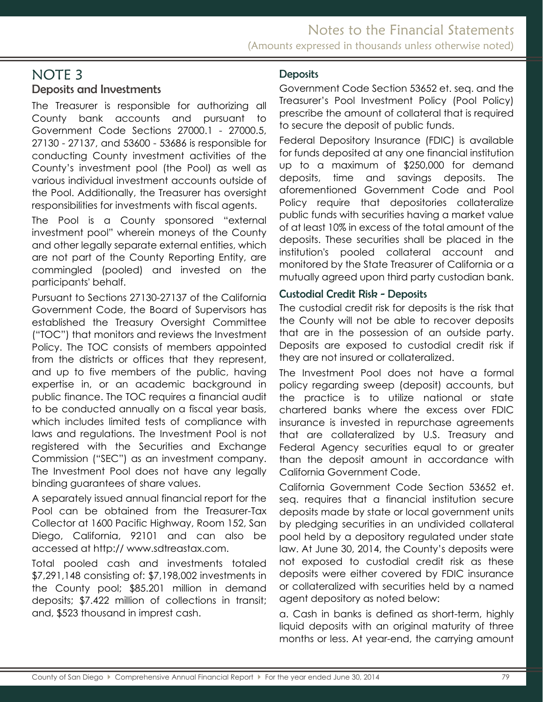### <span id="page-13-0"></span>Deposits and Investments

The Treasurer is responsible for authorizing all County bank accounts and pursuant to Government Code Sections 27000.1 - 27000.5, 27130 - 27137, and 53600 - 53686 is responsible for conducting County investment activities of the County's investment pool (the Pool) as well as various individual investment accounts outside of the Pool. Additionally, the Treasurer has oversight responsibilities for investments with fiscal agents.

The Pool is a County sponsored "external investment pool" wherein moneys of the County and other legally separate external entities, which are not part of the County Reporting Entity, are commingled (pooled) and invested on the participants' behalf.

Pursuant to Sections 27130-27137 of the California Government Code, the Board of Supervisors has established the Treasury Oversight Committee ("TOC") that monitors and reviews the Investment Policy. The TOC consists of members appointed from the districts or offices that they represent, and up to five members of the public, having expertise in, or an academic background in public finance. The TOC requires a financial audit to be conducted annually on a fiscal year basis, which includes limited tests of compliance with laws and regulations. The Investment Pool is not registered with the Securities and Exchange Commission ("SEC") as an investment company. The Investment Pool does not have any legally binding guarantees of share values.

A separately issued annual financial report for the Pool can be obtained from the Treasurer-Tax Collector at 1600 Pacific Highway, Room 152, San Diego, California, 92101 and can also be accessed at http:// www.sdtreastax.com.

Total pooled cash and investments totaled \$7,291,148 consisting of: \$7,198,002 investments in the County pool; \$85.201 million in demand deposits; \$7.422 million of collections in transit; and, \$523 thousand in imprest cash.

#### <span id="page-13-1"></span>**Deposits**

Government Code Section 53652 et. seq. and the Treasurer's Pool Investment Policy (Pool Policy) prescribe the amount of collateral that is required to secure the deposit of public funds.

Federal Depository Insurance (FDIC) is available for funds deposited at any one financial institution up to a maximum of \$250,000 for demand deposits, time and savings deposits. The aforementioned Government Code and Pool Policy require that depositories collateralize public funds with securities having a market value of at least 10% in excess of the total amount of the deposits. These securities shall be placed in the institution's pooled collateral account and monitored by the State Treasurer of California or a mutually agreed upon third party custodian bank.

#### <span id="page-13-2"></span>Custodial Credit Risk - Deposits

The custodial credit risk for deposits is the risk that the County will not be able to recover deposits that are in the possession of an outside party. Deposits are exposed to custodial credit risk if they are not insured or collateralized.

The Investment Pool does not have a formal policy regarding sweep (deposit) accounts, but the practice is to utilize national or state chartered banks where the excess over FDIC insurance is invested in repurchase agreements that are collateralized by U.S. Treasury and Federal Agency securities equal to or greater than the deposit amount in accordance with California Government Code.

California Government Code Section 53652 et. seq. requires that a financial institution secure deposits made by state or local government units by pledging securities in an undivided collateral pool held by a depository regulated under state law. At June 30, 2014, the County's deposits were not exposed to custodial credit risk as these deposits were either covered by FDIC insurance or collateralized with securities held by a named agent depository as noted below:

a. Cash in banks is defined as short-term, highly liquid deposits with an original maturity of three months or less. At year-end, the carrying amount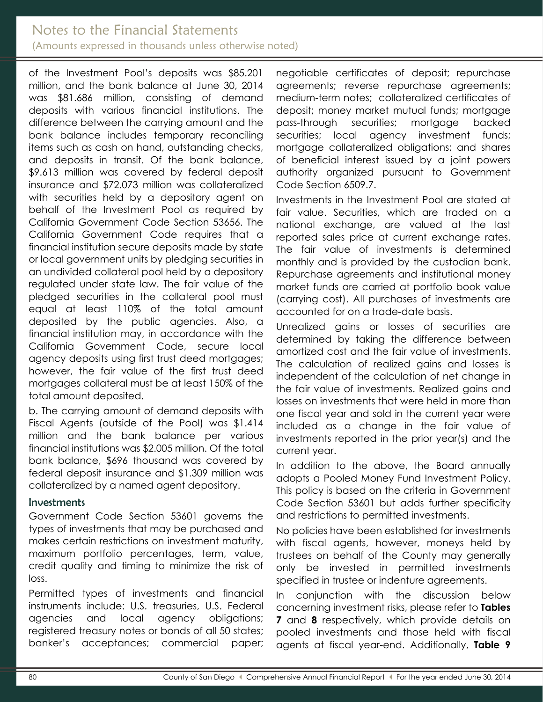# Notes to the Financial Statements (Amounts expressed in thousands unless otherwise noted)

of the Investment Pool's deposits was \$85.201 million, and the bank balance at June 30, 2014 was \$81.686 million, consisting of demand deposits with various financial institutions. The difference between the carrying amount and the bank balance includes temporary reconciling items such as cash on hand, outstanding checks, and deposits in transit. Of the bank balance, \$9.613 million was covered by federal deposit insurance and \$72.073 million was collateralized with securities held by a depository agent on behalf of the Investment Pool as required by California Government Code Section 53656. The California Government Code requires that a financial institution secure deposits made by state or local government units by pledging securities in an undivided collateral pool held by a depository regulated under state law. The fair value of the pledged securities in the collateral pool must equal at least 110% of the total amount deposited by the public agencies. Also, a financial institution may, in accordance with the California Government Code, secure local agency deposits using first trust deed mortgages; however, the fair value of the first trust deed mortgages collateral must be at least 150% of the total amount deposited.

b. The carrying amount of demand deposits with Fiscal Agents (outside of the Pool) was \$1.414 million and the bank balance per various financial institutions was \$2.005 million. Of the total bank balance, \$696 thousand was covered by federal deposit insurance and \$1.309 million was collateralized by a named agent depository.

#### <span id="page-14-0"></span>Investments

Government Code Section 53601 governs the types of investments that may be purchased and makes certain restrictions on investment maturity, maximum portfolio percentages, term, value, credit quality and timing to minimize the risk of loss.

Permitted types of investments and financial instruments include: U.S. treasuries, U.S. Federal agencies and local agency obligations; registered treasury notes or bonds of all 50 states; banker's acceptances; commercial paper;

negotiable certificates of deposit; repurchase agreements; reverse repurchase agreements; medium-term notes; collateralized certificates of deposit; money market mutual funds; mortgage pass-through securities; mortgage backed securities; local agency investment funds; mortgage collateralized obligations; and shares of beneficial interest issued by a joint powers authority organized pursuant to Government Code Section 6509.7.

Investments in the Investment Pool are stated at fair value. Securities, which are traded on a national exchange, are valued at the last reported sales price at current exchange rates. The fair value of investments is determined monthly and is provided by the custodian bank. Repurchase agreements and institutional money market funds are carried at portfolio book value (carrying cost). All purchases of investments are accounted for on a trade-date basis.

Unrealized gains or losses of securities are determined by taking the difference between amortized cost and the fair value of investments. The calculation of realized gains and losses is independent of the calculation of net change in the fair value of investments. Realized gains and losses on investments that were held in more than one fiscal year and sold in the current year were included as a change in the fair value of investments reported in the prior year(s) and the current year.

In addition to the above, the Board annually adopts a Pooled Money Fund Investment Policy. This policy is based on the criteria in Government Code Section 53601 but adds further specificity and restrictions to permitted investments.

No policies have been established for investments with fiscal agents, however, moneys held by trustees on behalf of the County may generally only be invested in permitted investments specified in trustee or indenture agreements.

In conjunction with the discussion below concerning investment risks, please refer to **Tables 7** and **8** respectively, which provide details on pooled investments and those held with fiscal agents at fiscal year-end. Additionally, **Table 9**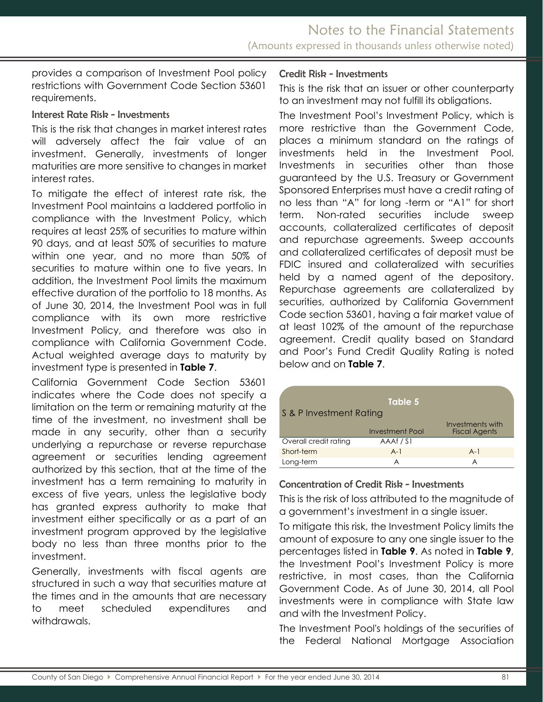provides a comparison of Investment Pool policy restrictions with Government Code Section 53601 requirements.

#### Interest Rate Risk - Investments

This is the risk that changes in market interest rates will adversely affect the fair value of an investment. Generally, investments of longer maturities are more sensitive to changes in market interest rates.

To mitigate the effect of interest rate risk, the Investment Pool maintains a laddered portfolio in compliance with the Investment Policy, which requires at least 25% of securities to mature within 90 days, and at least 50% of securities to mature within one year, and no more than 50% of securities to mature within one to five years. In addition, the Investment Pool limits the maximum effective duration of the portfolio to 18 months. As of June 30, 2014, the Investment Pool was in full compliance with its own more restrictive Investment Policy, and therefore was also in compliance with California Government Code. Actual weighted average days to maturity by investment type is presented in **Table 7**.

California Government Code Section 53601 indicates where the Code does not specify a limitation on the term or remaining maturity at the time of the investment, no investment shall be made in any security, other than a security underlying a repurchase or reverse repurchase agreement or securities lending agreement authorized by this section, that at the time of the investment has a term remaining to maturity in excess of five years, unless the legislative body has granted express authority to make that investment either specifically or as a part of an investment program approved by the legislative body no less than three months prior to the investment.

Generally, investments with fiscal agents are structured in such a way that securities mature at the times and in the amounts that are necessary to meet scheduled expenditures and withdrawals.

#### Credit Risk - Investments

This is the risk that an issuer or other counterparty to an investment may not fulfill its obligations.

The Investment Pool's Investment Policy, which is more restrictive than the Government Code, places a minimum standard on the ratings of investments held in the Investment Pool. Investments in securities other than those guaranteed by the U.S. Treasury or Government Sponsored Enterprises must have a credit rating of no less than "A" for long -term or "A1" for short term. Non-rated securities include sweep accounts, collateralized certificates of deposit and repurchase agreements. Sweep accounts and collateralized certificates of deposit must be FDIC insured and collateralized with securities held by a named agent of the depository. Repurchase agreements are collateralized by securities, authorized by California Government Code section 53601, having a fair market value of at least 102% of the amount of the repurchase agreement. Credit quality based on Standard and Poor's Fund Credit Quality Rating is noted below and on **Table 7**.

| S & P Investment Rating | Table 5                |                                          |
|-------------------------|------------------------|------------------------------------------|
|                         | <b>Investment Pool</b> | Investments with<br><b>Fiscal Agents</b> |
| Overall credit rating   | AAAf/S1                |                                          |
| Short-term              | $A-1$                  | $A-1$                                    |
| Long-term               | A                      | A                                        |

#### Concentration of Credit Risk - Investments

This is the risk of loss attributed to the magnitude of a government's investment in a single issuer.

To mitigate this risk, the Investment Policy limits the amount of exposure to any one single issuer to the percentages listed in **Table 9**. As noted in **Table 9**, the Investment Pool's Investment Policy is more restrictive, in most cases, than the California Government Code. As of June 30, 2014, all Pool investments were in compliance with State law and with the Investment Policy.

The Investment Pool's holdings of the securities of the Federal National Mortgage Association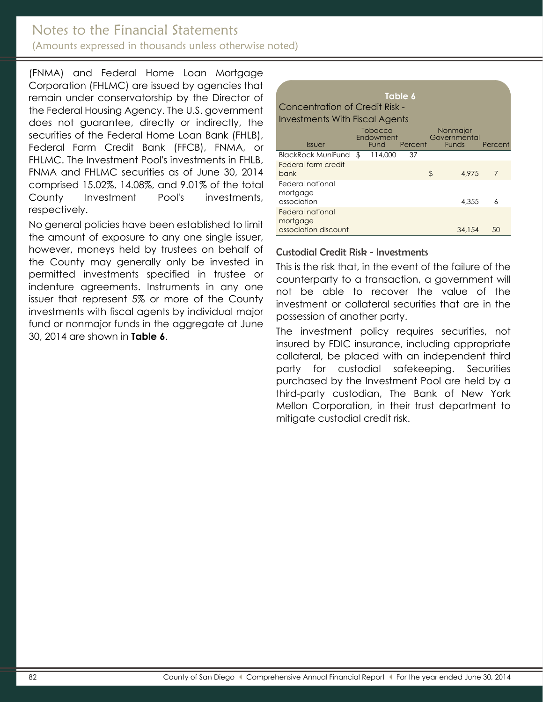## Notes to the Financial Statements (Amounts expressed in thousands unless otherwise noted)

(FNMA) and Federal Home Loan Mortgage Corporation (FHLMC) are issued by agencies that remain under conservatorship by the Director of the Federal Housing Agency. The U.S. government does not guarantee, directly or indirectly, the securities of the Federal Home Loan Bank (FHLB), Federal Farm Credit Bank (FFCB), FNMA, or FHLMC. The Investment Pool's investments in FHLB, FNMA and FHLMC securities as of June 30, 2014 comprised 15.02%, 14.08%, and 9.01% of the total County Investment Pool's investments, respectively.

No general policies have been established to limit the amount of exposure to any one single issuer, however, moneys held by trustees on behalf of the County may generally only be invested in permitted investments specified in trustee or indenture agreements. Instruments in any one issuer that represent 5% or more of the County investments with fiscal agents by individual major fund or nonmajor funds in the aggregate at June 30, 2014 are shown in **Table 6**.

| Table 6                               |  |                                     |         |    |                                          |         |  |
|---------------------------------------|--|-------------------------------------|---------|----|------------------------------------------|---------|--|
| Concentration of Credit Risk -        |  |                                     |         |    |                                          |         |  |
| <b>Investments With Fiscal Agents</b> |  |                                     |         |    |                                          |         |  |
| <i><u><b>Issuer</b></u></i>           |  | Tobacco<br>Endowment<br><b>Fund</b> | Percent |    | Nonmajor<br>Governmental<br><b>Funds</b> | Percent |  |
| BlackRock MuniFund \$                 |  | 114,000                             | 37      |    |                                          |         |  |
| <b>Federal farm credit</b>            |  |                                     |         |    |                                          |         |  |
| bank                                  |  |                                     |         | \$ | 4.975                                    | 7       |  |
| Federal national<br>mortgage          |  |                                     |         |    |                                          |         |  |
| association                           |  |                                     |         |    | 4,355                                    | 6       |  |
| Federal national                      |  |                                     |         |    |                                          |         |  |
| mortgage<br>association discount      |  |                                     |         |    | 34,154                                   | 50      |  |

#### Custodial Credit Risk - Investments

This is the risk that, in the event of the failure of the counterparty to a transaction, a government will not be able to recover the value of the investment or collateral securities that are in the possession of another party.

The investment policy requires securities, not insured by FDIC insurance, including appropriate collateral, be placed with an independent third party for custodial safekeeping. Securities purchased by the Investment Pool are held by a third-party custodian, The Bank of New York Mellon Corporation, in their trust department to mitigate custodial credit risk.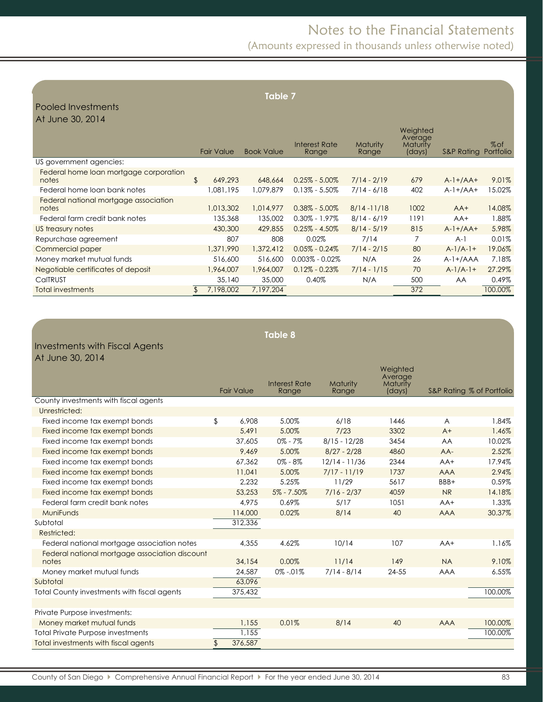# Notes to the Financial Statements

(Amounts expressed in thousands unless otherwise noted)

| <b>Table 7</b><br>Pooled Investments<br>At June 30, 2014 |    |                   |                   |                        |                          |                                           |            |                     |
|----------------------------------------------------------|----|-------------------|-------------------|------------------------|--------------------------|-------------------------------------------|------------|---------------------|
|                                                          |    | <b>Fair Value</b> | <b>Book Value</b> | Interest Rate<br>Range | <b>Maturity</b><br>Range | Weighted<br>Average<br>Maturity<br>(days) | S&P Rating | $%$ of<br>Portfolio |
| US government agencies:                                  |    |                   |                   |                        |                          |                                           |            |                     |
| Federal home loan mortgage corporation<br>notes          | \$ | 649,293           | 648,664           | $0.25\% - 5.00\%$      | $7/14 - 2/19$            | 679                                       | $A-1+/AA+$ | 9.01%               |
| Federal home loan bank notes                             |    | 1,081,195         | 1,079,879         | $0.13\% - 5.50\%$      | $7/14 - 6/18$            | 402                                       | $A-1+/AA+$ | 15.02%              |
| Federal national mortgage association<br>notes           |    | 1,013,302         | 1,014,977         | $0.38\% - 5.00\%$      | $8/14 - 11/18$           | 1002                                      | $AA+$      | 14.08%              |
| Federal farm credit bank notes                           |    | 135,368           | 135,002           | $0.30\% - 1.97\%$      | $8/14 - 6/19$            | 1191                                      | $AA+$      | 1.88%               |
| US treasury notes                                        |    | 430,300           | 429,855           | $0.25\% - 4.50\%$      | $8/14 - 5/19$            | 815                                       | $A-1+/AA+$ | 5.98%               |
| Repurchase agreement                                     |    | 807               | 808               | 0.02%                  | 7/14                     | $\overline{7}$                            | $A-1$      | 0.01%               |
| Commercial paper                                         |    | 1,371,990         | 1,372,412         | $0.05\% - 0.24\%$      | $7/14 - 2/15$            | 80                                        | $A-1/A-1+$ | 19.06%              |
| Money market mutual funds                                |    | 516,600           | 516,600           | $0.003\% - 0.02\%$     | N/A                      | 26                                        | $A-1+/AAA$ | 7.18%               |
| Negotiable certificates of deposit                       |    | 1,964,007         | 1,964,007         | $0.12\% - 0.23\%$      | $7/14 - 1/15$            | 70                                        | $A-1/A-1+$ | 27.29%              |
| CalTRUST                                                 |    | 35,140            | 35,000            | 0.40%                  | N/A                      | 500                                       | <b>AA</b>  | 0.49%               |
| Total investments                                        | \$ | 7,198,002         | 7,197,204         |                        |                          | 372                                       |            | 100.00%             |

|                                                         |                   | <b>Table 8</b>                |                   |                                           |                |                           |
|---------------------------------------------------------|-------------------|-------------------------------|-------------------|-------------------------------------------|----------------|---------------------------|
| <b>Investments with Fiscal Agents</b>                   |                   |                               |                   |                                           |                |                           |
| At June 30, 2014                                        |                   |                               |                   |                                           |                |                           |
|                                                         | <b>Fair Value</b> | <b>Interest Rate</b><br>Range | Maturity<br>Range | Weighted<br>Average<br>Maturity<br>(days) |                | S&P Rating % of Portfolio |
| County investments with fiscal agents                   |                   |                               |                   |                                           |                |                           |
| Unrestricted:                                           |                   |                               |                   |                                           |                |                           |
| Fixed income tax exempt bonds                           | \$<br>6.908       | 5.00%                         | 6/18              | 1446                                      | $\overline{A}$ | 1.84%                     |
| Fixed income tax exempt bonds                           | 5,491             | 5.00%                         | 7/23              | 3302                                      | $A+$           | 1.46%                     |
| Fixed income tax exempt bonds                           | 37,605            | $0\% - 7\%$                   | $8/15 - 12/28$    | 3454                                      | AA             | 10.02%                    |
| Fixed income tax exempt bonds                           | 9,469             | 5.00%                         | $8/27 - 2/28$     | 4860                                      | AA-            | 2.52%                     |
| Fixed income tax exempt bonds                           | 67,362            | $0\% - 8\%$                   | $12/14 - 11/36$   | 2344                                      | $AA+$          | 17.94%                    |
| Fixed income tax exempt bonds                           | 11,041            | 5.00%                         | $7/17 - 11/19$    | 1737                                      | <b>AAA</b>     | 2.94%                     |
| Fixed income tax exempt bonds                           | 2,232             | 5.25%                         | 11/29             | 5617                                      | BBB+           | 0.59%                     |
| Fixed income tax exempt bonds                           | 53,253            | $5\% - 7.50\%$                | $7/16 - 2/37$     | 4059                                      | <b>NR</b>      | 14.18%                    |
| Federal farm credit bank notes                          | 4,975             | 0.69%                         | 5/17              | 1051                                      | $AA+$          | 1.33%                     |
| MuniFunds                                               | 114,000           | 0.02%                         | 8/14              | 40                                        | <b>AAA</b>     | 30.37%                    |
| Subtotal                                                | 312,336           |                               |                   |                                           |                |                           |
| Restricted:                                             |                   |                               |                   |                                           |                |                           |
| Federal national mortgage association notes             | 4,355             | 4.62%                         | 10/14             | 107                                       | $AA+$          | 1.16%                     |
| Federal national mortgage association discount<br>notes | 34,154            | 0.00%                         | 11/14             | 149                                       | <b>NA</b>      | 9.10%                     |
| Money market mutual funds                               | 24,587            | $0\% - 01\%$                  | $7/14 - 8/14$     | 24-55                                     | <b>AAA</b>     | 6.55%                     |
| Subtotal                                                | 63,096            |                               |                   |                                           |                |                           |
| Total County investments with fiscal agents             | 375,432           |                               |                   |                                           |                | 100.00%                   |
| Private Purpose investments:                            |                   |                               |                   |                                           |                |                           |
| Money market mutual funds                               | 1,155             | 0.01%                         | 8/14              | 40                                        | <b>AAA</b>     | 100.00%                   |
| <b>Total Private Purpose investments</b>                | 1,155             |                               |                   |                                           |                | 100.00%                   |

Total investments with fiscal agents **\$ 376,587**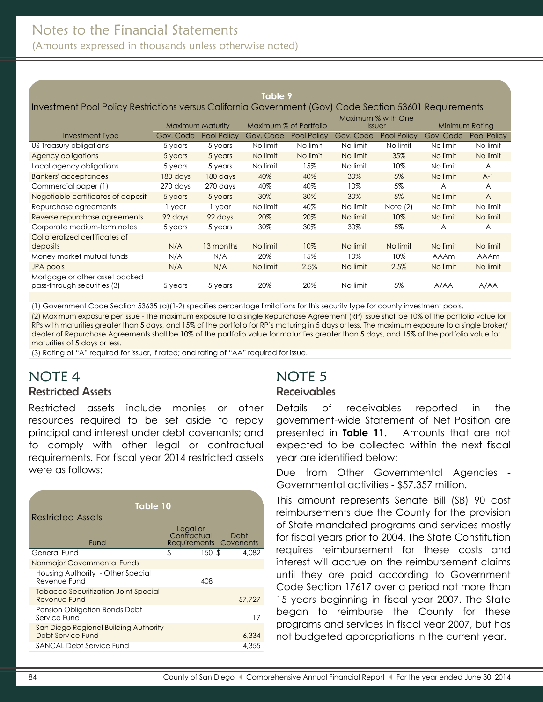(Amounts expressed in thousands unless otherwise noted)

#### **Table 9**

#### Investment Pool Policy Restrictions versus California Government (Gov) Code Section 53601 Requirements

|                                    |                  |             |                        |             | Maximum % with One |             |                |                |
|------------------------------------|------------------|-------------|------------------------|-------------|--------------------|-------------|----------------|----------------|
|                                    | Maximum Maturity |             | Maximum % of Portfolio |             | <b>Issuer</b>      |             | Minimum Rating |                |
| Investment Type                    | Gov. Code        | Pool Policy | Gov. Code              | Pool Policy | Gov. Code          | Pool Policy | Gov. Code      | Pool Policy    |
| US Treasury obligations            | 5 years          | 5 years     | No limit               | No limit    | No limit           | No limit    | No limit       | No limit       |
| Agency obligations                 | 5 years          | 5 years     | No limit               | No limit    | No limit           | 35%         | No limit       | No limit       |
| Local agency obligations           | 5 years          | 5 years     | No limit               | 15%         | No limit           | 10%         | No limit       | A              |
| <b>Bankers' acceptances</b>        | 180 days         | 180 days    | 40%                    | 40%         | 30%                | 5%          | No limit       | $A-1$          |
| Commercial paper (1)               | 270 days         | 270 days    | 40%                    | 40%         | 10%                | 5%          | A              | $\overline{A}$ |
| Negotiable certificates of deposit | 5 years          | 5 years     | 30%                    | 30%         | 30%                | $5\%$       | No limit       | $\overline{A}$ |
| Repurchase agreements              | 1 year           | 1 year      | No limit               | 40%         | No limit           | Note $(2)$  | No limit       | No limit       |
| Reverse repurchase agreements      | 92 days          | 92 days     | 20%                    | 20%         | No limit           | 10%         | No limit       | No limit       |
| Corporate medium-term notes        | 5 years          | 5 years     | 30%                    | 30%         | 30%                | 5%          | $\overline{A}$ | A              |
| Collateralized certificates of     |                  |             |                        |             |                    |             |                |                |
| deposits                           | N/A              | 13 months   | No limit               | 10%         | No limit           | No limit    | No limit       | No limit       |
| Money market mutual funds          | N/A              | N/A         | 20%                    | 15%         | 10%                | 10%         | <b>AAAm</b>    | AAAm           |
| JPA pools                          | N/A              | N/A         | No limit               | 2.5%        | No limit           | 2.5%        | No limit       | No limit       |
| Mortgage or other asset backed     |                  |             |                        |             |                    |             |                |                |
| pass-through securities (3)        | 5 years          | 5 years     | 20%                    | 20%         | No limit           | 5%          | A/AA           | A/AA           |

(1) Government Code Section 53635 (a)(1-2) specifies percentage limitations for this security type for county investment pools.

(2) Maximum exposure per issue - The maximum exposure to a single Repurchase Agreement (RP) issue shall be 10% of the portfolio value for RPs with maturities greater than 5 days, and 15% of the portfolio for RP's maturing in 5 days or less. The maximum exposure to a single broker/ dealer of Repurchase Agreements shall be 10% of the portfolio value for maturities greater than 5 days, and 15% of the portfolio value for maturities of 5 days or less.

(3) Rating of "A" required for issuer, if rated; and rating of "AA" required for issue.

## <span id="page-18-1"></span><span id="page-18-0"></span>NOTE 4 Restricted Assets

Restricted assets include monies or other resources required to be set aside to repay principal and interest under debt covenants; and to comply with other legal or contractual requirements. For fiscal year 2014 restricted assets were as follows:

| Table 10                                                   |                                                        |        |
|------------------------------------------------------------|--------------------------------------------------------|--------|
| Restricted Assets                                          |                                                        |        |
| Fund                                                       | Legal or<br>Contractual Debt<br>Requirements Covenants |        |
| General Fund                                               | \$<br>150S                                             | 4.082  |
| Nonmajor Governmental Funds                                |                                                        |        |
| Housing Authority - Other Special<br>Revenue Fund          | 408                                                    |        |
| Tobacco Securitization Joint Special<br>Revenue Fund       |                                                        | 57.727 |
| Pension Obligation Bonds Debt<br>Service Fund              |                                                        | 17     |
| San Diego Regional Building Authority<br>Debt Service Fund |                                                        | 6,334  |
| SANCAL Debt Service Fund                                   |                                                        | 4.355  |
|                                                            |                                                        |        |

# NOTE 5

#### **Receivables**

Details of receivables reported in the government-wide Statement of Net Position are presented in **Table 11**.Amounts that are not expected to be collected within the next fiscal year are identified below:

Due from Other Governmental Agencies - Governmental activities - \$57.357 million.

This amount represents Senate Bill (SB) 90 cost reimbursements due the County for the provision of State mandated programs and services mostly for fiscal years prior to 2004. The State Constitution requires reimbursement for these costs and interest will accrue on the reimbursement claims until they are paid according to Government Code Section 17617 over a period not more than 15 years beginning in fiscal year 2007. The State began to reimburse the County for these programs and services in fiscal year 2007, but has not budgeted appropriations in the current year.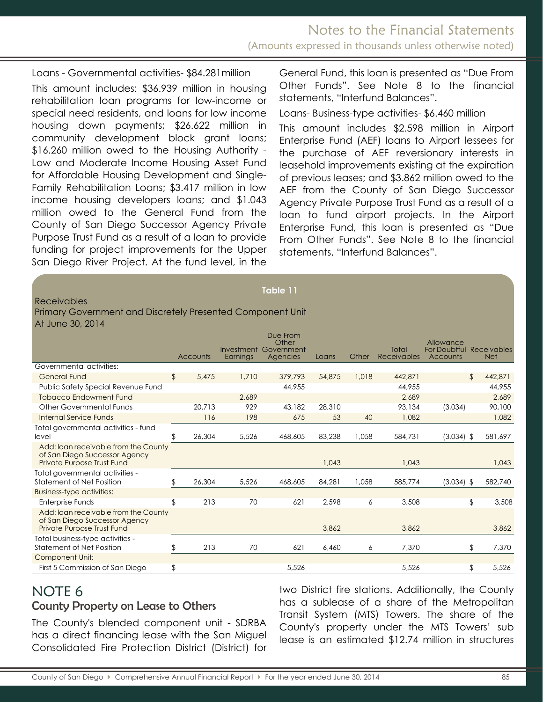Loans - Governmental activities- \$84.281million This amount includes: \$36.939 million in housing rehabilitation loan programs for low-income or special need residents, and loans for low income housing down payments; \$26.622 million in community development block grant loans; \$16.260 million owed to the Housing Authority - Low and Moderate Income Housing Asset Fund for Affordable Housing Development and Single-Family Rehabilitation Loans; \$3.417 million in low income housing developers loans; and \$1.043 million owed to the General Fund from the County of San Diego Successor Agency Private Purpose Trust Fund as a result of a loan to provide funding for project improvements for the Upper San Diego River Project. At the fund level, in the General Fund, this loan is presented as "Due From Other Funds". See Note 8 to the financial statements, "Interfund Balances".

Loans- Business-type activities- \$6.460 million

This amount includes \$2.598 million in Airport Enterprise Fund (AEF) loans to Airport lessees for the purchase of AEF reversionary interests in leasehold improvements existing at the expiration of previous leases; and \$3.862 million owed to the AEF from the County of San Diego Successor Agency Private Purpose Trust Fund as a result of a loan to fund airport projects. In the Airport Enterprise Fund, this loan is presented as "Due From Other Funds". See Note 8 to the financial statements, "Interfund Balances".

#### Receivables

|                  | Primary Government and Discretely Presented Component Unit |  |  |
|------------------|------------------------------------------------------------|--|--|
| At June 30, 2014 |                                                            |  |  |

|                                                                                                     |    |          | Investment | Due From<br>Other<br>Government |        |       | Total              | Allowance<br>For Doubtful Receivables |               |
|-----------------------------------------------------------------------------------------------------|----|----------|------------|---------------------------------|--------|-------|--------------------|---------------------------------------|---------------|
|                                                                                                     |    | Accounts | Earnings   | Agencies                        | Loans  | Other | <b>Receivables</b> | Accounts                              | <b>Net</b>    |
| Governmental activities:                                                                            |    |          |            |                                 |        |       |                    |                                       |               |
| <b>General Fund</b>                                                                                 | \$ | 5.475    | 1,710      | 379,793                         | 54,875 | 1,018 | 442,871            |                                       | \$<br>442,871 |
| Public Safety Special Revenue Fund                                                                  |    |          |            | 44,955                          |        |       | 44.955             |                                       | 44,955        |
| <b>Tobacco Endowment Fund</b>                                                                       |    |          | 2.689      |                                 |        |       | 2,689              |                                       | 2,689         |
| <b>Other Governmental Funds</b>                                                                     |    | 20.713   | 929        | 43,182                          | 28,310 |       | 93,134             | (3,034)                               | 90,100        |
| <b>Internal Service Funds</b>                                                                       |    | 116      | 198        | 675                             | 53     | 40    | 1.082              |                                       | 1,082         |
| Total governmental activities - fund<br>level                                                       | S  | 26,304   | 5.526      | 468,605                         | 83,238 | 1,058 | 584,731            | $(3,034)$ \$                          | 581,697       |
| Add: Ioan receivable from the County<br>of San Diego Successor Agency<br>Private Purpose Trust Fund |    |          |            |                                 | 1.043  |       | 1.043              |                                       | 1,043         |
| Total governmental activities -<br>Statement of Net Position                                        | \$ | 26,304   | 5,526      | 468,605                         | 84.281 | 1,058 | 585,774            | $(3,034)$ \$                          | 582,740       |
| <b>Business-type activities:</b>                                                                    |    |          |            |                                 |        |       |                    |                                       |               |
| Enterprise Funds                                                                                    | \$ | 213      | 70         | 621                             | 2,598  | 6     | 3,508              |                                       | \$<br>3,508   |
| Add: Ioan receivable from the County<br>of San Diego Successor Agency<br>Private Purpose Trust Fund |    |          |            |                                 | 3,862  |       | 3,862              |                                       | 3,862         |
| Total business-type activities -<br><b>Statement of Net Position</b>                                | \$ | 213      | 70         | 621                             | 6.460  | 6     | 7,370              |                                       | \$<br>7,370   |
| <b>Component Unit:</b>                                                                              |    |          |            |                                 |        |       |                    |                                       |               |
| First 5 Commission of San Diego                                                                     | \$ |          |            | 5,526                           |        |       | 5,526              |                                       | \$<br>5,526   |

**Table 11**

# <span id="page-19-0"></span>NOTE 6

<span id="page-19-1"></span>County Property on Lease to Others

The County's blended component unit - SDRBA has a direct financing lease with the San Miguel Consolidated Fire Protection District (District) for two District fire stations. Additionally, the County has a sublease of a share of the Metropolitan Transit System (MTS) Towers. The share of the County's property under the MTS Towers' sub lease is an estimated \$12.74 million in structures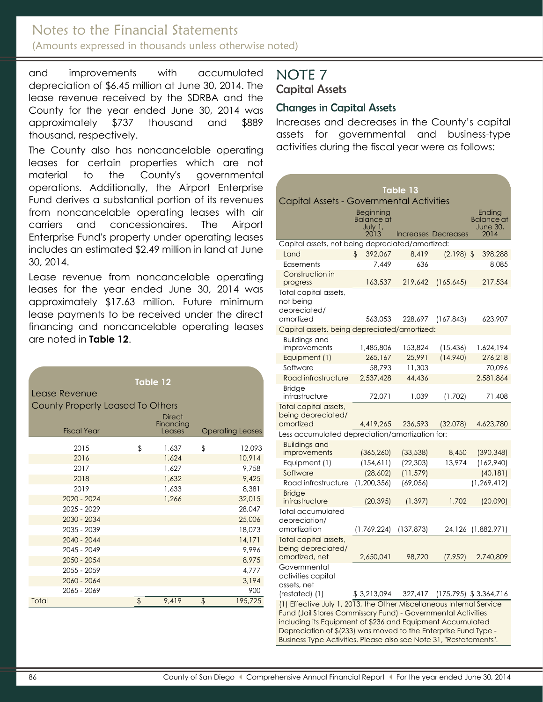# Notes to the Financial Statements

(Amounts expressed in thousands unless otherwise noted)

and improvements with accumulated depreciation of \$6.45 million at June 30, 2014. The lease revenue received by the SDRBA and the County for the year ended June 30, 2014 was approximately \$737 thousand and \$889 thousand, respectively.

The County also has noncancelable operating leases for certain properties which are not material to the County's governmental operations. Additionally, the Airport Enterprise Fund derives a substantial portion of its revenues from noncancelable operating leases with air carriers and concessionaires. The Airport Enterprise Fund's property under operating leases includes an estimated \$2.49 million in land at June 30, 2014.

Lease revenue from noncancelable operating leases for the year ended June 30, 2014 was approximately \$17.63 million. Future minimum lease payments to be received under the direct financing and noncancelable operating leases are noted in **Table 12**.

| Lease Revenue<br>County Property Leased To Others | <b>Table 12</b><br><b>Direct</b> |                         |
|---------------------------------------------------|----------------------------------|-------------------------|
| <b>Fiscal Year</b>                                | Financing<br>Leases              | <b>Operating Leases</b> |
| 2015                                              | \$<br>1,637                      | \$<br>12,093            |
| 2016                                              | 1,624                            | 10.914                  |
| 2017                                              | 1,627                            | 9,758                   |
| 2018                                              | 1,632                            | 9,425                   |
| 2019                                              | 1.633                            | 8.381                   |
| 2020 - 2024                                       | 1.266                            | 32,015                  |
| $2025 - 2029$                                     |                                  | 28,047                  |
| 2030 - 2034                                       |                                  | 25,006                  |
| 2035 - 2039                                       |                                  | 18,073                  |
| $2040 - 2044$                                     |                                  | 14,171                  |
| $2045 - 2049$                                     |                                  | 9.996                   |
| 2050 - 2054                                       |                                  | 8,975                   |
| $20.55 - 20.59$                                   |                                  | 4,777                   |
| 2060 - 2064                                       |                                  | 3,194                   |
| 2065 - 2069                                       |                                  | 900                     |
| Total                                             | \$<br>9,419                      | \$<br>195,725           |

# <span id="page-20-0"></span>NOTE 7 Capital Assets

### <span id="page-20-1"></span>Changes in Capital Assets

Increases and decreases in the County's capital assets for governmental and business-type activities during the fiscal year were as follows:

| Table 13                                                                                                                                                                                                                                                                                                                                    |                                                   |            |                     |                                          |  |  |  |  |  |  |
|---------------------------------------------------------------------------------------------------------------------------------------------------------------------------------------------------------------------------------------------------------------------------------------------------------------------------------------------|---------------------------------------------------|------------|---------------------|------------------------------------------|--|--|--|--|--|--|
| Capital Assets - Governmental Activities                                                                                                                                                                                                                                                                                                    |                                                   |            |                     |                                          |  |  |  |  |  |  |
|                                                                                                                                                                                                                                                                                                                                             | Beginning<br><b>Balance</b> at<br>July 1,<br>2013 |            | Increases Decreases | Ending<br>Balance at<br>June 30,<br>2014 |  |  |  |  |  |  |
| Capital assets, not being depreciated/amortized:                                                                                                                                                                                                                                                                                            |                                                   |            |                     |                                          |  |  |  |  |  |  |
| Land                                                                                                                                                                                                                                                                                                                                        | 392,067<br>\$                                     | 8.419      | $(2,198)$ \$        | 398,288                                  |  |  |  |  |  |  |
| Easements                                                                                                                                                                                                                                                                                                                                   | 7,449                                             | 636        |                     | 8,085                                    |  |  |  |  |  |  |
| Construction in<br>progress                                                                                                                                                                                                                                                                                                                 | 163,537                                           | 219,642    | (165, 645)          | 217,534                                  |  |  |  |  |  |  |
| Total capital assets,<br>not being<br>depreciated/                                                                                                                                                                                                                                                                                          |                                                   |            |                     |                                          |  |  |  |  |  |  |
| amortized                                                                                                                                                                                                                                                                                                                                   | 563,053                                           | 228,697    | (167, 843)          | 623,907                                  |  |  |  |  |  |  |
| Capital assets, being depreciated/amortized:<br><b>Buildings and</b>                                                                                                                                                                                                                                                                        |                                                   |            |                     |                                          |  |  |  |  |  |  |
| improvements                                                                                                                                                                                                                                                                                                                                | 1,485,806                                         | 153,824    | (15, 436)           | 1,624,194                                |  |  |  |  |  |  |
| Equipment (1)                                                                                                                                                                                                                                                                                                                               | 265,167                                           | 25,991     | (14,940)            | 276,218                                  |  |  |  |  |  |  |
| Software                                                                                                                                                                                                                                                                                                                                    | 58,793                                            | 11,303     |                     | 70.096                                   |  |  |  |  |  |  |
| Road infrastructure                                                                                                                                                                                                                                                                                                                         | 2,537,428                                         | 44,436     |                     | 2,581,864                                |  |  |  |  |  |  |
| <b>Bridge</b><br>infrastructure                                                                                                                                                                                                                                                                                                             | 72,071                                            | 1,039      | (1,702)             | 71,408                                   |  |  |  |  |  |  |
| Total capital assets,<br>being depreciated/<br>amortized                                                                                                                                                                                                                                                                                    | 4,419,265                                         | 236,593    | (32,078)            | 4,623,780                                |  |  |  |  |  |  |
| Less accumulated depreciation/amortization for:                                                                                                                                                                                                                                                                                             |                                                   |            |                     |                                          |  |  |  |  |  |  |
| <b>Buildings and</b>                                                                                                                                                                                                                                                                                                                        |                                                   |            |                     |                                          |  |  |  |  |  |  |
| improvements                                                                                                                                                                                                                                                                                                                                | (365, 260)                                        | (33, 538)  | 8,450               | (390, 348)                               |  |  |  |  |  |  |
| Equipment (1)                                                                                                                                                                                                                                                                                                                               | (154,611)                                         | (22, 303)  | 13,974              | (162,940)                                |  |  |  |  |  |  |
| Software                                                                                                                                                                                                                                                                                                                                    | (28,602)                                          | (11, 579)  |                     | (40, 181)                                |  |  |  |  |  |  |
| Road infrastructure                                                                                                                                                                                                                                                                                                                         | (1,200,356)                                       | (69,056)   |                     | (1, 269, 412)                            |  |  |  |  |  |  |
| <b>Bridge</b><br>infrastructure                                                                                                                                                                                                                                                                                                             | (20, 395)                                         | (1, 397)   | 1,702               | (20,090)                                 |  |  |  |  |  |  |
| Total accumulated<br>depreciation/                                                                                                                                                                                                                                                                                                          |                                                   |            |                     |                                          |  |  |  |  |  |  |
| amortization                                                                                                                                                                                                                                                                                                                                | (1,769,224)                                       | (137, 873) | 24,126              | (1,882,971)                              |  |  |  |  |  |  |
| Total capital assets,<br>being depreciated/<br>amortized, net                                                                                                                                                                                                                                                                               | 2,650,041                                         | 98,720     | (7, 952)            | 2,740,809                                |  |  |  |  |  |  |
| Governmental<br>activities capital<br>assets, net<br>(restated) (1)                                                                                                                                                                                                                                                                         | \$3,213,094                                       |            |                     | 327,417 (175,795) \$3,364,716            |  |  |  |  |  |  |
| (1) Effective July 1, 2013, the Other Miscellaneous Internal Service<br>Fund (Jail Stores Commissary Fund) - Governmental Activities<br>including its Equipment of \$236 and Equipment Accumulated<br>Depreciation of \$(233) was moved to the Enterprise Fund Type -<br>Business Type Activities. Please also see Note 31, "Restatements". |                                                   |            |                     |                                          |  |  |  |  |  |  |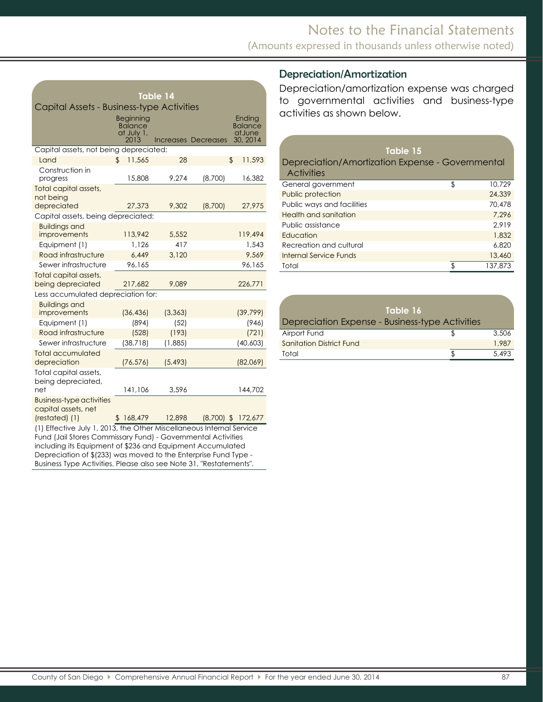| <b>Table 14</b>                                                                                                                                                                                                                                                                                                                                                     |                                                   |          |                            |                                          |  |  |  |  |  |  |
|---------------------------------------------------------------------------------------------------------------------------------------------------------------------------------------------------------------------------------------------------------------------------------------------------------------------------------------------------------------------|---------------------------------------------------|----------|----------------------------|------------------------------------------|--|--|--|--|--|--|
| Capital Assets - Business-type Activities                                                                                                                                                                                                                                                                                                                           |                                                   |          |                            |                                          |  |  |  |  |  |  |
|                                                                                                                                                                                                                                                                                                                                                                     | Beginning<br><b>Balance</b><br>at July 1,<br>2013 |          | <b>Increases Decreases</b> | Ending<br>Balance<br>at June<br>30, 2014 |  |  |  |  |  |  |
| Capital assets, not being depreciated:                                                                                                                                                                                                                                                                                                                              |                                                   |          |                            |                                          |  |  |  |  |  |  |
| Land                                                                                                                                                                                                                                                                                                                                                                | 11,565<br>\$                                      | 28       |                            | \$<br>11,593                             |  |  |  |  |  |  |
| Construction in<br>progress                                                                                                                                                                                                                                                                                                                                         | 15,808                                            | 9,274    | (8,700)                    | 16,382                                   |  |  |  |  |  |  |
| Total capital assets,<br>not being<br>depreciated                                                                                                                                                                                                                                                                                                                   | 27,373                                            | 9,302    | (8,700)                    | 27,975                                   |  |  |  |  |  |  |
| Capital assets, being depreciated:                                                                                                                                                                                                                                                                                                                                  |                                                   |          |                            |                                          |  |  |  |  |  |  |
| <b>Buildings and</b><br>improvements                                                                                                                                                                                                                                                                                                                                | 113,942                                           | 5,552    |                            | 119,494                                  |  |  |  |  |  |  |
| Equipment (1)                                                                                                                                                                                                                                                                                                                                                       | 1,126                                             | 417      |                            | 1,543                                    |  |  |  |  |  |  |
| Road infrastructure                                                                                                                                                                                                                                                                                                                                                 | 6.449                                             | 3,120    |                            | 9,569                                    |  |  |  |  |  |  |
| Sewer infrastructure                                                                                                                                                                                                                                                                                                                                                | 96,165                                            |          |                            | 96,165                                   |  |  |  |  |  |  |
| Total capital assets,<br>being depreciated                                                                                                                                                                                                                                                                                                                          | 217,682                                           | 9,089    |                            | 226,771                                  |  |  |  |  |  |  |
| Less accumulated depreciation for:                                                                                                                                                                                                                                                                                                                                  |                                                   |          |                            |                                          |  |  |  |  |  |  |
| <b>Buildings and</b><br>improvements                                                                                                                                                                                                                                                                                                                                | (36, 436)                                         | (3, 363) |                            | (39, 799)                                |  |  |  |  |  |  |
| Equipment (1)                                                                                                                                                                                                                                                                                                                                                       | (894)                                             | (52)     |                            | (946)                                    |  |  |  |  |  |  |
| Road infrastructure                                                                                                                                                                                                                                                                                                                                                 | (528)                                             | (193)    |                            | (721)                                    |  |  |  |  |  |  |
| Sewer infrastructure                                                                                                                                                                                                                                                                                                                                                | (38, 718)                                         | (1,885)  |                            | (40, 603)                                |  |  |  |  |  |  |
| <b>Total accumulated</b><br>depreciation                                                                                                                                                                                                                                                                                                                            | (76, 576)                                         | (5, 493) |                            | (82,069)                                 |  |  |  |  |  |  |
| Total capital assets,<br>being depreciated,<br>net                                                                                                                                                                                                                                                                                                                  | 141,106                                           | 3,596    |                            | 144,702                                  |  |  |  |  |  |  |
| <b>Business-type activities</b><br>capital assets, net                                                                                                                                                                                                                                                                                                              |                                                   |          |                            |                                          |  |  |  |  |  |  |
| (restated) (1)                                                                                                                                                                                                                                                                                                                                                      | \$168,479                                         | 12,898   |                            |                                          |  |  |  |  |  |  |
| $(8,700)$ \$ 172,677<br>(1) Effective July 1, 2013, the Other Miscellaneous Internal Service<br>Fund (Jail Stores Commissary Fund) - Governmental Activities<br>including its Equipment of \$236 and Equipment Accumulated<br>Depreciation of \$(233) was moved to the Enterprise Fund Type -<br>Business Type Activities. Please also see Note 31, "Restatements". |                                                   |          |                            |                                          |  |  |  |  |  |  |

### Depreciation/Amortization

Depreciation/amortization expense was charged to governmental activities and business-type activities as shown below.

| Table 15<br>Depreciation/Amortization Expense - Governmental<br><b>Activities</b> |              |
|-----------------------------------------------------------------------------------|--------------|
| General government                                                                | \$<br>10.729 |
| Public protection                                                                 | 24,339       |
| Public ways and facilities                                                        | 70,478       |
| Health and sanitation                                                             | 7.296        |
| Public assistance                                                                 | 2.919        |
| Education                                                                         | 1,832        |
| Recreation and cultural                                                           | 6,820        |
| Internal Service Funds                                                            | 13,460       |
| Total                                                                             | 137,873      |

<span id="page-21-0"></span>

| Table 16<br>Depreciation Expense - Business-type Activities |       |
|-------------------------------------------------------------|-------|
| Airport Fund                                                | 3,506 |
| <b>Sanitation District Fund</b>                             | 1.987 |
| Total                                                       | 5.493 |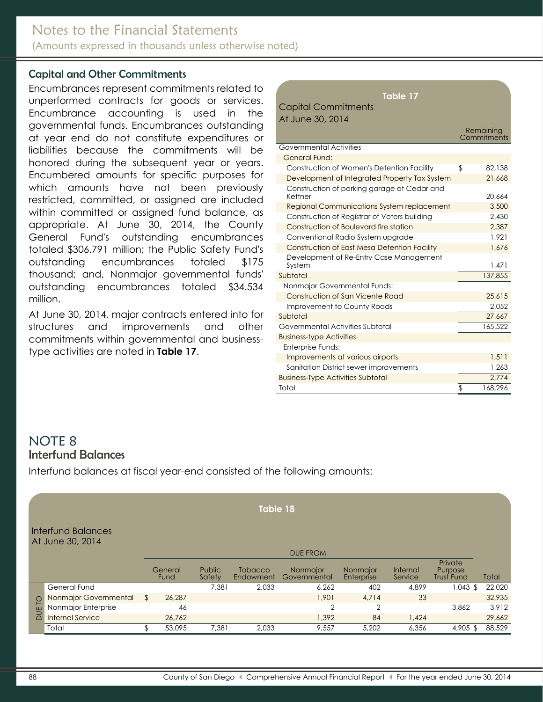#### Capital and Other Commitments

Encumbrances represent commitments related to unperformed contracts for goods or services. Encumbrance accounting is used in the governmental funds. Encumbrances outstanding at year end do not constitute expenditures or liabilities because the commitments will be honored during the subsequent year or years. Encumbered amounts for specific purposes for which amounts have not been previously restricted, committed, or assigned are included within committed or assigned fund balance, as appropriate. At June 30, 2014, the County General Fund's outstanding encumbrances totaled \$306.791 million; the Public Safety Fund's outstanding encumbrances totaled \$175 thousand; and, Nonmajor governmental funds' outstanding encumbrances totaled \$34.534 million.

At June 30, 2014, major contracts entered into for structures and improvements and other commitments within governmental and businesstype activities are noted in **Table 17**.

| Table 17                                               |               |
|--------------------------------------------------------|---------------|
| <b>Capital Commitments</b>                             |               |
| At June 30, 2014                                       |               |
|                                                        | Remaining     |
|                                                        | Commitments   |
| Governmental Activities                                |               |
| General Fund:                                          |               |
| Construction of Women's Detention Facility             | \$<br>82.138  |
| Development of Integrated Property Tax System          | 21.668        |
| Construction of parking garage at Cedar and<br>Kettner | 20.664        |
| <b>Regional Communications System replacement</b>      | 3,500         |
| Construction of Registrar of Voters building           | 2.430         |
| Construction of Boulevard fire station                 | 2,387         |
| Conventional Radio System upgrade                      | 1.921         |
| Construction of East Mesa Detention Facility           | 1,676         |
| Development of Re-Entry Case Management                |               |
| System                                                 | 1,471         |
| Subtotal                                               | 137,855       |
| Nonmajor Governmental Funds:                           |               |
| Construction of San Vicente Road                       | 25,615        |
| Improvement to County Roads                            | 2.052         |
| Subtotal                                               | 27,667        |
| Governmental Activities Subtotal                       | 165,522       |
| <b>Business-type Activities</b>                        |               |
| Enterprise Funds:                                      |               |
| Improvements at various airports                       | 1,511         |
| Sanitation District sewer improvements                 | 1,263         |
| <b>Business-Type Activities Subtotal</b>               | 2.774         |
| Total                                                  | \$<br>168,296 |

#### <span id="page-22-0"></span>NOTE 8 Interfund Balances

Interfund balances at fiscal year-end consisted of the following amounts:

|                                                                  | Table 18              |    |                 |                         |                             |                          |                        |                     |                                         |        |  |  |
|------------------------------------------------------------------|-----------------------|----|-----------------|-------------------------|-----------------------------|--------------------------|------------------------|---------------------|-----------------------------------------|--------|--|--|
| <b>Interfund Balances</b><br>At June 30, 2014<br><b>DUE FROM</b> |                       |    |                 |                         |                             |                          |                        |                     |                                         |        |  |  |
|                                                                  |                       |    | General<br>Fund | <b>Public</b><br>Safety | <b>Tobacco</b><br>Endowment | Nonmajor<br>Governmental | Nonmajor<br>Enterprise | Internal<br>Service | Private<br>Purpose<br><b>Trust Fund</b> | Total  |  |  |
|                                                                  | General Fund          |    |                 | 7.381                   | 2,033                       | 6,262                    | 402                    | 4,899               | $1,043$ \$                              | 22,020 |  |  |
| p                                                                | Nonmajor Governmental | \$ | 26.287          |                         |                             | 1.901                    | 4,714                  | 33                  |                                         | 32,935 |  |  |
|                                                                  | Nonmajor Enterprise   |    | 46              |                         |                             | $\overline{2}$           | $\overline{2}$         |                     | 3.862                                   | 3,912  |  |  |
| DUE                                                              | Internal Service      |    | 26,762          |                         |                             | 1,392                    | 84                     | 1,424               |                                         | 29,662 |  |  |
|                                                                  | Total                 | \$ | 53,095          | 7,381                   | 2,033                       | 9,557                    | 5,202                  | 6,356               | 4,905 \$                                | 88,529 |  |  |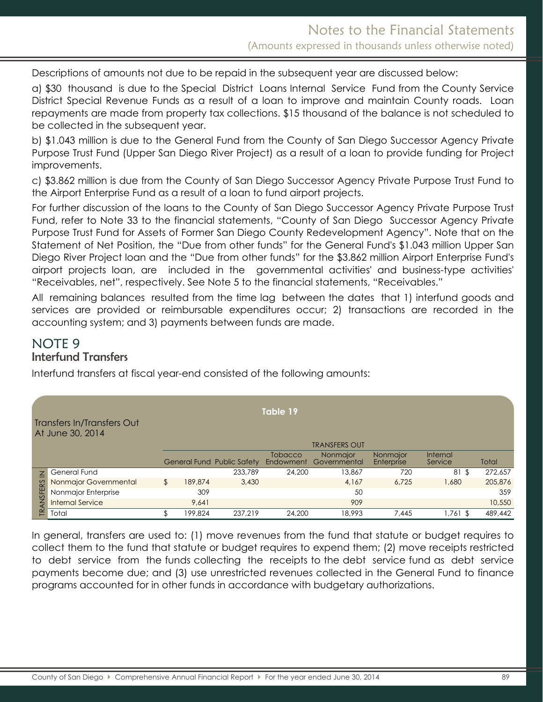Descriptions of amounts not due to be repaid in the subsequent year are discussed below:

a) \$30 thousand is due to the Special District Loans Internal Service Fund from the County Service District Special Revenue Funds as a result of a loan to improve and maintain County roads. Loan repayments are made from property tax collections. \$15 thousand of the balance is not scheduled to be collected in the subsequent year.

b) \$1.043 million is due to the General Fund from the County of San Diego Successor Agency Private Purpose Trust Fund (Upper San Diego River Project) as a result of a loan to provide funding for Project improvements.

c) \$3.862 million is due from the County of San Diego Successor Agency Private Purpose Trust Fund to the Airport Enterprise Fund as a result of a loan to fund airport projects.

For further discussion of the loans to the County of San Diego Successor Agency Private Purpose Trust Fund, refer to Note 33 to the financial statements, "County of San Diego Successor Agency Private Purpose Trust Fund for Assets of Former San Diego County Redevelopment Agency". Note that on the Statement of Net Position, the "Due from other funds" for the General Fund's \$1.043 million Upper San Diego River Project loan and the "Due from other funds" for the \$3.862 million Airport Enterprise Fund's airport projects loan, are included in the governmental activities' and business-type activities' "Receivables, net", respectively. See Note 5 to the financial statements, "Receivables."

All remaining balances resulted from the time lag between the dates that 1) interfund goods and services are provided or reimbursable expenditures occur; 2) transactions are recorded in the accounting system; and 3) payments between funds are made.

### NOTE 9 Interfund Transfers

Interfund transfers at fiscal year-end consisted of the following amounts:

| Table 19<br>Transfers In/Transfers Out<br>At June 30, 2014<br><b>TRANSFERS OUT</b> |                         |    |         |                                   |                      |                          |                        |                     |         |
|------------------------------------------------------------------------------------|-------------------------|----|---------|-----------------------------------|----------------------|--------------------------|------------------------|---------------------|---------|
|                                                                                    |                         |    |         | <b>General Fund Public Safety</b> | Tobacco<br>Endowment | Nonmajor<br>Governmental | Nonmaior<br>Enterprise | Internal<br>Service | Total   |
| $\overline{2}$                                                                     | General Fund            |    |         | 233,789                           | 24,200               | 13,867                   | 720                    | 81\$                | 272,657 |
|                                                                                    | Nonmajor Governmental   | \$ | 189,874 | 3,430                             |                      | 4.167                    | 6.725                  | 1,680               | 205,876 |
| ANSFERS                                                                            | Nonmajor Enterprise     |    | 309     |                                   |                      | 50                       |                        |                     | 359     |
|                                                                                    | <b>Internal Service</b> |    | 9.641   |                                   |                      | 909                      |                        |                     | 10,550  |
| 氏                                                                                  | Total                   |    | 199.824 | 237.219                           | 24,200               | 18,993                   | 7.445                  | 1,761 \$            | 489,442 |

In general, transfers are used to: (1) move revenues from the fund that statute or budget requires to collect them to the fund that statute or budget requires to expend them; (2) move receipts restricted to debt service from the funds collecting the receipts to the debt service fund as debt service payments become due; and (3) use unrestricted revenues collected in the General Fund to finance programs accounted for in other funds in accordance with budgetary authorizations.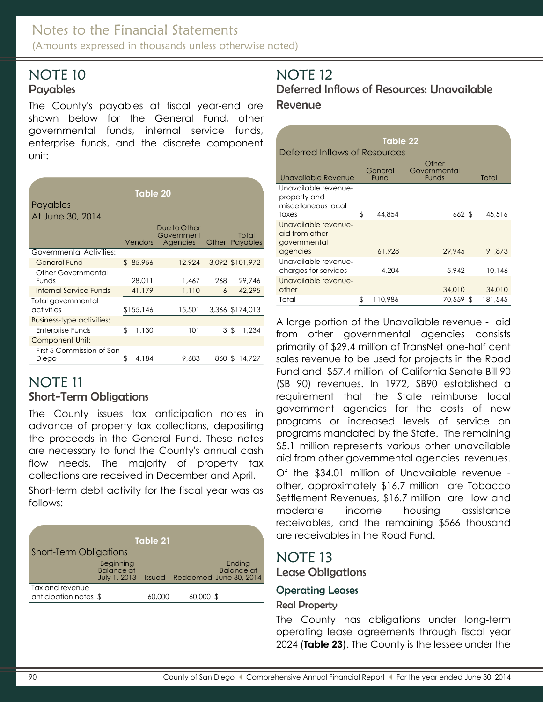### <span id="page-24-1"></span><span id="page-24-0"></span>**Payables**

The County's payables at fiscal year-end are shown below for the General Fund, other governmental funds, internal service funds, enterprise funds, and the discrete component unit:

| Payables<br>At June 30, 2014              | Table 20    |                                        |       |     |                         |
|-------------------------------------------|-------------|----------------------------------------|-------|-----|-------------------------|
|                                           | Vendors     | Due to Other<br>Government<br>Agencies |       |     | Total<br>Other Payables |
| <b>Governmental Activities:</b>           |             |                                        |       |     |                         |
| <b>General Fund</b>                       | \$85,956    | 12,924                                 |       |     | 3,092 \$101,972         |
| <b>Other Governmental</b><br><b>Funds</b> | 28.011      | 1.467                                  | 268   |     | 29.746                  |
| Internal Service Funds                    | 41,179      | 1,110                                  | 6     |     | 42,295                  |
| Total governmental<br>activities          | \$155,146   | 15,501                                 |       |     | 3,366 \$174,013         |
| Business-type activities:                 |             |                                        |       |     |                         |
| Enterprise Funds                          | \$<br>1,130 | 101                                    |       | 3\$ | 1,234                   |
| <b>Component Unit:</b>                    |             |                                        |       |     |                         |
| First 5 Commission of San<br>Diego        | \$<br>4,184 | 9.683                                  | 860 S |     | 14,727                  |

# NOTE 11

### Short-Term Obligations

The County issues tax anticipation notes in advance of property tax collections, depositing the proceeds in the General Fund. These notes are necessary to fund the County's annual cash flow needs. The majority of property tax collections are received in December and April.

Short-term debt activity for the fiscal year was as follows:

| Table 21                                 |                                         |        |           |                                                              |  |  |  |  |  |  |
|------------------------------------------|-----------------------------------------|--------|-----------|--------------------------------------------------------------|--|--|--|--|--|--|
| <b>Short-Term Obligations</b>            |                                         |        |           |                                                              |  |  |  |  |  |  |
|                                          | Beginning<br>Balance at<br>July 1, 2013 |        |           | Ending<br><b>Balance</b> at<br>Issued Redeemed June 30, 2014 |  |  |  |  |  |  |
| Tax and revenue<br>anticipation notes \$ |                                         | 60,000 | 60,000 \$ |                                                              |  |  |  |  |  |  |

# NOTE 12

Deferred Inflows of Resources: Unavailable Revenue

|                                                                      |    | Table 22        |                                |         |  |  |  |  |
|----------------------------------------------------------------------|----|-----------------|--------------------------------|---------|--|--|--|--|
| Deferred Inflows of Resources                                        |    |                 |                                |         |  |  |  |  |
| Unavailable Revenue                                                  |    | General<br>Fund | Other<br>Governmental<br>Funds | Total   |  |  |  |  |
| Unavailable revenue-<br>property and<br>miscellaneous local<br>taxes | \$ | 44,854          | 662 \$                         | 45,516  |  |  |  |  |
| Unavailable revenue-<br>aid from other<br>governmental<br>agencies   |    | 61,928          | 29.945                         | 91.873  |  |  |  |  |
| Unavailable revenue-<br>charges for services                         |    | 4.204           | 5.942                          | 10.146  |  |  |  |  |
| Unavailable revenue-<br>other                                        |    |                 | 34,010                         | 34,010  |  |  |  |  |
| Total                                                                | \$ | 110,986         | 70,559 \$                      | 181,545 |  |  |  |  |

A large portion of the Unavailable revenue - aid from other governmental agencies consists primarily of \$29.4 million of TransNet one-half cent sales revenue to be used for projects in the Road Fund and \$57.4 million of California Senate Bill 90 (SB 90) revenues. In 1972, SB90 established a requirement that the State reimburse local government agencies for the costs of new programs or increased levels of service on programs mandated by the State. The remaining \$5.1 million represents various other unavailable aid from other governmental agencies revenues. Of the \$34.01 million of Unavailable revenue other, approximately \$16.7 million are Tobacco Settlement Revenues, \$16.7 million are low and moderate income housing assistance receivables, and the remaining \$566 thousand are receivables in the Road Fund.

## NOTE 13 Lease Obligations

### <span id="page-24-2"></span>Operating Leases

#### Real Property

The County has obligations under long-term operating lease agreements through fiscal year 2024 (**Table 23**). The County is the lessee under the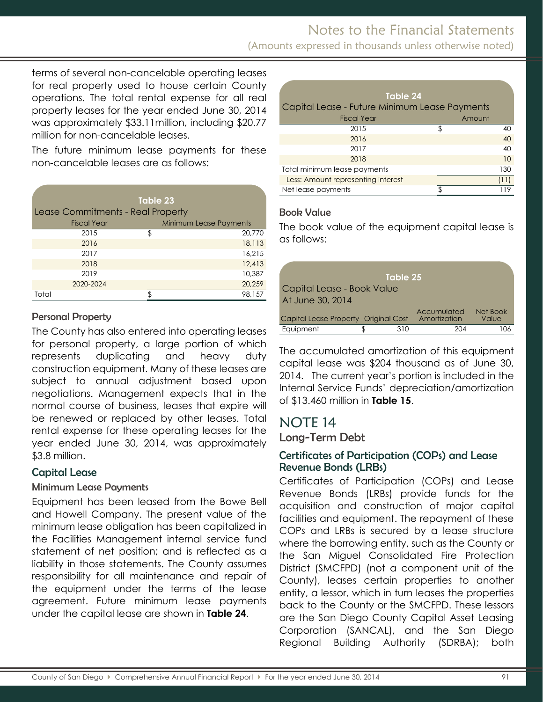(Amounts expressed in thousands unless otherwise noted)

terms of several non-cancelable operating leases for real property used to house certain County operations. The total rental expense for all real property leases for the year ended June 30, 2014 was approximately \$33.11million, including \$20.77 million for non-cancelable leases.

The future minimum lease payments for these non-cancelable leases are as follows:

| Table 23           |                                   |                               |  |  |  |  |  |  |
|--------------------|-----------------------------------|-------------------------------|--|--|--|--|--|--|
|                    | Lease Commitments - Real Property |                               |  |  |  |  |  |  |
| <b>Fiscal Year</b> |                                   | <b>Minimum Lease Payments</b> |  |  |  |  |  |  |
| 2015               | \$.                               | 20,770                        |  |  |  |  |  |  |
| 2016               |                                   | 18,113                        |  |  |  |  |  |  |
| 2017               |                                   | 16,215                        |  |  |  |  |  |  |
| 2018               |                                   | 12,413                        |  |  |  |  |  |  |
| 2019               |                                   | 10,387                        |  |  |  |  |  |  |
| 2020-2024          |                                   | 20,259                        |  |  |  |  |  |  |
| Total              |                                   | 98,157                        |  |  |  |  |  |  |

#### Personal Property

The County has also entered into operating leases for personal property, a large portion of which represents duplicating and heavy duty construction equipment. Many of these leases are subject to annual adjustment based upon negotiations. Management expects that in the normal course of business, leases that expire will be renewed or replaced by other leases. Total rental expense for these operating leases for the year ended June 30, 2014, was approximately \$3.8 million.

### <span id="page-25-0"></span>Capital Lease

#### Minimum Lease Payments

Equipment has been leased from the Bowe Bell and Howell Company. The present value of the minimum lease obligation has been capitalized in the Facilities Management internal service fund statement of net position; and is reflected as a liability in those statements. The County assumes responsibility for all maintenance and repair of the equipment under the terms of the lease agreement. Future minimum lease payments under the capital lease are shown in **Table 24**.

| Table 24                                      |  |      |  |  |  |  |  |
|-----------------------------------------------|--|------|--|--|--|--|--|
| Capital Lease - Future Minimum Lease Payments |  |      |  |  |  |  |  |
| <b>Fiscal Year</b><br>Amount                  |  |      |  |  |  |  |  |
| 2015                                          |  | 40   |  |  |  |  |  |
| 2016                                          |  | 40   |  |  |  |  |  |
| 2017                                          |  | 40   |  |  |  |  |  |
| 2018                                          |  | 10   |  |  |  |  |  |
| Total minimum lease payments                  |  | 130  |  |  |  |  |  |
| Less: Amount representing interest            |  | (11) |  |  |  |  |  |
| Net lease payments                            |  | 119  |  |  |  |  |  |

### Book Value

The book value of the equipment capital lease is as follows:

|                                      |  | Table 25 |                             |                   |  |  |
|--------------------------------------|--|----------|-----------------------------|-------------------|--|--|
| Capital Lease - Book Value           |  |          |                             |                   |  |  |
| At June 30, 2014                     |  |          |                             |                   |  |  |
| Capital Lease Property Original Cost |  |          | Accumulated<br>Amortization | Net Book<br>Value |  |  |
| Equipment                            |  | 310      | 204                         |                   |  |  |

The accumulated amortization of this equipment capital lease was \$204 thousand as of June 30, 2014. The current year's portion is included in the Internal Service Funds' depreciation/amortization of \$13.460 million in **Table 15**.

# <span id="page-25-1"></span>NOTE 14

<span id="page-25-2"></span>Long-Term Debt

#### <span id="page-25-3"></span>Certificates of Participation (COPs) and Lease Revenue Bonds (LRBs)

Certificates of Participation (COPs) and Lease Revenue Bonds (LRBs) provide funds for the acquisition and construction of major capital facilities and equipment. The repayment of these COPs and LRBs is secured by a lease structure where the borrowing entity, such as the County or the San Miguel Consolidated Fire Protection District (SMCFPD) (not a component unit of the County), leases certain properties to another entity, a lessor, which in turn leases the properties back to the County or the SMCFPD. These lessors are the San Diego County Capital Asset Leasing Corporation (SANCAL), and the San Diego Regional Building Authority (SDRBA); both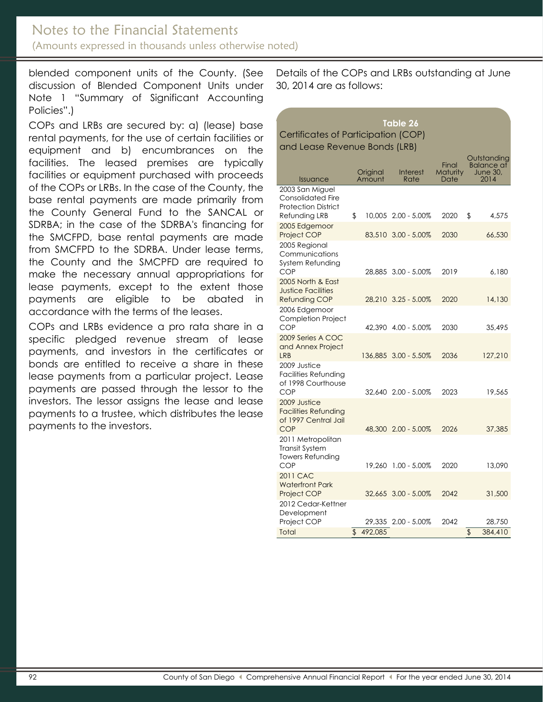### Notes to the Financial Statements (Amounts expressed in thousands unless otherwise noted)

blended component units of the County. (See discussion of Blended Component Units under Note 1 "Summary of Significant Accounting Policies".)

COPs and LRBs are secured by: a) (lease) base rental payments, for the use of certain facilities or equipment and b) encumbrances on the facilities. The leased premises are typically facilities or equipment purchased with proceeds of the COPs or LRBs. In the case of the County, the base rental payments are made primarily from the County General Fund to the SANCAL or SDRBA; in the case of the SDRBA's financing for the SMCFPD, base rental payments are made from SMCFPD to the SDRBA. Under lease terms, the County and the SMCPFD are required to make the necessary annual appropriations for lease payments, except to the extent those payments are eligible to be abated in accordance with the terms of the leases.

COPs and LRBs evidence a pro rata share in a specific pledged revenue stream of lease payments, and investors in the certificates or bonds are entitled to receive a share in these lease payments from a particular project. Lease payments are passed through the lessor to the investors. The lessor assigns the lease and lease payments to a trustee, which distributes the lease payments to the investors.

Details of the COPs and LRBs outstanding at June 30, 2014 are as follows:

| <u>Table 26</u>                                                                     |    |                    |                      |                           |    |                                                      |  |
|-------------------------------------------------------------------------------------|----|--------------------|----------------------|---------------------------|----|------------------------------------------------------|--|
| Certificates of Participation (COP)                                                 |    |                    |                      |                           |    |                                                      |  |
| and Lease Revenue Bonds (LRB)                                                       |    |                    |                      |                           |    |                                                      |  |
| <b>Issuance</b>                                                                     |    | Original<br>Amount | Interest<br>Rate     | Final<br>Maturity<br>Date |    | Outstanding<br><b>Balance at</b><br>June 30,<br>2014 |  |
| 2003 San Miguel<br>Consolidated Fire<br><b>Protection District</b><br>Refunding LRB | \$ |                    | 10,005 2.00 - 5.00%  | 2020                      | \$ | 4,575                                                |  |
| 2005 Edgemoor<br><b>Project COP</b>                                                 |    |                    | 83.510 3.00 - 5.00%  | 2030                      |    | 66,530                                               |  |
| 2005 Regional<br>Communications<br>System Refunding<br>COP                          |    |                    | 28,885 3.00 - 5.00%  | 2019                      |    | 6,180                                                |  |
| 2005 North & East<br><b>Justice Facilities</b><br>Refunding COP                     |    |                    | 28,210 3.25 - 5.00%  | 2020                      |    | 14,130                                               |  |
| 2006 Edgemoor<br><b>Completion Project</b><br><b>COP</b>                            |    |                    | 42.390 4.00 - 5.00%  | 2030                      |    | 35,495                                               |  |
| 2009 Series A COC<br>and Annex Project<br><b>LRB</b>                                |    |                    | 136,885 3.00 - 5.50% | 2036                      |    | 127,210                                              |  |
| 2009 Justice<br>Facilities Refunding<br>of 1998 Courthouse<br><b>COP</b>            |    |                    | 32.640 2.00 - 5.00%  | 2023                      |    | 19,565                                               |  |
| 2009 Justice<br><b>Facilities Refunding</b><br>of 1997 Central Jail<br><b>COP</b>   |    |                    | 48,300 2.00 - 5.00%  | 2026                      |    | 37,385                                               |  |
| 2011 Metropolitan<br><b>Transit System</b><br>Towers Refunding<br>COP               |    |                    | 19.260 1.00 - 5.00%  | 2020                      |    | 13,090                                               |  |
| 2011 CAC<br><b>Waterfront Park</b><br>Project COP                                   |    |                    | 32,665 3.00 - 5.00%  | 2042                      |    | 31,500                                               |  |
| 2012 Cedar-Kettner<br>Development<br>Project COP<br>Total                           | \$ | 492,085            | 29,335 2.00 - 5.00%  | 2042                      | \$ | 28,750<br>384,410                                    |  |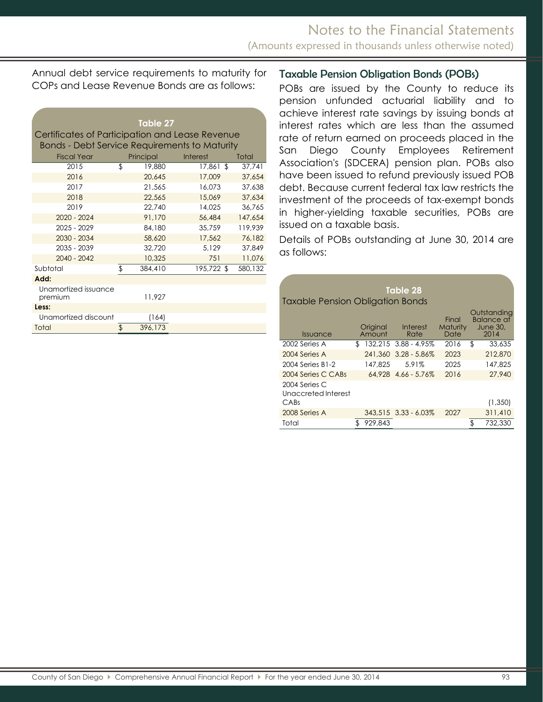Annual debt service requirements to maturity for COPs and Lease Revenue Bonds are as follows:

<span id="page-27-0"></span>

|                                                      | Table 27      |                 |         |
|------------------------------------------------------|---------------|-----------------|---------|
| Certificates of Participation and Lease Revenue      |               |                 |         |
| <b>Bonds - Debt Service Requirements to Maturity</b> |               |                 |         |
| <b>Fiscal Year</b>                                   | Principal     | <b>Interest</b> | Total   |
| 2015                                                 | \$<br>19,880  | 17,861 \$       | 37,741  |
| 2016                                                 | 20,645        | 17,009          | 37,654  |
| 2017                                                 | 21,565        | 16.073          | 37,638  |
| 2018                                                 | 22,565        | 15,069          | 37,634  |
| 2019                                                 | 22,740        | 14,025          | 36,765  |
| $2020 - 2024$                                        | 91,170        | 56,484          | 147,654 |
| 2025 - 2029                                          | 84,180        | 35,759          | 119,939 |
| 2030 - 2034                                          | 58,620        | 17,562          | 76,182  |
| 2035 - 2039                                          | 32,720        | 5,129           | 37,849  |
| 2040 - 2042                                          | 10,325        | 751             | 11,076  |
| Subtotal                                             | \$<br>384,410 | 195,722 \$      | 580,132 |
| Add:                                                 |               |                 |         |
| Unamortized issuance<br>premium                      | 11,927        |                 |         |
| Less:                                                |               |                 |         |
| Unamortized discount                                 | (164)         |                 |         |
| Total                                                | \$<br>396,173 |                 |         |

#### Taxable Pension Obligation Bonds (POBs)

POBs are issued by the County to reduce its pension unfunded actuarial liability and to achieve interest rate savings by issuing bonds at interest rates which are less than the assumed rate of return earned on proceeds placed in the San Diego County Employees Retirement Association's (SDCERA) pension plan. POBs also have been issued to refund previously issued POB debt. Because current federal tax law restricts the investment of the proceeds of tax-exempt bonds in higher-yielding taxable securities, POBs are issued on a taxable basis.

Details of POBs outstanding at June 30, 2014 are as follows:

| Table 28<br><b>Taxable Pension Obligation Bonds</b> |    |                    |                       |                                  |    |                                                      |  |  |
|-----------------------------------------------------|----|--------------------|-----------------------|----------------------------------|----|------------------------------------------------------|--|--|
| <i><u><b>Issuance</b></u></i>                       |    | Original<br>Amount | Interest<br>Rate      | Final<br><b>Maturity</b><br>Date |    | Outstanding<br>Balance at<br><b>June 30.</b><br>2014 |  |  |
| 2002 Series A                                       | \$ |                    | 132,215 3.88 - 4.95%  | 2016                             | \$ | 33,635                                               |  |  |
| 2004 Series A                                       |    |                    | 241,360 3.28 - 5.86%  | 2023                             |    | 212,870                                              |  |  |
| 2004 Series B1-2                                    |    | 147.825            | 5.91%                 | 2025                             |    | 147.825                                              |  |  |
| 2004 Series C CABs                                  |    |                    | $64.928$ 4.66 - 5.76% | 2016                             |    | 27,940                                               |  |  |
| 2004 Series C<br>Unaccreted Interest                |    |                    |                       |                                  |    |                                                      |  |  |
| CABs                                                |    |                    |                       |                                  |    | (1,350)                                              |  |  |
| 2008 Series A                                       |    |                    | 343.515 3.33 - 6.03%  | 2027                             |    | 311,410                                              |  |  |
| Total                                               | \$ | 929.843            |                       |                                  |    | 732,330                                              |  |  |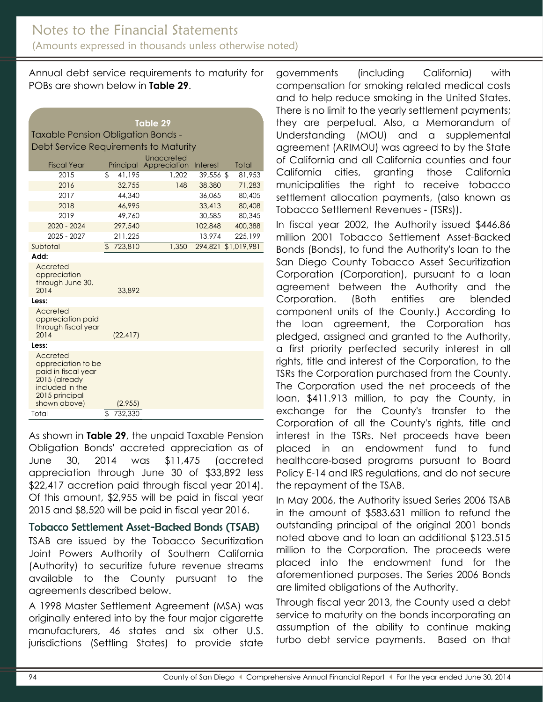Annual debt service requirements to maturity for POBs are shown below in **Table 29**.

| Table 29                                                                                                                    |    |           |                            |           |  |                     |
|-----------------------------------------------------------------------------------------------------------------------------|----|-----------|----------------------------|-----------|--|---------------------|
| <b>Taxable Pension Obligation Bonds -</b>                                                                                   |    |           |                            |           |  |                     |
| Debt Service Requirements to Maturity                                                                                       |    |           |                            |           |  |                     |
| <b>Fiscal Year</b>                                                                                                          |    | Principal | Unaccreted<br>Appreciation | Interest  |  | Total               |
| 2015                                                                                                                        | \$ | 41.195    | 1.202                      | 39,556 \$ |  | 81.953              |
| 2016                                                                                                                        |    | 32,755    | 148                        | 38,380    |  | 71,283              |
| 2017                                                                                                                        |    | 44,340    |                            | 36.065    |  | 80,405              |
| 2018                                                                                                                        |    | 46.995    |                            | 33,413    |  | 80,408              |
| 2019                                                                                                                        |    | 49,760    |                            | 30,585    |  | 80,345              |
| $2020 - 2024$                                                                                                               |    | 297,540   |                            | 102,848   |  | 400,388             |
| $2025 - 2027$                                                                                                               |    | 211,225   |                            | 13,974    |  | 225,199             |
| Subtotal                                                                                                                    |    | \$723,810 | 1,350                      |           |  | 294.821 \$1.019.981 |
| Add:                                                                                                                        |    |           |                            |           |  |                     |
| Accreted<br>appreciation<br>through June 30,<br>2014                                                                        |    | 33,892    |                            |           |  |                     |
| Less:                                                                                                                       |    |           |                            |           |  |                     |
| Accreted<br>appreciation paid<br>through fiscal year<br>2014                                                                |    | (22, 417) |                            |           |  |                     |
| Less:                                                                                                                       |    |           |                            |           |  |                     |
| Accreted<br>appreciation to be<br>paid in fiscal year<br>2015 (already<br>included in the<br>2015 principal<br>shown above) |    | (2,955)   |                            |           |  |                     |
| Total                                                                                                                       | \$ | 732,330   |                            |           |  |                     |

As shown in **Table 29**, the unpaid Taxable Pension Obligation Bonds' accreted appreciation as of June 30, 2014 was \$11,475 (accreted appreciation through June 30 of \$33,892 less \$22,417 accretion paid through fiscal year 2014). Of this amount, \$2,955 will be paid in fiscal year 2015 and \$8,520 will be paid in fiscal year 2016.

#### Tobacco Settlement Asset-Backed Bonds (TSAB)

TSAB are issued by the Tobacco Securitization Joint Powers Authority of Southern California (Authority) to securitize future revenue streams available to the County pursuant to the agreements described below.

A 1998 Master Settlement Agreement (MSA) was originally entered into by the four major cigarette manufacturers, 46 states and six other U.S. jurisdictions (Settling States) to provide state

governments (including California) with compensation for smoking related medical costs and to help reduce smoking in the United States. There is no limit to the yearly settlement payments; they are perpetual. Also, a Memorandum of Understanding (MOU) and a supplemental agreement (ARIMOU) was agreed to by the State of California and all California counties and four California cities, granting those California municipalities the right to receive tobacco settlement allocation payments, (also known as Tobacco Settlement Revenues - (TSRs)).

In fiscal year 2002, the Authority issued \$446.86 million 2001 Tobacco Settlement Asset-Backed Bonds (Bonds), to fund the Authority's loan to the San Diego County Tobacco Asset Securitization Corporation (Corporation), pursuant to a loan agreement between the Authority and the Corporation. (Both entities are blended component units of the County.) According to the loan agreement, the Corporation has pledged, assigned and granted to the Authority, a first priority perfected security interest in all rights, title and interest of the Corporation, to the TSRs the Corporation purchased from the County. The Corporation used the net proceeds of the loan, \$411.913 million, to pay the County, in exchange for the County's transfer to the Corporation of all the County's rights, title and interest in the TSRs. Net proceeds have been placed in an endowment fund to fund healthcare-based programs pursuant to Board Policy E-14 and IRS regulations, and do not secure the repayment of the TSAB.

In May 2006, the Authority issued Series 2006 TSAB in the amount of \$583.631 million to refund the outstanding principal of the original 2001 bonds noted above and to loan an additional \$123.515 million to the Corporation. The proceeds were placed into the endowment fund for the aforementioned purposes. The Series 2006 Bonds are limited obligations of the Authority.

Through fiscal year 2013, the County used a debt service to maturity on the bonds incorporating an assumption of the ability to continue making turbo debt service payments. Based on that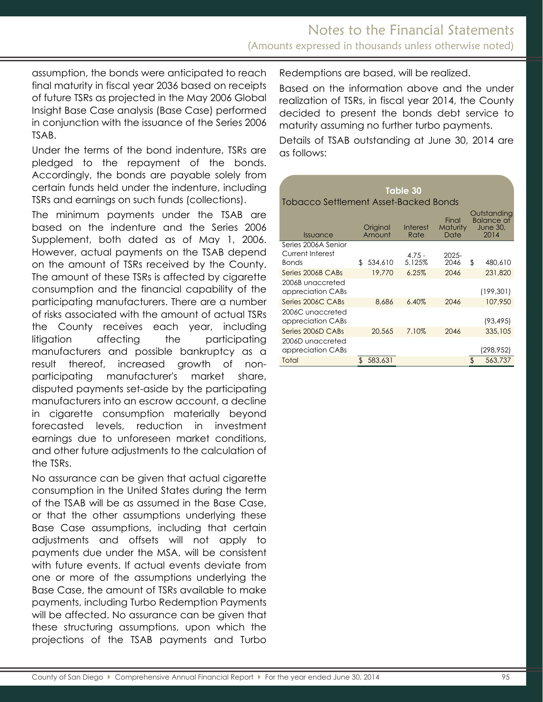assumption, the bonds were anticipated to reach final maturity in fiscal year 2036 based on receipts of future TSRs as projected in the May 2006 Global Insight Base Case analysis (Base Case) performed in conjunction with the issuance of the Series 2006 TSAB.

Under the terms of the bond indenture, TSRs are pledged to the repayment of the bonds. Accordingly, the bonds are payable solely from certain funds held under the indenture, including TSRs and earnings on such funds (collections).

The minimum payments under the TSAB are based on the indenture and the Series 2006 Supplement, both dated as of May 1, 2006. However, actual payments on the TSAB depend on the amount of TSRs received by the County. The amount of these TSRs is affected by cigarette consumption and the financial capability of the participating manufacturers. There are a number of risks associated with the amount of actual TSRs the County receives each year, including litigation affecting the participating manufacturers and possible bankruptcy as a result thereof, increased growth of nonparticipating manufacturer's market share, disputed payments set-aside by the participating manufacturers into an escrow account, a decline in cigarette consumption materially beyond forecasted levels, reduction in investment earnings due to unforeseen market conditions, and other future adjustments to the calculation of the TSRs.

No assurance can be given that actual cigarette consumption in the United States during the term of the TSAB will be as assumed in the Base Case, or that the other assumptions underlying these Base Case assumptions, including that certain adjustments and offsets will not apply to payments due under the MSA, will be consistent with future events. If actual events deviate from one or more of the assumptions underlying the Base Case, the amount of TSRs available to make payments, including Turbo Redemption Payments will be affected. No assurance can be given that these structuring assumptions, upon which the projections of the TSAB payments and Turbo Redemptions are based, will be realized.

Based on the information above and the under realization of TSRs, in fiscal year 2014, the County decided to present the bonds debt service to maturity assuming no further turbo payments.

Details of TSAB outstanding at June 30, 2014 are as follows:

| Table 30                                                |                    |                    |                           |                                                             |  |  |  |  |
|---------------------------------------------------------|--------------------|--------------------|---------------------------|-------------------------------------------------------------|--|--|--|--|
| Tobacco Settlement Asset-Backed Bonds                   |                    |                    |                           |                                                             |  |  |  |  |
| <i><u><b>Issuance</b></u></i>                           | Original<br>Amount | Interest<br>Rate   | Final<br>Maturity<br>Date | Outstanding<br><b>Balance at</b><br><b>June 30,</b><br>2014 |  |  |  |  |
| Series 2006A Senior<br>Current Interest<br><b>Bonds</b> | 534,610<br>\$      | $4.75 -$<br>5.125% | $2025 -$<br>2046          | \$<br>480,610                                               |  |  |  |  |
| Series 2006B CABs                                       | 19,770             | 6.25%              | 2046                      | 231,820                                                     |  |  |  |  |
| 2006B unaccreted<br>appreciation CABs                   |                    |                    |                           | (199, 301)                                                  |  |  |  |  |
| Series 2006C CABs                                       | 8.686              | 6.40%              | 2046                      | 107.950                                                     |  |  |  |  |
| 2006C unaccreted<br>$\sim$                              |                    |                    |                           | 10210E1                                                     |  |  |  |  |

| appreciation CABs                     |           |       |      | (93, 495)  |
|---------------------------------------|-----------|-------|------|------------|
| Series 2006D CABs                     | 20.565    | 7.10% | 2046 | 335,105    |
| 2006D unaccreted<br>appreciation CABs |           |       |      | (298, 952) |
| Total                                 | \$583,631 |       |      | 563,737    |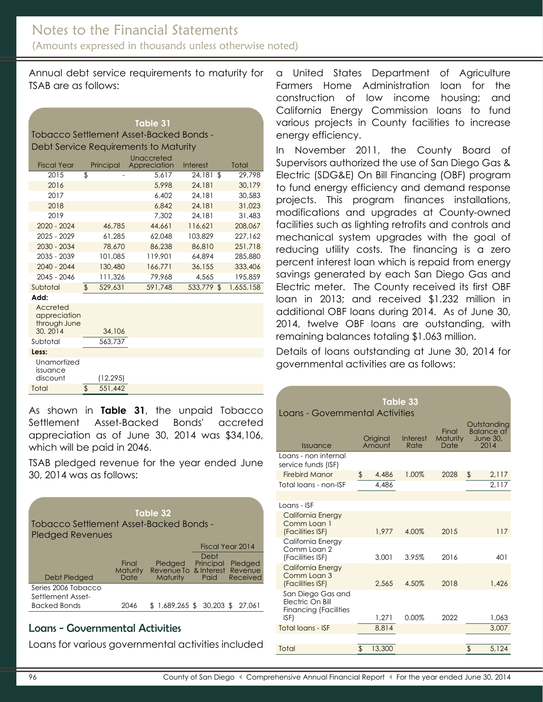Annual debt service requirements to maturity for TSAB are as follows:

| Table 31                                |
|-----------------------------------------|
| Tobacco Settlement Asset-Backed Bonds - |
| Debt Service Requirements to Maturity   |
|                                         |

| <b>Fiscal Year</b> | Principal     | Unaccreted<br>Appreciation | Interest     | Total     |
|--------------------|---------------|----------------------------|--------------|-----------|
| 2015               | \$            | 5,617                      | 24,181<br>\$ | 29.798    |
| 2016               |               | 5,998                      | 24,181       | 30,179    |
| 2017               |               | 6,402                      | 24,181       | 30,583    |
| 2018               |               | 6.842                      | 24,181       | 31.023    |
| 2019               |               | 7.302                      | 24,181       | 31,483    |
| 2020 - 2024        | 46,785        | 44,661                     | 116.621      | 208,067   |
| $2025 - 2029$      | 61.285        | 62.048                     | 103,829      | 227.162   |
| 2030 - 2034        | 78,670        | 86,238                     | 86,810       | 251,718   |
| $2035 - 2039$      | 101.085       | 119.901                    | 64.894       | 285,880   |
| $2040 - 2044$      | 130,480       | 166,771                    | 36,155       | 333,406   |
| 2045 - 2046        | 111,326       | 79,968                     | 4,565        | 195.859   |
| Subtotal           | \$<br>529,631 | 591,748                    | 533,779 \$   | 1,655,158 |
| .                  |               |                            |              |           |

**Add:**

| Auu.                                                 |           |  |
|------------------------------------------------------|-----------|--|
| Accreted<br>appreciation<br>through June<br>30, 2014 | 34,106    |  |
| Subtotal                                             | 563,737   |  |
| Less:                                                |           |  |
| Unamortized<br>issuance<br>discount                  | (12, 295) |  |
| Total                                                | 551,442   |  |

As shown in **Table 31**, the unpaid Tobacco Settlement Asset-Backed Bonds' accreted appreciation as of June 30, 2014 was \$34,106, which will be paid in 2046.

TSAB pledged revenue for the year ended June 30, 2014 was as follows:

| Table 32                |                                         |                                          |           |                  |  |  |  |  |
|-------------------------|-----------------------------------------|------------------------------------------|-----------|------------------|--|--|--|--|
|                         | Tobacco Settlement Asset-Backed Bonds - |                                          |           |                  |  |  |  |  |
| <b>Pledged Revenues</b> |                                         |                                          |           |                  |  |  |  |  |
|                         |                                         |                                          |           | Fiscal Year 2014 |  |  |  |  |
|                         |                                         |                                          | Debt      |                  |  |  |  |  |
|                         | Final<br>Maturity                       | Pledged<br>Revenue To & Interest Revenue | Principal | Pledged          |  |  |  |  |
| Debt Pledged            | Date                                    | <b>Maturity</b>                          | Paid      | Received         |  |  |  |  |
| Series 2006 Tobacco     |                                         |                                          |           |                  |  |  |  |  |
| Settlement Asset-       |                                         |                                          |           |                  |  |  |  |  |
| <b>Backed Bonds</b>     | 2046                                    | \$1,689,265 \$30,203 \$27,061            |           |                  |  |  |  |  |

### Loans - Governmental Activities

Loans for various governmental activities included

a United States Department of Agriculture Farmers Home Administration loan for the construction of low income housing; and California Energy Commission loans to fund various projects in County facilities to increase energy efficiency.

In November 2011, the County Board of Supervisors authorized the use of San Diego Gas & Electric (SDG&E) On Bill Financing (OBF) program to fund energy efficiency and demand response projects. This program finances installations, modifications and upgrades at County-owned facilities such as lighting retrofits and controls and mechanical system upgrades with the goal of reducing utility costs. The financing is a zero percent interest loan which is repaid from energy savings generated by each San Diego Gas and Electric meter. The County received its first OBF loan in 2013; and received \$1.232 million in additional OBF loans during 2014. As of June 30, 2014, twelve OBF loans are outstanding, with remaining balances totaling \$1.063 million.

Details of loans outstanding at June 30, 2014 for governmental activities are as follows:

| Table 33                                                              |    |                    |                         |                                  |                                                             |  |  |  |
|-----------------------------------------------------------------------|----|--------------------|-------------------------|----------------------------------|-------------------------------------------------------------|--|--|--|
| Loans - Governmental Activities                                       |    |                    |                         |                                  |                                                             |  |  |  |
| Issuance                                                              |    | Original<br>Amount | <b>Interest</b><br>Rate | Final<br><b>Maturity</b><br>Date | Outstanding<br><b>Balance af</b><br><b>June 30,</b><br>2014 |  |  |  |
| Loans - non internal<br>service funds (ISF)                           |    |                    |                         |                                  |                                                             |  |  |  |
| <b>Firebird Manor</b>                                                 | \$ | 4,486              | 1.00%                   | 2028                             | \$<br>2,117                                                 |  |  |  |
| Total loans - non-ISF                                                 |    | 4,486              |                         |                                  | 2,117                                                       |  |  |  |
|                                                                       |    |                    |                         |                                  |                                                             |  |  |  |
| $I$ nans - ISF                                                        |    |                    |                         |                                  |                                                             |  |  |  |
| California Energy<br>Comm Loan 1<br>(Facilities ISF)                  |    | 1.977              | 4.00%                   | 2015                             | 117                                                         |  |  |  |
| California Energy<br>Comm Loan 2<br>(Facilities ISF)                  |    | 3.001              | 3.95%                   | 2016                             | 401                                                         |  |  |  |
| California Energy<br>Comm Loan 3<br>(Facilities ISF)                  |    | 2.565              | 4.50%                   | 2018                             | 1.426                                                       |  |  |  |
| San Diego Gas and<br>Electric On Bill<br><b>Financing (Facilities</b> |    |                    |                         |                                  |                                                             |  |  |  |
|                                                                       |    |                    |                         |                                  |                                                             |  |  |  |
|                                                                       |    |                    |                         |                                  |                                                             |  |  |  |
| Total                                                                 | \$ | 13,300             |                         |                                  | 5,124<br>\$                                                 |  |  |  |
| ISF)<br>Total loans - ISF                                             |    | 1,271<br>8.814     | 0.00%                   | 2022                             | 1,063<br>3,007                                              |  |  |  |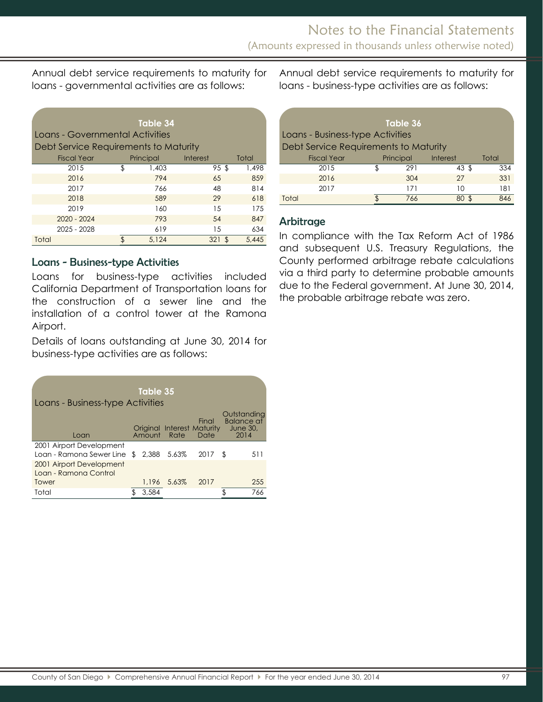Annual debt service requirements to maturity for loans - governmental activities are as follows:

| Loans - Governmental Activities<br>Debt Service Requirements to Maturity | Table 34    |            |       |
|--------------------------------------------------------------------------|-------------|------------|-------|
| <b>Fiscal Year</b>                                                       | Principal   | Interest   | Total |
| 2015                                                                     | \$<br>1,403 | 95\$       | 1,498 |
| 2016                                                                     | 794         | 65         | 859   |
| 2017                                                                     | 766         | 48         | 814   |
| 2018                                                                     | 589         | 29         | 618   |
| 2019                                                                     | 160         | 15         | 175   |
| $2020 - 2024$                                                            | 793         | 54         | 847   |
| 2025 - 2028                                                              | 619         | 15         | 634   |
| Total                                                                    | 5.124       | 321<br>\$. | 5.445 |

#### Loans - Business-type Activities

Loans for business-type activities included California Department of Transportation loans for the construction of a sewer line and the installation of a control tower at the Ramona Airport.

Details of loans outstanding at June 30, 2014 for business-type activities are as follows:

| Loans - Business-type Activities                           |     | Table 35 |             |                                             |                                                             |
|------------------------------------------------------------|-----|----------|-------------|---------------------------------------------|-------------------------------------------------------------|
| Loan                                                       |     | Amount   | Rate        | Final<br>Original Interest Maturity<br>Date | Outstanding<br><b>Balance af</b><br><b>June 30,</b><br>2014 |
| 2001 Airport Development<br>Loan - Ramona Sewer Line       | \$. |          | 2.388 5.63% | 2017                                        | \$<br>511                                                   |
| 2001 Airport Development<br>Loan - Ramona Control<br>Tower |     | 1.196    | 5.63%       | 2017                                        | 255                                                         |
| Total                                                      |     | 3,584    |             |                                             | 766                                                         |

Annual debt service requirements to maturity for loans - business-type activities are as follows:

| Table 36<br>Loans - Business-type Activities<br>Debt Service Requirements to Maturity |  |           |                  |       |  |  |
|---------------------------------------------------------------------------------------|--|-----------|------------------|-------|--|--|
| <b>Fiscal Year</b>                                                                    |  | Principal | <b>Interest</b>  | Total |  |  |
| 2015                                                                                  |  | 291       | $43 \text{ }$ \$ | 334   |  |  |
| 2016                                                                                  |  | 304       | 27               | 331   |  |  |
| 2017                                                                                  |  | 171       | 10               | 181   |  |  |
| Total                                                                                 |  | 766       |                  | 846   |  |  |

#### **Arbitrage**

In compliance with the Tax Reform Act of 1986 and subsequent U.S. Treasury Regulations, the County performed arbitrage rebate calculations via a third party to determine probable amounts due to the Federal government. At June 30, 2014, the probable arbitrage rebate was zero.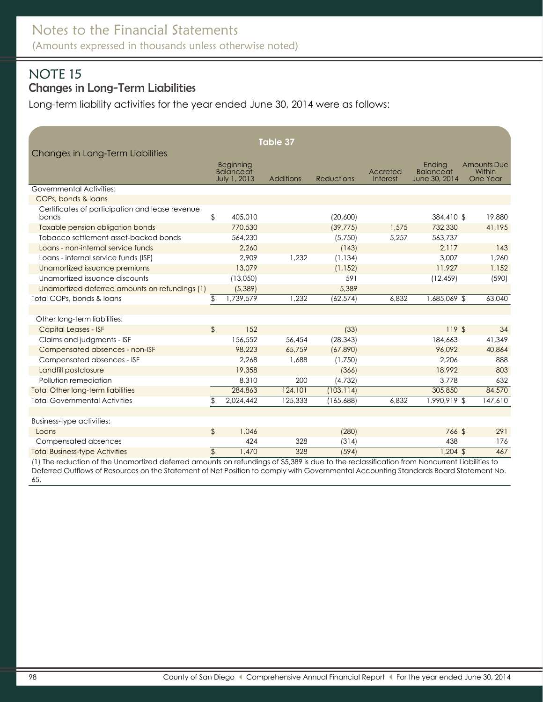# <span id="page-32-1"></span><span id="page-32-0"></span>NOTE 15 Changes in Long-Term Liabilities

Long-term liability activities for the year ended June 30, 2014 were as follows:

|                                                          |                |                                      | Table 37         |                   |          |                            |                              |
|----------------------------------------------------------|----------------|--------------------------------------|------------------|-------------------|----------|----------------------------|------------------------------|
| Changes in Long-Term Liabilities                         |                |                                      |                  |                   |          |                            |                              |
|                                                          |                | <b>Beginning</b><br><b>Balanceat</b> |                  |                   | Accreted | Endina<br><b>Balanceat</b> | <b>Amounts Due</b><br>Within |
|                                                          |                | July 1, 2013                         | <b>Additions</b> | <b>Reductions</b> | Interest | June 30, 2014              | One Year                     |
| <b>Governmental Activities:</b>                          |                |                                      |                  |                   |          |                            |                              |
| COPs, bonds & loans                                      |                |                                      |                  |                   |          |                            |                              |
| Certificates of participation and lease revenue<br>bonds | \$             | 405,010                              |                  | (20,600)          |          | 384,410 \$                 | 19,880                       |
| Taxable pension obligation bonds                         |                | 770,530                              |                  | (39, 775)         | 1,575    | 732,330                    | 41,195                       |
| Tobacco settlement asset-backed bonds                    |                | 564,230                              |                  | (5,750)           | 5,257    | 563.737                    |                              |
| Loans - non-internal service funds                       |                | 2.260                                |                  | (143)             |          | 2,117                      | 143                          |
| Loans - internal service funds (ISF)                     |                | 2,909                                | 1,232            | (1, 134)          |          | 3,007                      | 1,260                        |
| Unamortized issuance premiums                            |                | 13,079                               |                  | (1, 152)          |          | 11.927                     | 1,152                        |
| Unamortized issuance discounts                           |                | (13,050)                             |                  | 591               |          | (12, 459)                  | (590)                        |
| Unamortized deferred amounts on refundings (1)           |                | (5,389)                              |                  | 5,389             |          |                            |                              |
| Total COPs, bonds & loans                                | \$             | 1,739,579                            | 1.232            | (62, 574)         | 6,832    | 1,685,069 \$               | 63,040                       |
|                                                          |                |                                      |                  |                   |          |                            |                              |
| Other long-term liabilities:                             |                |                                      |                  |                   |          |                            |                              |
| <b>Capital Leases - ISF</b>                              | \$             | 152                                  |                  | (33)              |          | 119S                       | 34                           |
| Claims and judgments - ISF                               |                | 156,552                              | 56,454           | (28, 343)         |          | 184,663                    | 41,349                       |
| Compensated absences - non-ISF                           |                | 98,223                               | 65,759           | (67, 890)         |          | 96,092                     | 40,864                       |
| Compensated absences - ISF                               |                | 2,268                                | 1,688            | (1,750)           |          | 2,206                      | 888                          |
| Landfill postclosure                                     |                | 19,358                               |                  | (366)             |          | 18,992                     | 803                          |
| Pollution remediation                                    |                | 8,310                                | 200              | (4, 732)          |          | 3,778                      | 632                          |
| <b>Total Other long-term liabilities</b>                 |                | 284,863                              | 124,101          | (103, 114)        |          | 305,850                    | 84,570                       |
| <b>Total Governmental Activities</b>                     | \$             | 2,024,442                            | 125,333          | (165,688)         | 6.832    | 1,990,919 \$               | 147,610                      |
|                                                          |                |                                      |                  |                   |          |                            |                              |
| Business-type activities:                                |                |                                      |                  |                   |          |                            |                              |
| Loans                                                    | $\mathfrak{L}$ | 1.046                                |                  | (280)             |          | 766 \$                     | 291                          |
| Compensated absences                                     |                | 424                                  | 328              | (314)             |          | 438                        | 176                          |
| <b>Total Business-type Activities</b>                    | $\frac{1}{2}$  | 1.470                                | 328              | (594)             |          | $1,204$ \$                 | 467                          |

(1) The reduction of the Unamortized deferred amounts on refundings of \$5,389 is due to the reclassification from Noncurrent Liabilities to Deferred Outflows of Resources on the Statement of Net Position to comply with Governmental Accounting Standards Board Statement No. 65.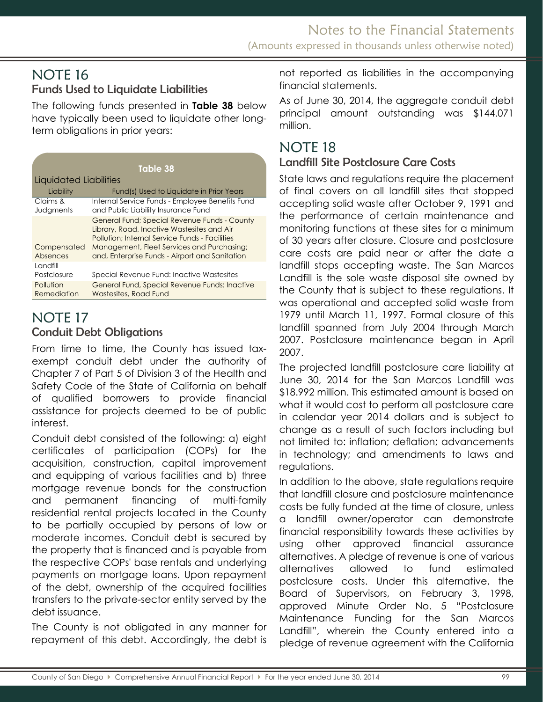# NOTE 16 Funds Used to Liquidate Liabilities

The following funds presented in **Table 38** below have typically been used to liquidate other longterm obligations in prior years:

|                          | Table 38                                                                                                                                                                                                                                     |
|--------------------------|----------------------------------------------------------------------------------------------------------------------------------------------------------------------------------------------------------------------------------------------|
| Liquidated Liabilities   |                                                                                                                                                                                                                                              |
| Liability                | Fund(s) Used to Liquidate in Prior Years                                                                                                                                                                                                     |
| Claims &<br>Judgments    | Internal Service Funds - Employee Benefits Fund<br>and Public Liability Insurance Fund                                                                                                                                                       |
| Compensated<br>Absences  | General Fund; Special Revenue Funds - County<br>Library, Road, Inactive Wastesites and Air<br>Pollution: Internal Service Funds - Facilities<br>Management, Fleet Services and Purchasing;<br>and, Enterprise Funds - Airport and Sanitation |
| Landfill<br>Postclosure  | Special Revenue Fund: Inactive Wastesites                                                                                                                                                                                                    |
| Pollution<br>Remediation | General Fund, Special Revenue Funds: Inactive<br>Wastesites, Road Fund                                                                                                                                                                       |

# <span id="page-33-1"></span><span id="page-33-0"></span>NOTE 17 Conduit Debt Obligations

From time to time, the County has issued taxexempt conduit debt under the authority of Chapter 7 of Part 5 of Division 3 of the Health and Safety Code of the State of California on behalf of qualified borrowers to provide financial assistance for projects deemed to be of public interest.

Conduit debt consisted of the following: a) eight certificates of participation (COPs) for the acquisition, construction, capital improvement and equipping of various facilities and b) three mortgage revenue bonds for the construction and permanent financing of multi-family residential rental projects located in the County to be partially occupied by persons of low or moderate incomes. Conduit debt is secured by the property that is financed and is payable from the respective COPs' base rentals and underlying payments on mortgage loans. Upon repayment of the debt, ownership of the acquired facilities transfers to the private-sector entity served by the debt issuance.

The County is not obligated in any manner for repayment of this debt. Accordingly, the debt is not reported as liabilities in the accompanying financial statements.

As of June 30, 2014, the aggregate conduit debt principal amount outstanding was \$144.071 million.

# NOTE 18

# <span id="page-33-2"></span>Landfill Site Postclosure Care Costs

State laws and regulations require the placement of final covers on all landfill sites that stopped accepting solid waste after October 9, 1991 and the performance of certain maintenance and monitoring functions at these sites for a minimum of 30 years after closure. Closure and postclosure care costs are paid near or after the date a landfill stops accepting waste. The San Marcos Landfill is the sole waste disposal site owned by the County that is subject to these regulations. It was operational and accepted solid waste from 1979 until March 11, 1997. Formal closure of this landfill spanned from July 2004 through March 2007. Postclosure maintenance began in April 2007.

The projected landfill postclosure care liability at June 30, 2014 for the San Marcos Landfill was \$18.992 million. This estimated amount is based on what it would cost to perform all postclosure care in calendar year 2014 dollars and is subject to change as a result of such factors including but not limited to: inflation; deflation; advancements in technology; and amendments to laws and regulations.

In addition to the above, state regulations require that landfill closure and postclosure maintenance costs be fully funded at the time of closure, unless a landfill owner/operator can demonstrate financial responsibility towards these activities by using other approved financial assurance alternatives. A pledge of revenue is one of various alternatives allowed to fund estimated postclosure costs. Under this alternative, the Board of Supervisors, on February 3, 1998, approved Minute Order No. 5 "Postclosure Maintenance Funding for the San Marcos Landfill", wherein the County entered into a pledge of revenue agreement with the California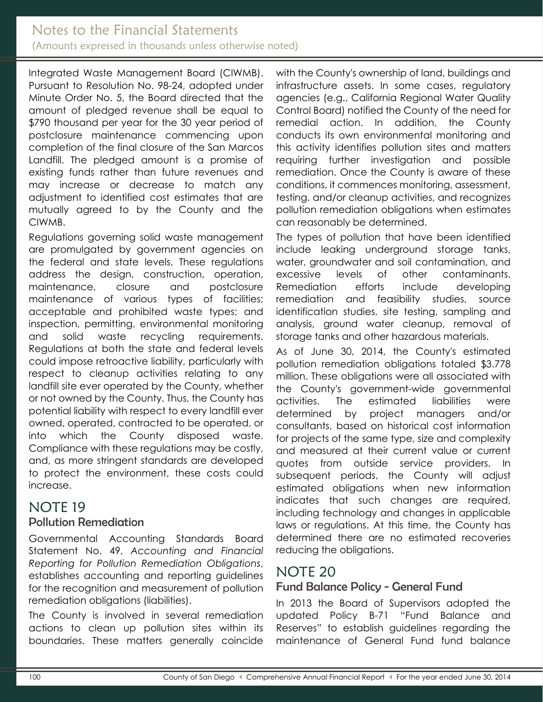## Notes to the Financial Statements (Amounts expressed in thousands unless otherwise noted)

Integrated Waste Management Board (CIWMB). Pursuant to Resolution No. 98-24, adopted under Minute Order No. 5, the Board directed that the amount of pledged revenue shall be equal to \$790 thousand per year for the 30 year period of postclosure maintenance commencing upon completion of the final closure of the San Marcos Landfill. The pledged amount is a promise of existing funds rather than future revenues and may increase or decrease to match any adjustment to identified cost estimates that are mutually agreed to by the County and the CIWMB.

Regulations governing solid waste management are promulgated by government agencies on the federal and state levels. These regulations address the design, construction, operation, maintenance, closure and postclosure maintenance of various types of facilities; acceptable and prohibited waste types; and inspection, permitting, environmental monitoring and solid waste recycling requirements. Regulations at both the state and federal levels could impose retroactive liability, particularly with respect to cleanup activities relating to any landfill site ever operated by the County, whether or not owned by the County. Thus, the County has potential liability with respect to every landfill ever owned, operated, contracted to be operated, or into which the County disposed waste. Compliance with these regulations may be costly, and, as more stringent standards are developed to protect the environment, these costs could increase.

# <span id="page-34-0"></span>NOTE 19

### <span id="page-34-1"></span>Pollution Remediation

Governmental Accounting Standards Board Statement No. 49, *Accounting and Financial Reporting for Pollution Remediation Obligations*, establishes accounting and reporting guidelines for the recognition and measurement of pollution remediation obligations (liabilities).

The County is involved in several remediation actions to clean up pollution sites within its boundaries. These matters generally coincide with the County's ownership of land, buildings and infrastructure assets. In some cases, regulatory agencies (e.g., California Regional Water Quality Control Board) notified the County of the need for remedial action. In addition, the County conducts its own environmental monitoring and this activity identifies pollution sites and matters requiring further investigation and possible remediation. Once the County is aware of these conditions, it commences monitoring, assessment, testing, and/or cleanup activities, and recognizes pollution remediation obligations when estimates can reasonably be determined.

The types of pollution that have been identified include leaking underground storage tanks, water, groundwater and soil contamination, and excessive levels of other contaminants. Remediation efforts include developing remediation and feasibility studies, source identification studies, site testing, sampling and analysis, ground water cleanup, removal of storage tanks and other hazardous materials.

As of June 30, 2014, the County's estimated pollution remediation obligations totaled \$3.778 million. These obligations were all associated with the County's government-wide governmental activities. The estimated liabilities were determined by project managers and/or consultants, based on historical cost information for projects of the same type, size and complexity and measured at their current value or current quotes from outside service providers. In subsequent periods, the County will adjust estimated obligations when new information indicates that such changes are required, including technology and changes in applicable laws or regulations. At this time, the County has determined there are no estimated recoveries reducing the obligations.

# <span id="page-34-2"></span>NOTE 20

### <span id="page-34-3"></span>Fund Balance Policy - General Fund

In 2013 the Board of Supervisors adopted the updated Policy B-71 "Fund Balance and Reserves" to establish guidelines regarding the maintenance of General Fund fund balance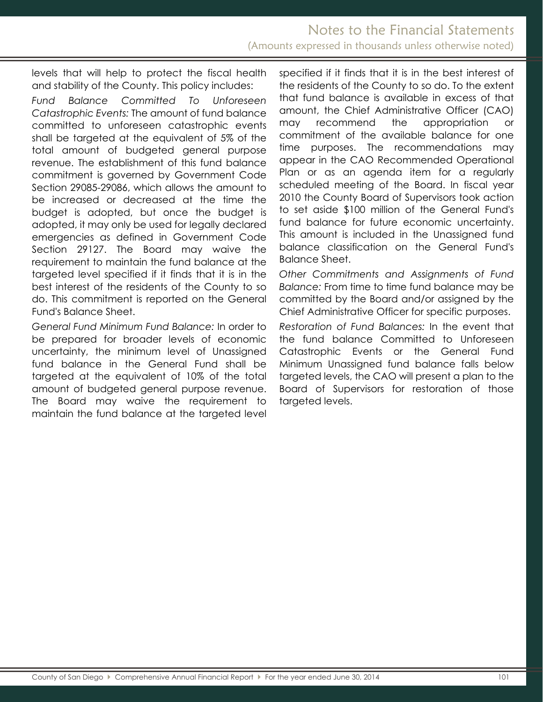levels that will help to protect the fiscal health and stability of the County. This policy includes:

*Fund Balance Committed To Unforeseen Catastrophic Events:* The amount of fund balance committed to unforeseen catastrophic events shall be targeted at the equivalent of 5% of the total amount of budgeted general purpose revenue. The establishment of this fund balance commitment is governed by Government Code Section 29085-29086, which allows the amount to be increased or decreased at the time the budget is adopted, but once the budget is adopted, it may only be used for legally declared emergencies as defined in Government Code Section 29127. The Board may waive the requirement to maintain the fund balance at the targeted level specified if it finds that it is in the best interest of the residents of the County to so do. This commitment is reported on the General Fund's Balance Sheet.

*General Fund Minimum Fund Balance:* In order to be prepared for broader levels of economic uncertainty, the minimum level of Unassigned fund balance in the General Fund shall be targeted at the equivalent of 10% of the total amount of budgeted general purpose revenue. The Board may waive the requirement to maintain the fund balance at the targeted level specified if it finds that it is in the best interest of the residents of the County to so do. To the extent that fund balance is available in excess of that amount, the Chief Administrative Officer (CAO) may recommend the appropriation or commitment of the available balance for one time purposes. The recommendations may appear in the CAO Recommended Operational Plan or as an agenda item for a regularly scheduled meeting of the Board. In fiscal year 2010 the County Board of Supervisors took action to set aside \$100 million of the General Fund's fund balance for future economic uncertainty. This amount is included in the Unassigned fund balance classification on the General Fund's Balance Sheet.

*Other Commitments and Assignments of Fund Balance:* From time to time fund balance may be committed by the Board and/or assigned by the Chief Administrative Officer for specific purposes.

*Restoration of Fund Balances:* In the event that the fund balance Committed to Unforeseen Catastrophic Events or the General Fund Minimum Unassigned fund balance falls below targeted levels, the CAO will present a plan to the Board of Supervisors for restoration of those targeted levels.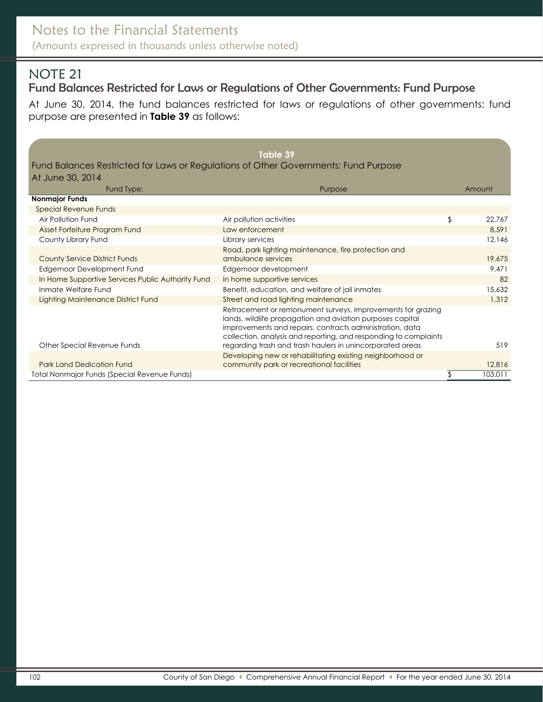# <span id="page-36-1"></span><span id="page-36-0"></span>Fund Balances Restricted for Laws or Regulations of Other Governments: Fund Purpose

At June 30, 2014, the fund balances restricted for laws or regulations of other governments: fund purpose are presented in **Table 39** as follows:

<span id="page-36-2"></span>

|                                                                                     | Table 39                                                                                                                                                                                                                                                 |              |
|-------------------------------------------------------------------------------------|----------------------------------------------------------------------------------------------------------------------------------------------------------------------------------------------------------------------------------------------------------|--------------|
| Fund Balances Restricted for Laws or Regulations of Other Governments: Fund Purpose |                                                                                                                                                                                                                                                          |              |
| At June 30, 2014                                                                    |                                                                                                                                                                                                                                                          |              |
| Fund Type:                                                                          | Purpose                                                                                                                                                                                                                                                  | Amount       |
| <b>Nonmajor Funds</b>                                                               |                                                                                                                                                                                                                                                          |              |
| <b>Special Revenue Funds</b>                                                        |                                                                                                                                                                                                                                                          |              |
| Air Pollution Fund                                                                  | Air pollution activities                                                                                                                                                                                                                                 | \$<br>22,767 |
| Asset Forfeiture Program Fund                                                       | Law enforcement                                                                                                                                                                                                                                          | 8,591        |
| County Library Fund                                                                 | Library services                                                                                                                                                                                                                                         | 12,146       |
|                                                                                     | Road, park lighting maintenance, fire protection and                                                                                                                                                                                                     |              |
| <b>County Service District Funds</b>                                                | ambulance services                                                                                                                                                                                                                                       | 19,675       |
| Edgemoor Development Fund                                                           | Edgemoor development                                                                                                                                                                                                                                     | 9,471        |
| In Home Supportive Services Public Authority Fund                                   | In home supportive services                                                                                                                                                                                                                              | 82           |
| Inmate Welfare Fund                                                                 | Benefit, education, and welfare of jail inmates                                                                                                                                                                                                          | 15,632       |
| Lighting Maintenance District Fund                                                  | Street and road lighting maintenance                                                                                                                                                                                                                     | 1,312        |
|                                                                                     | Retracement or remonument surveys, improvements for grazing<br>lands, wildlife propagation and aviation purposes capital<br>improvements and repairs, contracts administration, data<br>collection, analysis and reporting, and responding to complaints |              |
| Other Special Revenue Funds                                                         | regarding trash and trash haulers in unincorporated areas                                                                                                                                                                                                | 519          |
| <b>Park Land Dedication Fund</b>                                                    | Developing new or rehabilitating existing neighborhood or<br>community park or recreational facilities                                                                                                                                                   | 12,816       |
| <b>Total Nonmajor Funds (Special Revenue Funds)</b>                                 |                                                                                                                                                                                                                                                          | 103,011      |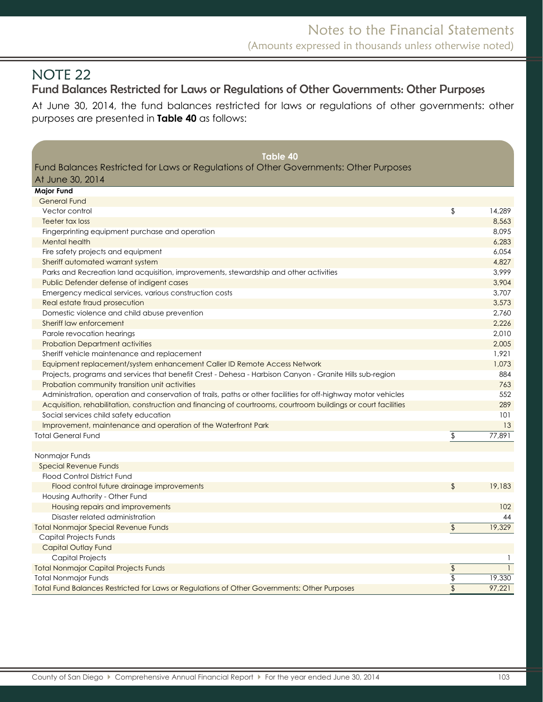**Major Fund**

# <span id="page-37-0"></span>Fund Balances Restricted for Laws or Regulations of Other Governments: Other Purposes

At June 30, 2014, the fund balances restricted for laws or regulations of other governments: other purposes are presented in **Table 40** as follows:

#### **Table 40**

Fund Balances Restricted for Laws or Regulations of Other Governments: Other Purposes At June 30, 2014

<span id="page-37-1"></span>

| General Fund                                                                                                   |                          |        |
|----------------------------------------------------------------------------------------------------------------|--------------------------|--------|
| Vector control                                                                                                 | \$                       | 14,289 |
| Teeter tax loss                                                                                                |                          | 8,563  |
| Fingerprinting equipment purchase and operation                                                                |                          | 8,095  |
| Mental health                                                                                                  |                          | 6,283  |
| Fire safety projects and equipment                                                                             |                          | 6,054  |
| Sheriff automated warrant system                                                                               |                          | 4,827  |
| Parks and Recreation land acquisition, improvements, stewardship and other activities                          |                          | 3,999  |
| Public Defender defense of indigent cases                                                                      |                          | 3,904  |
| Emergency medical services, various construction costs                                                         |                          | 3,707  |
| Real estate fraud prosecution                                                                                  |                          | 3,573  |
| Domestic violence and child abuse prevention                                                                   |                          | 2,760  |
| Sheriff law enforcement                                                                                        |                          | 2,226  |
| Parole revocation hearings                                                                                     |                          | 2,010  |
| <b>Probation Department activities</b>                                                                         |                          | 2,005  |
| Sheriff vehicle maintenance and replacement                                                                    |                          | 1,921  |
| Equipment replacement/system enhancement Caller ID Remote Access Network                                       |                          | 1,073  |
| Projects, programs and services that benefit Crest - Dehesa - Harbison Canyon - Granite Hills sub-region       |                          | 884    |
| Probation community transition unit activities                                                                 |                          | 763    |
| Administration, operation and conservation of trails, paths or other facilities for off-highway motor vehicles |                          | 552    |
| Acquisition, rehabilitation, construction and financing of courtrooms, courtroom buildings or court facilities |                          | 289    |
| Social services child safety education                                                                         |                          | 101    |
| Improvement, maintenance and operation of the Waterfront Park                                                  |                          | 13     |
| <b>Total General Fund</b>                                                                                      | \$                       | 77,891 |
|                                                                                                                |                          |        |
| Nonmajor Funds                                                                                                 |                          |        |
| <b>Special Revenue Funds</b>                                                                                   |                          |        |
| <b>Flood Control District Fund</b>                                                                             |                          |        |
| Flood control future drainage improvements                                                                     | $\mathfrak{L}$           | 19,183 |
| Housing Authority - Other Fund                                                                                 |                          |        |
| Housing repairs and improvements                                                                               |                          | 102    |
| Disaster related administration                                                                                |                          | 44     |
| <b>Total Nonmajor Special Revenue Funds</b>                                                                    | $\updownarrow$           | 19,329 |
| Capital Projects Funds                                                                                         |                          |        |
| Capital Outlay Fund                                                                                            |                          |        |
| <b>Capital Projects</b>                                                                                        |                          |        |
| <b>Total Nonmajor Capital Projects Funds</b>                                                                   | \$                       |        |
| <b>Total Nonmajor Funds</b>                                                                                    | $\overline{\$}$          | 19,330 |
| Total Fund Balances Restricted for Laws or Regulations of Other Governments: Other Purposes                    | $\overline{\mathcal{L}}$ | 97,221 |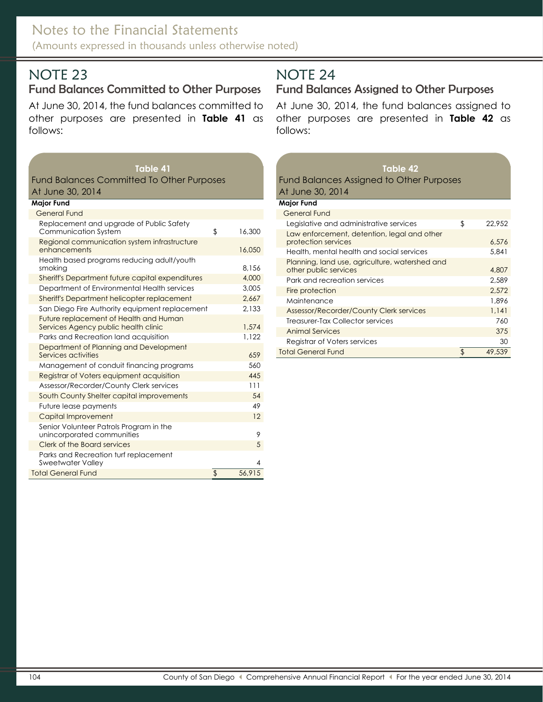# <span id="page-38-0"></span>Fund Balances Committed to Other Purposes

At June 30, 2014, the fund balances committed to other purposes are presented in **Table 41** as follows:

#### **Table 41**

#### Fund Balances Committed To Other Purposes At June 30, 2014

#### **Major Fund**

| <b>General Fund</b>                                                            |        |
|--------------------------------------------------------------------------------|--------|
| Replacement and upgrade of Public Safety<br>\$<br><b>Communication System</b>  | 16,300 |
| Regional communication system infrastructure<br>enhancements                   | 16,050 |
| Health based programs reducing adult/youth<br>smoking                          | 8.156  |
| Sheriff's Department future capital expenditures                               | 4,000  |
| Department of Environmental Health services                                    | 3,005  |
| Sheriff's Department helicopter replacement                                    | 2,667  |
| San Diego Fire Authority equipment replacement                                 | 2,133  |
| Future replacement of Health and Human<br>Services Agency public health clinic | 1,574  |
| Parks and Recreation land acquisition                                          | 1,122  |
| Department of Planning and Development<br>Services activities                  | 659    |
| Management of conduit financing programs                                       | 560    |
| Registrar of Voters equipment acquisition                                      | 445    |
| Assessor/Recorder/County Clerk services                                        | 111    |
| South County Shelter capital improvements                                      | 54     |
| Future lease payments                                                          | 49     |
| Capital Improvement                                                            | 12     |
| Senior Volunteer Patrols Program in the<br>unincorporated communities          | 9      |
| Clerk of the Board services                                                    | 5      |
| Parks and Recreation turf replacement<br>Sweetwater Valley                     | 4      |
| \$<br>Total General Fund                                                       | 56.915 |

# <span id="page-38-1"></span>NOTE 24

# <span id="page-38-2"></span>Fund Balances Assigned to Other Purposes

At June 30, 2014, the fund balances assigned to other purposes are presented in **Table 42** as follows:

#### **Table 42** Fund Balances Assigned to Other Purposes At June 30, 2014

| <b>Major Fund</b>                                                       |              |
|-------------------------------------------------------------------------|--------------|
| <b>General Fund</b>                                                     |              |
| Legislative and administrative services                                 | \$<br>22.952 |
| Law enforcement, detention, legal and other<br>protection services      | 6.576        |
| Health, mental health and social services                               | 5.841        |
| Planning, land use, agriculture, watershed and<br>other public services | 4,807        |
| Park and recreation services                                            | 2.589        |
| Fire protection                                                         | 2.572        |
| Maintenance                                                             | 1.896        |
| Assessor/Recorder/County Clerk services                                 | 1.141        |
| Treasurer-Tax Collector services                                        | 760          |
| <b>Animal Services</b>                                                  | 375          |
| Registrar of Voters services                                            | 30           |
| <b>Total General Fund</b>                                               | 49,539       |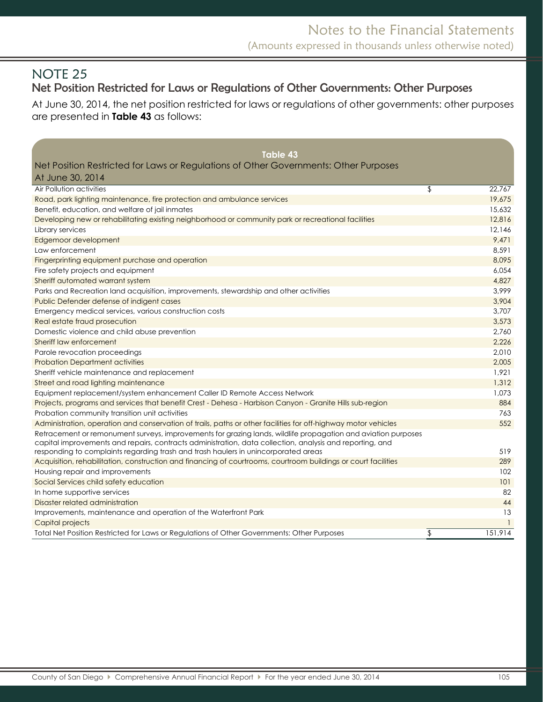# <span id="page-39-1"></span><span id="page-39-0"></span>Net Position Restricted for Laws or Regulations of Other Governments: Other Purposes

At June 30, 2014, the net position restricted for laws or regulations of other governments: other purposes are presented in **Table 43** as follows:

<span id="page-39-2"></span>

| <b>Table 43</b>                                                                                                |               |
|----------------------------------------------------------------------------------------------------------------|---------------|
| Net Position Restricted for Laws or Regulations of Other Governments: Other Purposes                           |               |
| At June 30, 2014                                                                                               |               |
| Air Pollution activities                                                                                       | \$<br>22,767  |
| Road, park lighting maintenance, fire protection and ambulance services                                        | 19,675        |
| Benefit, education, and welfare of jail inmates                                                                | 15,632        |
| Developing new or rehabilitating existing neighborhood or community park or recreational facilities            | 12,816        |
| Library services                                                                                               | 12.146        |
| Edgemoor development                                                                                           | 9,471         |
| Law enforcement                                                                                                | 8,591         |
| Fingerprinting equipment purchase and operation                                                                | 8,095         |
| Fire safety projects and equipment                                                                             | 6,054         |
| Sheriff automated warrant system                                                                               | 4,827         |
| Parks and Recreation land acquisition, improvements, stewardship and other activities                          | 3.999         |
| Public Defender defense of indigent cases                                                                      | 3,904         |
| Emergency medical services, various construction costs                                                         | 3,707         |
| Real estate fraud prosecution                                                                                  | 3,573         |
| Domestic violence and child abuse prevention                                                                   | 2,760         |
| Sheriff law enforcement                                                                                        | 2,226         |
| Parole revocation proceedings                                                                                  | 2,010         |
| <b>Probation Department activities</b>                                                                         | 2,005         |
| Sheriff vehicle maintenance and replacement                                                                    | 1,921         |
| Street and road lighting maintenance                                                                           | 1,312         |
| Equipment replacement/system enhancement Caller ID Remote Access Network                                       | 1,073         |
| Projects, programs and services that benefit Crest - Dehesa - Harbison Canyon - Granite Hills sub-region       | 884           |
| Probation community transition unit activities                                                                 | 763           |
| Administration, operation and conservation of trails, paths or other facilities for off-highway motor vehicles | 552           |
| Retracement or remonument surveys, improvements for grazing lands, wildlife propagation and aviation purposes  |               |
| capital improvements and repairs, contracts administration, data collection, analysis and reporting, and       |               |
| responding to complaints regarding trash and trash haulers in unincorporated areas                             | 519           |
| Acquisition, rehabilitation, construction and financing of courtrooms, courtroom buildings or court facilities | 289           |
| Housing repair and improvements                                                                                | 102           |
| Social Services child safety education                                                                         | 101           |
| In home supportive services                                                                                    | 82            |
| Disaster related administration                                                                                | 44            |
| Improvements, maintenance and operation of the Waterfront Park                                                 | 13            |
| Capital projects                                                                                               |               |
| Total Net Position Restricted for Laws or Regulations of Other Governments: Other Purposes                     | \$<br>151,914 |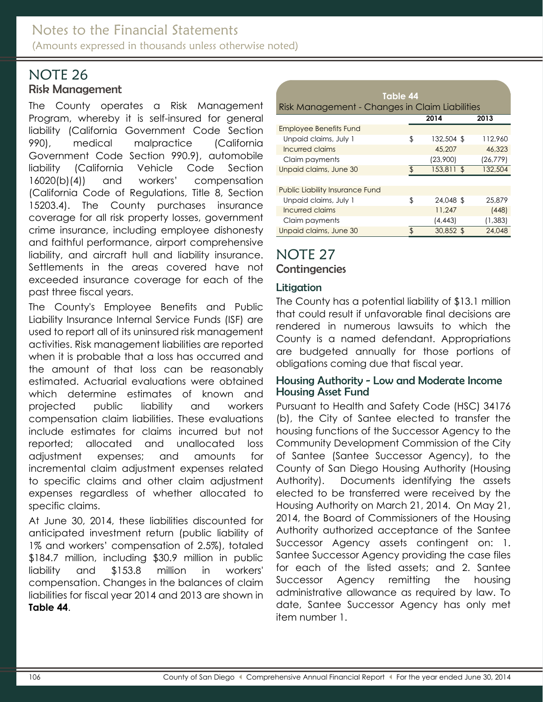#### <span id="page-40-0"></span>NOTE 26 Risk Management

#### The County operates a Risk Management Program, whereby it is self-insured for general liability (California Government Code Section 990), medical malpractice (California Government Code Section 990.9), automobile liability (California Vehicle Code Section 16020(b)(4)) and workers' compensation (California Code of Regulations, Title 8, Section 15203.4). The County purchases insurance coverage for all risk property losses, government crime insurance, including employee dishonesty and faithful performance, airport comprehensive liability, and aircraft hull and liability insurance. Settlements in the areas covered have not exceeded insurance coverage for each of the past three fiscal years.

The County's Employee Benefits and Public Liability Insurance Internal Service Funds (ISF) are used to report all of its uninsured risk management activities. Risk management liabilities are reported when it is probable that a loss has occurred and the amount of that loss can be reasonably estimated. Actuarial evaluations were obtained which determine estimates of known and projected public liability and workers compensation claim liabilities. These evaluations include estimates for claims incurred but not reported; allocated and unallocated loss adjustment expenses; and amounts for incremental claim adjustment expenses related to specific claims and other claim adjustment expenses regardless of whether allocated to specific claims.

At June 30, 2014, these liabilities discounted for anticipated investment return (public liability of 1% and workers' compensation of 2.5%), totaled \$184.7 million, including \$30.9 million in public liability and \$153.8 million in workers' compensation. Changes in the balances of claim liabilities for fiscal year 2014 and 2013 are shown in **Table 44**.

| Table 44                                       |                |            |           |  |  |  |  |  |
|------------------------------------------------|----------------|------------|-----------|--|--|--|--|--|
| Risk Management - Changes in Claim Liabilities |                |            |           |  |  |  |  |  |
|                                                |                | 2014       | 2013      |  |  |  |  |  |
| <b>Employee Benefits Fund</b>                  |                |            |           |  |  |  |  |  |
| Unpaid claims, July 1                          | \$             | 132,504 \$ | 112.960   |  |  |  |  |  |
| Incurred claims                                |                | 45,207     | 46,323    |  |  |  |  |  |
| Claim payments                                 |                | (23,900)   | (26, 779) |  |  |  |  |  |
| Unpaid claims, June 30                         | $\mathfrak{L}$ | 153,811 \$ | 132,504   |  |  |  |  |  |
|                                                |                |            |           |  |  |  |  |  |
| <b>Public Liability Insurance Fund</b>         |                |            |           |  |  |  |  |  |
| Unpaid claims, July 1                          | \$             | 24,048 \$  | 25,879    |  |  |  |  |  |
| Incurred claims                                |                | 11,247     | (448)     |  |  |  |  |  |
| Claim payments                                 |                | (4, 443)   | (1, 383)  |  |  |  |  |  |
| Unpaid claims, June 30                         | \$             | 30,852 \$  | 24.048    |  |  |  |  |  |

# <span id="page-40-1"></span>NOTE 27

<span id="page-40-2"></span>**Contingencies** 

### <span id="page-40-3"></span>Litigation

The County has a potential liability of \$13.1 million that could result if unfavorable final decisions are rendered in numerous lawsuits to which the County is a named defendant. Appropriations are budgeted annually for those portions of obligations coming due that fiscal year.

#### Housing Authority - Low and Moderate Income Housing Asset Fund

Pursuant to Health and Safety Code (HSC) 34176 (b), the City of Santee elected to transfer the housing functions of the Successor Agency to the Community Development Commission of the City of Santee (Santee Successor Agency), to the County of San Diego Housing Authority (Housing Authority). Documents identifying the assets elected to be transferred were received by the Housing Authority on March 21, 2014. On May 21, 2014, the Board of Commissioners of the Housing Authority authorized acceptance of the Santee Successor Agency assets contingent on: 1. Santee Successor Agency providing the case files for each of the listed assets; and 2. Santee Successor Agency remitting the housing administrative allowance as required by law. To date, Santee Successor Agency has only met item number 1.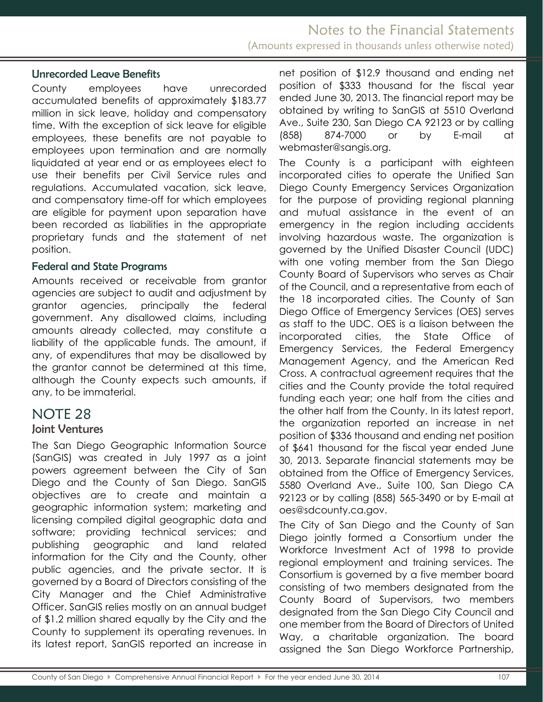#### Unrecorded Leave Benefits

County employees have unrecorded accumulated benefits of approximately \$183.77 million in sick leave, holiday and compensatory time. With the exception of sick leave for eligible employees, these benefits are not payable to employees upon termination and are normally liquidated at year end or as employees elect to use their benefits per Civil Service rules and regulations. Accumulated vacation, sick leave, and compensatory time-off for which employees are eligible for payment upon separation have been recorded as liabilities in the appropriate proprietary funds and the statement of net position.

#### <span id="page-41-0"></span>Federal and State Programs

Amounts received or receivable from grantor agencies are subject to audit and adjustment by grantor agencies, principally the federal government. Any disallowed claims, including amounts already collected, may constitute a liability of the applicable funds. The amount, if any, of expenditures that may be disallowed by the grantor cannot be determined at this time, although the County expects such amounts, if any, to be immaterial.

# <span id="page-41-1"></span>NOTE 28

#### <span id="page-41-2"></span>Joint Ventures

The San Diego Geographic Information Source (SanGIS) was created in July 1997 as a joint powers agreement between the City of San Diego and the County of San Diego. SanGIS objectives are to create and maintain a geographic information system; marketing and licensing compiled digital geographic data and software; providing technical services; and publishing geographic and land related information for the City and the County, other public agencies, and the private sector. It is governed by a Board of Directors consisting of the City Manager and the Chief Administrative Officer. SanGIS relies mostly on an annual budget of \$1.2 million shared equally by the City and the County to supplement its operating revenues. In its latest report, SanGIS reported an increase in net position of \$12.9 thousand and ending net position of \$333 thousand for the fiscal year ended June 30, 2013. The financial report may be obtained by writing to SanGIS at 5510 Overland Ave., Suite 230, San Diego CA 92123 or by calling (858) 874-7000 or by E-mail at webmaster@sangis.org.

The County is a participant with eighteen incorporated cities to operate the Unified San Diego County Emergency Services Organization for the purpose of providing regional planning and mutual assistance in the event of an emergency in the region including accidents involving hazardous waste. The organization is governed by the Unified Disaster Council (UDC) with one voting member from the San Diego County Board of Supervisors who serves as Chair of the Council, and a representative from each of the 18 incorporated cities. The County of San Diego Office of Emergency Services (OES) serves as staff to the UDC. OES is a liaison between the incorporated cities, the State Office of Emergency Services, the Federal Emergency Management Agency, and the American Red Cross. A contractual agreement requires that the cities and the County provide the total required funding each year; one half from the cities and the other half from the County. In its latest report, the organization reported an increase in net position of \$336 thousand and ending net position of \$641 thousand for the fiscal year ended June 30, 2013. Separate financial statements may be obtained from the Office of Emergency Services, 5580 Overland Ave., Suite 100, San Diego CA 92123 or by calling (858) 565-3490 or by E-mail at oes@sdcounty.ca.gov.

The City of San Diego and the County of San Diego jointly formed a Consortium under the Workforce Investment Act of 1998 to provide regional employment and training services. The Consortium is governed by a five member board consisting of two members designated from the County Board of Supervisors, two members designated from the San Diego City Council and one member from the Board of Directors of United Way, a charitable organization. The board assigned the San Diego Workforce Partnership,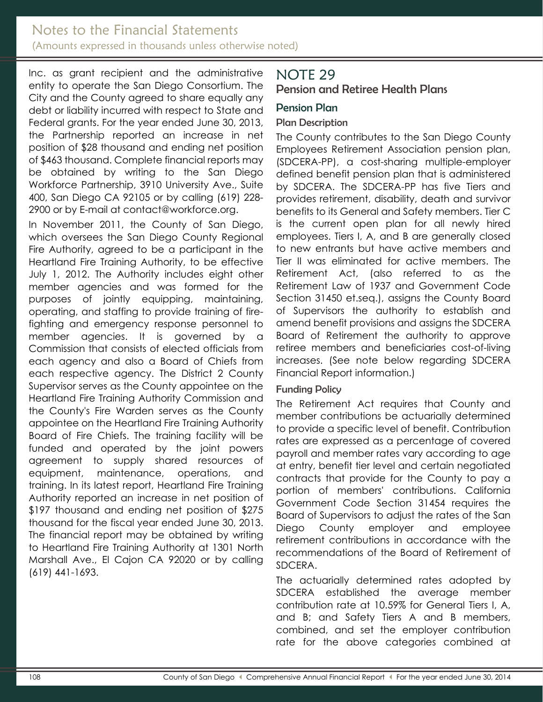### Notes to the Financial Statements (Amounts expressed in thousands unless otherwise noted)

Inc. as grant recipient and the administrative entity to operate the San Diego Consortium. The City and the County agreed to share equally any debt or liability incurred with respect to State and Federal grants. For the year ended June 30, 2013, the Partnership reported an increase in net position of \$28 thousand and ending net position of \$463 thousand. Complete financial reports may be obtained by writing to the San Diego Workforce Partnership, 3910 University Ave., Suite 400, San Diego CA 92105 or by calling (619) 228- 2900 or by E-mail at contact@workforce.org.

In November 2011, the County of San Diego, which oversees the San Diego County Regional Fire Authority, agreed to be a participant in the Heartland Fire Training Authority, to be effective July 1, 2012. The Authority includes eight other member agencies and was formed for the purposes of jointly equipping, maintaining, operating, and staffing to provide training of firefighting and emergency response personnel to member agencies. It is governed by a Commission that consists of elected officials from each agency and also a Board of Chiefs from each respective agency. The District 2 County Supervisor serves as the County appointee on the Heartland Fire Training Authority Commission and the County's Fire Warden serves as the County appointee on the Heartland Fire Training Authority Board of Fire Chiefs. The training facility will be funded and operated by the joint powers agreement to supply shared resources of equipment, maintenance, operations, and training. In its latest report, Heartland Fire Training Authority reported an increase in net position of \$197 thousand and ending net position of \$275 thousand for the fiscal year ended June 30, 2013. The financial report may be obtained by writing to Heartland Fire Training Authority at 1301 North Marshall Ave., El Cajon CA 92020 or by calling (619) 441-1693.

# <span id="page-42-0"></span>NOTE 29

<span id="page-42-1"></span>Pension and Retiree Health Plans

### <span id="page-42-2"></span>Pension Plan

### Plan Description

The County contributes to the San Diego County Employees Retirement Association pension plan, (SDCERA-PP), a cost-sharing multiple-employer defined benefit pension plan that is administered by SDCERA. The SDCERA-PP has five Tiers and provides retirement, disability, death and survivor benefits to its General and Safety members. Tier C is the current open plan for all newly hired employees. Tiers I, A, and B are generally closed to new entrants but have active members and Tier II was eliminated for active members. The Retirement Act, (also referred to as the Retirement Law of 1937 and Government Code Section 31450 et.seq.), assigns the County Board of Supervisors the authority to establish and amend benefit provisions and assigns the SDCERA Board of Retirement the authority to approve retiree members and beneficiaries cost-of-living increases. (See note below regarding SDCERA Financial Report information.)

#### Funding Policy

The Retirement Act requires that County and member contributions be actuarially determined to provide a specific level of benefit. Contribution rates are expressed as a percentage of covered payroll and member rates vary according to age at entry, benefit tier level and certain negotiated contracts that provide for the County to pay a portion of members' contributions. California Government Code Section 31454 requires the Board of Supervisors to adjust the rates of the San Diego County employer and employee retirement contributions in accordance with the recommendations of the Board of Retirement of SDCERA.

The actuarially determined rates adopted by SDCERA established the average member contribution rate at 10.59% for General Tiers I, A, and B; and Safety Tiers A and B members, combined, and set the employer contribution rate for the above categories combined at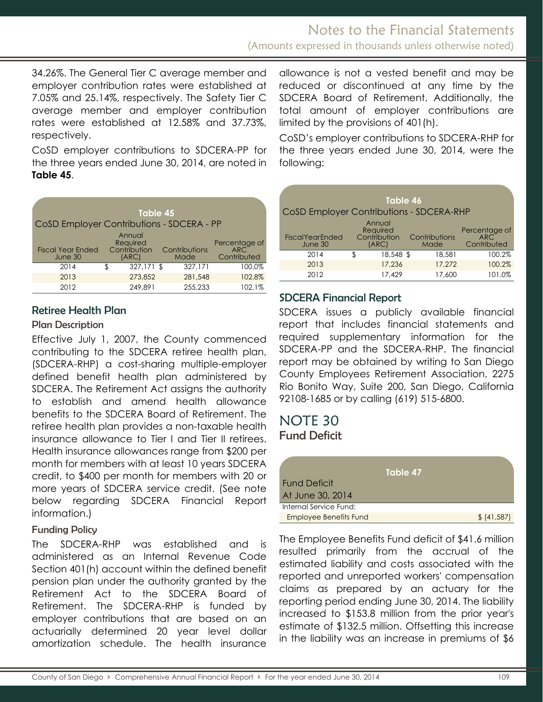34.26%. The General Tier C average member and employer contribution rates were established at 7.05% and 25.14%, respectively. The Safety Tier C average member and employer contribution rates were established at 12.58% and 37.73%, respectively.

CoSD employer contributions to SDCERA-PP for the three years ended June 30, 2014, are noted in **Table 45**.

| Table 45<br>CoSD Employer Contributions - SDCERA - PP                              |     |            |  |                       |                                                  |  |  |  |
|------------------------------------------------------------------------------------|-----|------------|--|-----------------------|--------------------------------------------------|--|--|--|
| Annual<br>Required<br>Contribution<br><b>Fiscal Year Ended</b><br>June 30<br>(ARC) |     |            |  | Contributions<br>Made | Percentage of<br>ARC <sup>1</sup><br>Contributed |  |  |  |
| 2014                                                                               | \$. | 327,171 \$ |  | 327.171               | 100.0%                                           |  |  |  |
| 2013                                                                               |     | 273.852    |  | 281,548               | 102.8%                                           |  |  |  |
| 2012                                                                               |     | 249.891    |  | 255,233               | 102.1%                                           |  |  |  |

#### Retiree Health Plan

#### Plan Description

Effective July 1, 2007, the County commenced contributing to the SDCERA retiree health plan, (SDCERA-RHP) a cost-sharing multiple-employer defined benefit health plan administered by SDCERA. The Retirement Act assigns the authority to establish and amend health allowance benefits to the SDCERA Board of Retirement. The retiree health plan provides a non-taxable health insurance allowance to Tier I and Tier II retirees. Health insurance allowances range from \$200 per month for members with at least 10 years SDCERA credit, to \$400 per month for members with 20 or more years of SDCERA service credit. (See note below regarding SDCERA Financial Report information.)

#### Funding Policy

The SDCERA-RHP was established and is administered as an Internal Revenue Code Section 401(h) account within the defined benefit pension plan under the authority granted by the Retirement Act to the SDCERA Board of Retirement. The SDCERA-RHP is funded by employer contributions that are based on an actuarially determined 20 year level dollar amortization schedule. The health insurance allowance is not a vested benefit and may be reduced or discontinued at any time by the SDCERA Board of Retirement. Additionally, the total amount of employer contributions are limited by the provisions of 401(h).

CoSD's employer contributions to SDCERA-RHP for the three years ended June 30, 2014, were the following:

|                                                 | Table 46                                    |                       |                                            |
|-------------------------------------------------|---------------------------------------------|-----------------------|--------------------------------------------|
| <b>CoSD Employer Contributions - SDCERA-RHP</b> |                                             |                       |                                            |
| <b>Fiscal Year Ended</b><br>June 30             | Annual<br>Required<br>Contribution<br>(ARC) | Contributions<br>Made | Percentage of<br><b>ARC</b><br>Contributed |
| 2014                                            | 18,548 \$<br>ß.                             | 18,581                | 100.2%                                     |
| 2013                                            | 17.236                                      | 17.272                | 100.2%                                     |
| 2012                                            | 17.429                                      | 17.600                | 101.0%                                     |

#### <span id="page-43-0"></span>SDCERA Financial Report

SDCERA issues a publicly available financial report that includes financial statements and required supplementary information for the SDCERA-PP and the SDCERA-RHP. The financial report may be obtained by writing to San Diego County Employees Retirement Association, 2275 Rio Bonito Way, Suite 200, San Diego, California 92108-1685 or by calling (619) 515-6800.

## <span id="page-43-2"></span><span id="page-43-1"></span>NOTE 30 Fund Deficit

|                               | Table 47 |              |
|-------------------------------|----------|--------------|
| <b>Fund Deficit</b>           |          |              |
| At June 30, 2014              |          |              |
| Internal Service Fund:        |          |              |
| <b>Employee Benefits Fund</b> |          | \$ (41, 587) |

The Employee Benefits Fund deficit of \$41.6 million resulted primarily from the accrual of the estimated liability and costs associated with the reported and unreported workers' compensation claims as prepared by an actuary for the reporting period ending June 30, 2014. The liability increased to \$153.8 million from the prior year's estimate of \$132.5 million. Offsetting this increase in the liability was an increase in premiums of \$6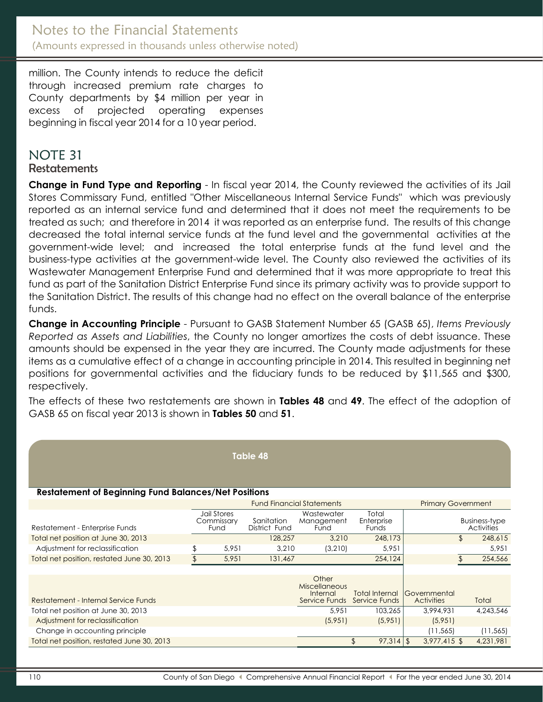million. The County intends to reduce the deficit through increased premium rate charges to County departments by \$4 million per year in excess of projected operating expenses beginning in fiscal year 2014 for a 10 year period.

# NOTE 31

#### **Restatements**

**Change in Fund Type and Reporting** - In fiscal year 2014, the County reviewed the activities of its Jail Stores Commissary Fund, entitled "Other Miscellaneous Internal Service Funds" which was previously reported as an internal service fund and determined that it does not meet the requirements to be treated as such; and therefore in 2014 it was reported as an enterprise fund. The results of this change decreased the total internal service funds at the fund level and the governmental activities at the government-wide level; and increased the total enterprise funds at the fund level and the business-type activities at the government-wide level. The County also reviewed the activities of its Wastewater Management Enterprise Fund and determined that it was more appropriate to treat this fund as part of the Sanitation District Enterprise Fund since its primary activity was to provide support to the Sanitation District. The results of this change had no effect on the overall balance of the enterprise funds.

**Change in Accounting Principle** - Pursuant to GASB Statement Number 65 (GASB 65), *Items Previously Reported as Assets and Liabilities*, the County no longer amortizes the costs of debt issuance. These amounts should be expensed in the year they are incurred. The County made adjustments for these items as a cumulative effect of a change in accounting principle in 2014. This resulted in beginning net positions for governmental activities and the fiduciary funds to be reduced by \$11,565 and \$300, respectively.

The effects of these two restatements are shown in **Tables 48** and **49**. The effect of the adoption of GASB 65 on fiscal year 2013 is shown in **Tables 50** and **51**.

| Table 48                                                    |  |                                   |                             |                                           |                                               |                                          |    |                                           |  |  |  |
|-------------------------------------------------------------|--|-----------------------------------|-----------------------------|-------------------------------------------|-----------------------------------------------|------------------------------------------|----|-------------------------------------------|--|--|--|
| <b>Restatement of Beginning Fund Balances/Net Positions</b> |  |                                   |                             |                                           |                                               |                                          |    |                                           |  |  |  |
|                                                             |  |                                   |                             | <b>Fund Financial Statements</b>          |                                               | <b>Primary Government</b>                |    |                                           |  |  |  |
| Restatement - Enterprise Funds                              |  | Jail Stores<br>Commissary<br>Fund | Sanitation<br>District Fund | Wastewater<br>Management<br>Fund          | Total<br>Enterprise<br>Funds                  |                                          |    | <b>Business-type</b><br><b>Activities</b> |  |  |  |
| Total net position at June 30, 2013                         |  |                                   | 128,257                     | 3,210                                     | 248,173                                       |                                          | £. | 248,615                                   |  |  |  |
| Adjustment for reclassification                             |  | 5,951                             | 3,210                       | (3,210)                                   | 5,951                                         |                                          |    | 5,951                                     |  |  |  |
| Total net position, restated June 30, 2013                  |  | 5,951                             | 131,467                     |                                           | 254,124                                       |                                          |    | 254,566                                   |  |  |  |
| Restatement - Internal Service Funds                        |  |                                   |                             | Other<br><b>Miscellaneous</b><br>Internal | Total Internal<br>Service Funds Service Funds | <b>Covernmental</b><br><b>Activities</b> |    | Total                                     |  |  |  |
| Total net position at June 30, 2013                         |  |                                   |                             | 5.951                                     | 103,265                                       | 3,994,931                                |    | 4,243,546                                 |  |  |  |
| Adjustment for reclassification                             |  |                                   |                             | (5,951)                                   | (5,951)                                       | (5,951)                                  |    |                                           |  |  |  |
| Change in accounting principle                              |  |                                   |                             |                                           |                                               | (11, 565)                                |    | (11, 565)                                 |  |  |  |
| Total net position, restated June 30, 2013                  |  |                                   |                             |                                           | \$<br>$97,314$ \$                             | $3,977,415$ \$                           |    | 4,231,981                                 |  |  |  |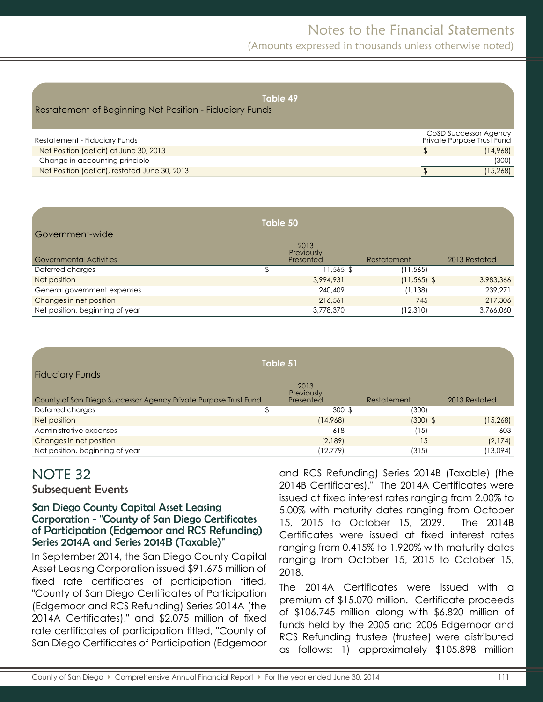# Notes to the Financial Statements

(Amounts expressed in thousands unless otherwise noted)

| Table 49<br>Restatement of Beginning Net Position - Fiduciary Funds |                                                     |
|---------------------------------------------------------------------|-----------------------------------------------------|
| Restatement - Fiduciary Funds                                       | CoSD Successor Agency<br>Private Purpose Trust Fund |
| Net Position (deficit) at June 30, 2013                             | (14,968)                                            |
| Change in accounting principle                                      | (300)                                               |
| Net Position (deficit), restated June 30, 2013                      | (15, 268)                                           |

|                                 | Table 50 |                                 |                |               |
|---------------------------------|----------|---------------------------------|----------------|---------------|
| Government-wide                 |          |                                 |                |               |
| <b>Governmental Activities</b>  |          | 2013<br>Previously<br>Presented | Restatement    | 2013 Restated |
| Deferred charges                | \$       | $11,565$ \$                     | (11, 565)      |               |
| Net position                    |          | 3,994,931                       | $(11, 565)$ \$ | 3,983,366     |
| General government expenses     |          | 240,409                         | (1, 138)       | 239,271       |
| Changes in net position         |          | 216,561                         | 745            | 217,306       |
| Net position, beginning of year |          | 3,778,370                       | (12, 310)      | 3,766,060     |

| Table 51                                                        |  |                                 |             |               |  |  |  |  |  |
|-----------------------------------------------------------------|--|---------------------------------|-------------|---------------|--|--|--|--|--|
| <b>Fiduciary Funds</b>                                          |  |                                 |             |               |  |  |  |  |  |
| County of San Diego Successor Agency Private Purpose Trust Fund |  | 2013<br>Previously<br>Presented | Restatement | 2013 Restated |  |  |  |  |  |
| Deferred charges                                                |  | $300 \text{ }$ \$               | (300)       |               |  |  |  |  |  |
| Net position                                                    |  | (14,968)                        | $(300)$ \$  | (15, 268)     |  |  |  |  |  |
| Administrative expenses                                         |  | 618                             | '15)        | 603           |  |  |  |  |  |
| Changes in net position                                         |  | (2,189)                         | 15          | (2, 174)      |  |  |  |  |  |
| Net position, beginning of year                                 |  | (12, 779)                       | (315)       | (13,094)      |  |  |  |  |  |

# NOTE 32

<span id="page-45-0"></span>Subsequent Events

#### San Diego County Capital Asset Leasing Corporation - "County of San Diego Certificates of Participation (Edgemoor and RCS Refunding) Series 2014A and Series 2014B (Taxable)"

In September 2014, the San Diego County Capital Asset Leasing Corporation issued \$91.675 million of fixed rate certificates of participation titled, "County of San Diego Certificates of Participation (Edgemoor and RCS Refunding) Series 2014A (the 2014A Certificates)," and \$2.075 million of fixed rate certificates of participation titled, "County of San Diego Certificates of Participation (Edgemoor and RCS Refunding) Series 2014B (Taxable) (the 2014B Certificates)." The 2014A Certificates were issued at fixed interest rates ranging from 2.00% to 5.00% with maturity dates ranging from October 15, 2015 to October 15, 2029. The 2014B Certificates were issued at fixed interest rates ranging from 0.415% to 1.920% with maturity dates ranging from October 15, 2015 to October 15, 2018.

The 2014A Certificates were issued with a premium of \$15.070 million. Certificate proceeds of \$106.745 million along with \$6.820 million of funds held by the 2005 and 2006 Edgemoor and RCS Refunding trustee (trustee) were distributed as follows: 1) approximately \$105.898 million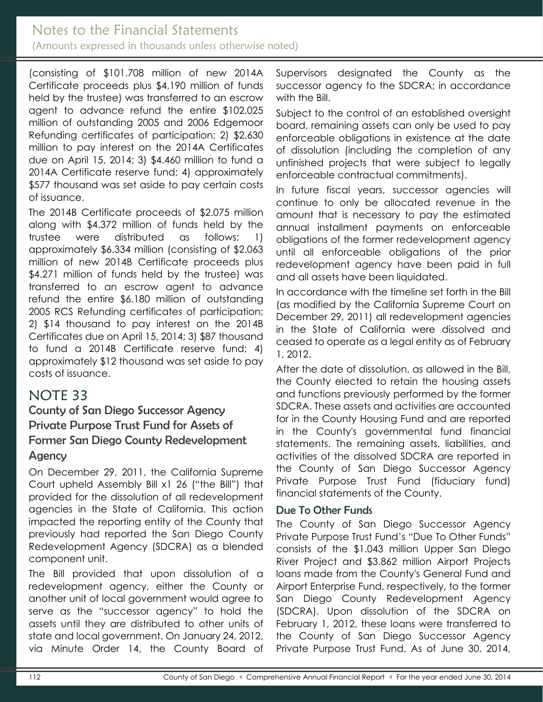## Notes to the Financial Statements (Amounts expressed in thousands unless otherwise noted)

(consisting of \$101.708 million of new 2014A Certificate proceeds plus \$4.190 million of funds held by the trustee) was transferred to an escrow agent to advance refund the entire \$102.025 million of outstanding 2005 and 2006 Edgemoor Refunding certificates of participation; 2) \$2.630 million to pay interest on the 2014A Certificates due on April 15, 2014; 3) \$4.460 million to fund a 2014A Certificate reserve fund; 4) approximately \$577 thousand was set aside to pay certain costs of issuance.

The 2014B Certificate proceeds of \$2.075 million along with \$4.372 million of funds held by the trustee were distributed as follows: 1) approximately \$6.334 million (consisting of \$2.063 million of new 2014B Certificate proceeds plus \$4.271 million of funds held by the trustee) was transferred to an escrow agent to advance refund the entire \$6.180 million of outstanding 2005 RCS Refunding certificates of participation; 2) \$14 thousand to pay interest on the 2014B Certificates due on April 15, 2014; 3) \$87 thousand to fund a 2014B Certificate reserve fund; 4) approximately \$12 thousand was set aside to pay costs of issuance.

# NOTE 33

<span id="page-46-0"></span>County of San Diego Successor Agency Private Purpose Trust Fund for Assets of Former San Diego County Redevelopment **Agency** 

On December 29, 2011, the California Supreme Court upheld Assembly Bill x1 26 ("the Bill") that provided for the dissolution of all redevelopment agencies in the State of California. This action impacted the reporting entity of the County that previously had reported the San Diego County Redevelopment Agency (SDCRA) as a blended component unit.

The Bill provided that upon dissolution of a redevelopment agency, either the County or another unit of local government would agree to serve as the "successor agency" to hold the assets until they are distributed to other units of state and local government. On January 24, 2012, via Minute Order 14, the County Board of

Supervisors designated the County as the successor agency to the SDCRA; in accordance with the Bill.

Subject to the control of an established oversight board, remaining assets can only be used to pay enforceable obligations in existence at the date of dissolution (including the completion of any unfinished projects that were subject to legally enforceable contractual commitments).

In future fiscal years, successor agencies will continue to only be allocated revenue in the amount that is necessary to pay the estimated annual installment payments on enforceable obligations of the former redevelopment agency until all enforceable obligations of the prior redevelopment agency have been paid in full and all assets have been liquidated.

In accordance with the timeline set forth in the Bill (as modified by the California Supreme Court on December 29, 2011) all redevelopment agencies in the State of California were dissolved and ceased to operate as a legal entity as of February 1, 2012.

After the date of dissolution, as allowed in the Bill, the County elected to retain the housing assets and functions previously performed by the former SDCRA. These assets and activities are accounted for in the County Housing Fund and are reported in the County's governmental fund financial statements. The remaining assets, liabilities, and activities of the dissolved SDCRA are reported in the County of San Diego Successor Agency Private Purpose Trust Fund (fiduciary fund) financial statements of the County.

#### <span id="page-46-1"></span>Due To Other Funds

The County of San Diego Successor Agency Private Purpose Trust Fund's "Due To Other Funds" consists of the \$1.043 million Upper San Diego River Project and \$3.862 million Airport Projects loans made from the County's General Fund and Airport Enterprise Fund, respectively, to the former San Diego County Redevelopment Agency (SDCRA). Upon dissolution of the SDCRA on February 1, 2012, these loans were transferred to the County of San Diego Successor Agency Private Purpose Trust Fund. As of June 30, 2014,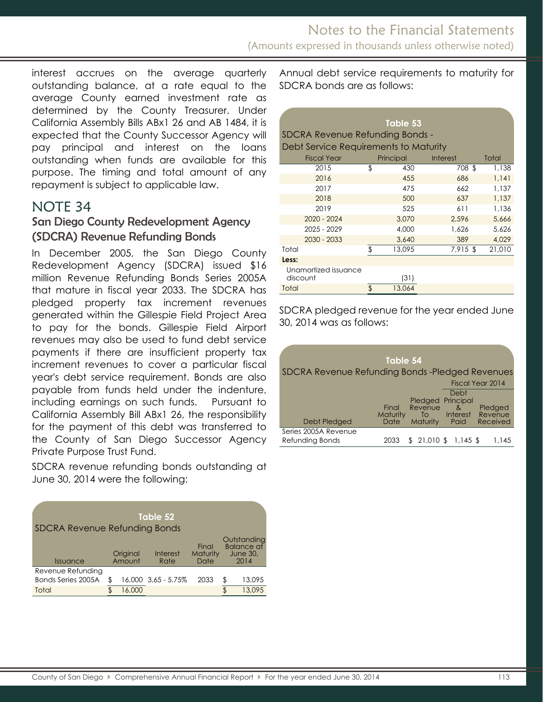interest accrues on the average quarterly outstanding balance, at a rate equal to the average County earned investment rate as determined by the County Treasurer. Under California Assembly Bills ABx1 26 and AB 1484, it is expected that the County Successor Agency will pay principal and interest on the loans outstanding when funds are available for this purpose. The timing and total amount of any repayment is subject to applicable law.

# <span id="page-47-0"></span>NOTE 34

### <span id="page-47-1"></span>San Diego County Redevelopment Agency (SDCRA) Revenue Refunding Bonds

In December 2005, the San Diego County Redevelopment Agency (SDCRA) issued \$16 million Revenue Refunding Bonds Series 2005A that mature in fiscal year 2033. The SDCRA has pledged property tax increment revenues generated within the Gillespie Field Project Area to pay for the bonds. Gillespie Field Airport revenues may also be used to fund debt service payments if there are insufficient property tax increment revenues to cover a particular fiscal year's debt service requirement. Bonds are also payable from funds held under the indenture, including earnings on such funds. Pursuant to California Assembly Bill ABx1 26, the responsibility for the payment of this debt was transferred to the County of San Diego Successor Agency Private Purpose Trust Fund.

SDCRA revenue refunding bonds outstanding at June 30, 2014 were the following:

| Table 52<br><b>SDCRA Revenue Refunding Bonds</b> |  |                    |                         |                           |  |                                                             |  |  |  |
|--------------------------------------------------|--|--------------------|-------------------------|---------------------------|--|-------------------------------------------------------------|--|--|--|
| Issuance                                         |  | Original<br>Amount | <b>Interest</b><br>Rate | Final<br>Maturity<br>Date |  | Outstanding<br><b>Balance at</b><br><b>June 30.</b><br>2014 |  |  |  |
| Revenue Refunding<br>Bonds Series 2005A          |  |                    | 16,000 3.65 - 5.75%     | 2033                      |  | 13,095                                                      |  |  |  |
| Total                                            |  |                    |                         |                           |  | 13,095                                                      |  |  |  |

Annual debt service requirements to maturity for SDCRA bonds are as follows:

|                                       |    | Table 53  |          |        |  |  |  |  |  |
|---------------------------------------|----|-----------|----------|--------|--|--|--|--|--|
| SDCRA Revenue Refunding Bonds -       |    |           |          |        |  |  |  |  |  |
| Debt Service Requirements to Maturity |    |           |          |        |  |  |  |  |  |
| <b>Fiscal Year</b>                    |    | Principal | Interest | Total  |  |  |  |  |  |
| 2015                                  | \$ | 430       | 708 \$   | 1,138  |  |  |  |  |  |
| 2016                                  |    | 455       | 686      | 1,141  |  |  |  |  |  |
| 2017                                  |    | 475       | 662      | 1,137  |  |  |  |  |  |
| 2018                                  |    | 500       | 637      | 1.137  |  |  |  |  |  |
| 2019                                  |    | 525       | 611      | 1.136  |  |  |  |  |  |
| $2020 - 2024$                         |    | 3,070     | 2.596    | 5,666  |  |  |  |  |  |
| 2025 - 2029                           |    | 4,000     | 1,626    | 5,626  |  |  |  |  |  |
| $2030 - 2033$                         |    | 3,640     | 389      | 4,029  |  |  |  |  |  |
| Total                                 | \$ | 13.095    | 7,915 \$ | 21,010 |  |  |  |  |  |
| Less:                                 |    |           |          |        |  |  |  |  |  |
| Unamortized issuance<br>discount      |    | (31)      |          |        |  |  |  |  |  |
| Total                                 | \$ | 13,064    |          |        |  |  |  |  |  |

SDCRA pledged revenue for the year ended June 30, 2014 was as follows:

| SDCRA Revenue Refunding Bonds-Pledged Revenues | Table 54                  |                           |                                                                 |                                |
|------------------------------------------------|---------------------------|---------------------------|-----------------------------------------------------------------|--------------------------------|
|                                                |                           |                           |                                                                 | Fiscal Year 2014               |
| Debt Pledged                                   | Final<br>Maturity<br>Date | Revenue<br>To<br>Maturity | Debt<br>Pledged Principal<br>8 <sub>x</sub><br>Interest<br>Paid | Pledged<br>Revenue<br>Received |
| Series 2005A Revenue<br>Refunding Bonds        | 2033                      | 21,010 \$                 | 1.145 \$                                                        | 1,145                          |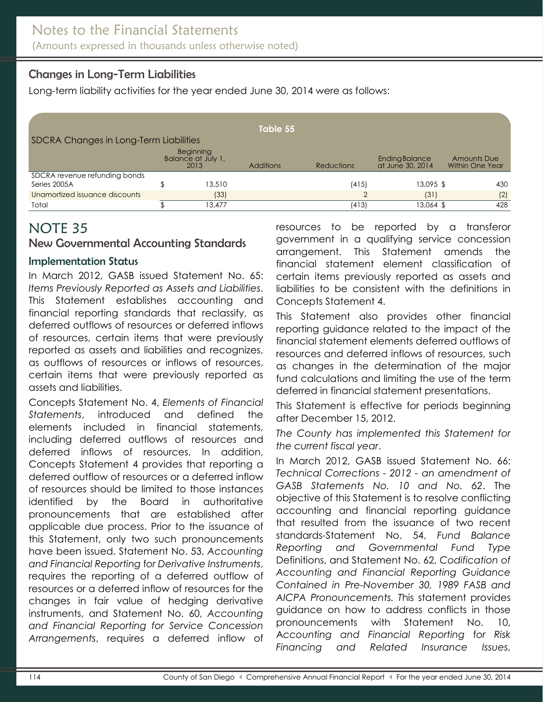# Changes in Long-Term Liabilities

Long-term liability activities for the year ended June 30, 2014 were as follows:

|                                        |  |                                         | Table 55         |                   |                                    |                                |
|----------------------------------------|--|-----------------------------------------|------------------|-------------------|------------------------------------|--------------------------------|
| SDCRA Changes in Long-Term Liabilities |  |                                         |                  |                   |                                    |                                |
|                                        |  | Beginning<br>Balance at July 1,<br>2013 | <b>Additions</b> | <b>Reductions</b> | Ending Balance<br>at June 30, 2014 | Amounts Due<br>Within One Year |
| SDCRA revenue refunding bonds          |  |                                         |                  |                   |                                    |                                |
| Series 2005A                           |  | 13,510                                  |                  | (415)             | 13,095 \$                          | 430                            |
| Unamortized issuance discounts         |  | (33)                                    |                  | ◠                 | (31)                               | (2)                            |
| Total                                  |  | 13,477                                  |                  | (413)             | 13,064 \$                          | 428                            |

# NOTE 35

#### <span id="page-48-0"></span>New Governmental Accounting Standards

#### Implementation Status

In March 2012, GASB issued Statement No. 65: *Items Previously Reported as Assets and Liabilities*. This Statement establishes accounting and financial reporting standards that reclassify, as deferred outflows of resources or deferred inflows of resources, certain items that were previously reported as assets and liabilities and recognizes, as outflows of resources or inflows of resources, certain items that were previously reported as assets and liabilities.

Concepts Statement No. 4, *Elements of Financial Statements*, introduced and defined the elements included in financial statements, including deferred outflows of resources and deferred inflows of resources. In addition, Concepts Statement 4 provides that reporting a deferred outflow of resources or a deferred inflow of resources should be limited to those instances identified by the Board in authoritative pronouncements that are established after applicable due process. Prior to the issuance of this Statement, only two such pronouncements have been issued. Statement No. 53, *Accounting and Financial Reporting* f*or Derivative Instruments*, requires the reporting of a deferred outflow of resources or a deferred inflow of resources for the changes in fair value of hedging derivative instruments, and Statement No. 60, *Accounting and Financial Reporting for Service Concession Arrangements*, requires a deferred inflow of

resources to be reported by a transferor government in a qualifying service concession arrangement. This Statement amends the financial statement element classification of certain items previously reported as assets and liabilities to be consistent with the definitions in Concepts Statement 4.

This Statement also provides other financial reporting guidance related to the impact of the financial statement elements deferred outflows of resources and deferred inflows of resources, such as changes in the determination of the major fund calculations and limiting the use of the term deferred in financial statement presentations.

This Statement is effective for periods beginning after December 15, 2012.

*The County has implemented this Statement for the current fiscal year*.

In March 2012, GASB issued Statement No. 66: *Technical Corrections - 2012 - an amendment of GASB Statements No. 10 and No. 62*. The objective of this Statement is to resolve conflicting accounting and financial reporting guidance that resulted from the issuance of two recent standards-Statement No. 54, *Fund Balance Reporting and Governmental Fund Type* Definitions, and Statement No. 62, *Codification of Accounting and Financial Reporting Guidance Contained in Pre-November 30, 1989 FASB and AICPA Pronouncements. T*his statement provides guidance on how to address conflicts in those pronouncements with Statement No. 10, A*ccounting and Financial Reporting* f*or Risk Financing and Related Insurance Issues*,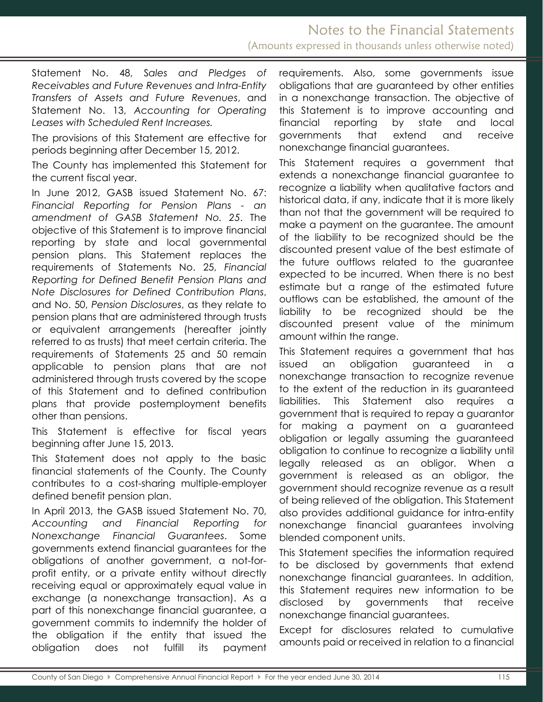Statement No. 48, S*ales and Pledges of Receivables and Future Revenues and Intra-Entity Transfers of Assets and Future Revenues*, and Statement No. 13, *Accounting for Operating Leases with Scheduled Rent Increases.*

The provisions of this Statement are effective for periods beginning after December 15, 2012.

The County has implemented this Statement for the current fiscal year.

In June 2012, GASB issued Statement No. 67: *Financial Reporting for Pension Plans - an amendment of GASB Statement No. 25*. The objective of this Statement is to improve financial reporting by state and local governmental pension plans. This Statement replaces the requirements of Statements No. 25, *Financial Reporting for Defined Benefit Pension Plans and Note Disclosures for Defined Contribution Plans*, and No. 50, *Pension Disclosures*, as they relate to pension plans that are administered through trusts or equivalent arrangements (hereafter jointly referred to as trusts) that meet certain criteria. The requirements of Statements 25 and 50 remain applicable to pension plans that are not administered through trusts covered by the scope of this Statement and to defined contribution plans that provide postemployment benefits other than pensions.

This Statement is effective for fiscal years beginning after June 15, 2013.

This Statement does not apply to the basic financial statements of the County. The County contributes to a cost-sharing multiple-employer defined benefit pension plan.

In April 2013, the GASB issued Statement No. 70, *Accounting and Financial Reporting for Nonexchange Financial Guarantees*. Some governments extend financial guarantees for the obligations of another government, a not-forprofit entity, or a private entity without directly receiving equal or approximately equal value in exchange (a nonexchange transaction). As a part of this nonexchange financial guarantee, a government commits to indemnify the holder of the obligation if the entity that issued the obligation does not fulfill its payment

requirements. Also, some governments issue obligations that are guaranteed by other entities in a nonexchange transaction. The objective of this Statement is to improve accounting and financial reporting by state and local governments that extend and receive nonexchange financial guarantees.

This Statement requires a government that extends a nonexchange financial guarantee to recognize a liability when qualitative factors and historical data, if any, indicate that it is more likely than not that the government will be required to make a payment on the guarantee. The amount of the liability to be recognized should be the discounted present value of the best estimate of the future outflows related to the guarantee expected to be incurred. When there is no best estimate but a range of the estimated future outflows can be established, the amount of the liability to be recognized should be the discounted present value of the minimum amount within the range.

This Statement requires a government that has issued an obligation guaranteed in a nonexchange transaction to recognize revenue to the extent of the reduction in its guaranteed liabilities. This Statement also requires a government that is required to repay a guarantor for making a payment on a guaranteed obligation or legally assuming the guaranteed obligation to continue to recognize a liability until legally released as an obligor. When a government is released as an obligor, the government should recognize revenue as a result of being relieved of the obligation. This Statement also provides additional guidance for intra-entity nonexchange financial guarantees involving blended component units.

This Statement specifies the information required to be disclosed by governments that extend nonexchange financial guarantees. In addition, this Statement requires new information to be disclosed by governments that receive nonexchange financial guarantees.

Except for disclosures related to cumulative amounts paid or received in relation to a financial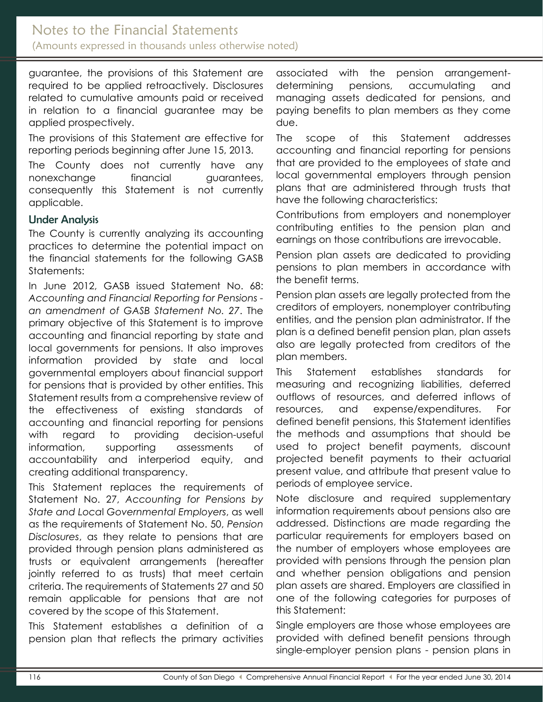guarantee, the provisions of this Statement are required to be applied retroactively. Disclosures related to cumulative amounts paid or received in relation to a financial guarantee may be applied prospectively.

The provisions of this Statement are effective for reporting periods beginning after June 15, 2013.

The County does not currently have any nonexchange financial guarantees, consequently this Statement is not currently applicable.

#### Under Analysis

The County is currently analyzing its accounting practices to determine the potential impact on the financial statements for the following GASB Statements:

In June 2012, GASB issued Statement No. 68: *Accounting and Financial Reporting for Pensions an amendment of GASB Statement No. 27*. The primary objective of this Statement is to improve accounting and financial reporting by state and local governments for pensions. It also improves information provided by state and local governmental employers about financial support for pensions that is provided by other entities. This Statement results from a comprehensive review of the effectiveness of existing standards of accounting and financial reporting for pensions with regard to providing decision-useful information, supporting assessments of accountability and interperiod equity, and creating additional transparency.

This Statement replaces the requirements of Statement No. 27, *Accounting for Pensions by State and Loca*l *Governmental Employers*, as well as the requirements of Statement No. 50, *Pension Disclosures*, as they relate to pensions that are provided through pension plans administered as trusts or equivalent arrangements (hereafter jointly referred to as trusts) that meet certain criteria. The requirements of Statements 27 and 50 remain applicable for pensions that are not covered by the scope of this Statement.

This Statement establishes a definition of a pension plan that reflects the primary activities associated with the pension arrangementdetermining pensions, accumulating and managing assets dedicated for pensions, and paying benefits to plan members as they come due.

The scope of this Statement addresses accounting and financial reporting for pensions that are provided to the employees of state and local governmental employers through pension plans that are administered through trusts that have the following characteristics:

Contributions from employers and nonemployer contributing entities to the pension plan and earnings on those contributions are irrevocable.

Pension plan assets are dedicated to providing pensions to plan members in accordance with the benefit terms.

Pension plan assets are legally protected from the creditors of employers, nonemployer contributing entities, and the pension plan administrator. If the plan is a defined benefit pension plan, plan assets also are legally protected from creditors of the plan members.

This Statement establishes standards for measuring and recognizing liabilities, deferred outflows of resources, and deferred inflows of resources, and expense/expenditures. For defined benefit pensions, this Statement identifies the methods and assumptions that should be used to project benefit payments, discount projected benefit payments to their actuarial present value, and attribute that present value to periods of employee service.

Note disclosure and required supplementary information requirements about pensions also are addressed. Distinctions are made regarding the particular requirements for employers based on the number of employers whose employees are provided with pensions through the pension plan and whether pension obligations and pension plan assets are shared. Employers are classified in one of the following categories for purposes of this Statement:

Single employers are those whose employees are provided with defined benefit pensions through single-employer pension plans - pension plans in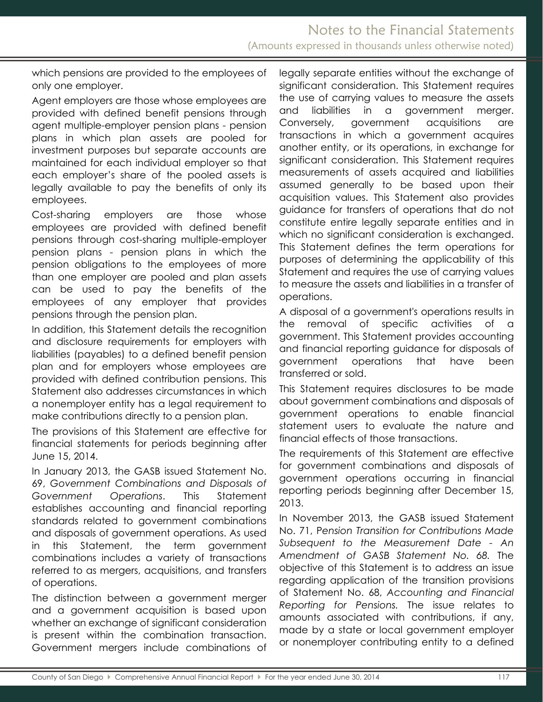which pensions are provided to the employees of only one employer.

Agent employers are those whose employees are provided with defined benefit pensions through agent multiple-employer pension plans - pension plans in which plan assets are pooled for investment purposes but separate accounts are maintained for each individual employer so that each employer's share of the pooled assets is legally available to pay the benefits of only its employees.

Cost-sharing employers are those whose employees are provided with defined benefit pensions through cost-sharing multiple-employer pension plans - pension plans in which the pension obligations to the employees of more than one employer are pooled and plan assets can be used to pay the benefits of the employees of any employer that provides pensions through the pension plan.

In addition, this Statement details the recognition and disclosure requirements for employers with liabilities (payables) to a defined benefit pension plan and for employers whose employees are provided with defined contribution pensions. This Statement also addresses circumstances in which a nonemployer entity has a legal requirement to make contributions directly to a pension plan.

The provisions of this Statement are effective for financial statements for periods beginning after June 15, 2014.

In January 2013, the GASB issued Statement No. 69, *Government Combinations and Disposals of Government Operations*. This Statement establishes accounting and financial reporting standards related to government combinations and disposals of government operations. As used in this Statement, the term government combinations includes a variety of transactions referred to as mergers, acquisitions, and transfers of operations.

The distinction between a government merger and a government acquisition is based upon whether an exchange of significant consideration is present within the combination transaction. Government mergers include combinations of legally separate entities without the exchange of significant consideration. This Statement requires the use of carrying values to measure the assets and liabilities in a government merger. Conversely, government acquisitions are transactions in which a government acquires another entity, or its operations, in exchange for significant consideration. This Statement requires measurements of assets acquired and liabilities assumed generally to be based upon their acquisition values. This Statement also provides guidance for transfers of operations that do not constitute entire legally separate entities and in which no significant consideration is exchanged. This Statement defines the term operations for purposes of determining the applicability of this Statement and requires the use of carrying values to measure the assets and liabilities in a transfer of operations.

A disposal of a government's operations results in the removal of specific activities of a government. This Statement provides accounting and financial reporting guidance for disposals of government operations that have been transferred or sold.

This Statement requires disclosures to be made about government combinations and disposals of government operations to enable financial statement users to evaluate the nature and financial effects of those transactions.

The requirements of this Statement are effective for government combinations and disposals of government operations occurring in financial reporting periods beginning after December 15, 2013.

In November 2013, the GASB issued Statement No. 71, P*ension Transition for Contributions Made Subsequent to the Measurement Date - An Amendment of GASB Statement No. 68.* The objective of this Statement is to address an issue regarding application of the transition provisions of Statement No. 68, *Accounting and Financial Reporting for Pensions.* The issue relates to amounts associated with contributions, if any, made by a state or local government employer or nonemployer contributing entity to a defined